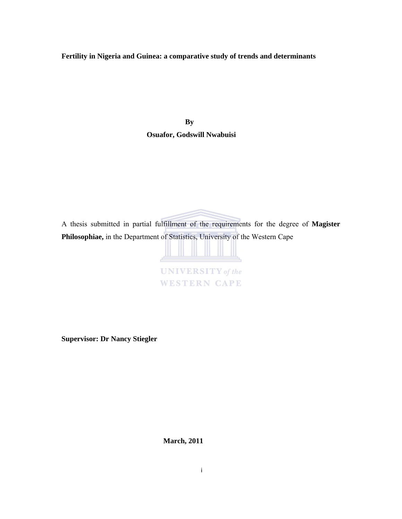# **Fertility in Nigeria and Guinea: a comparative study of trends and determinants**

**By Osuafor, Godswill Nwabuisi** 

A thesis submitted in partial fulfillment of the requirements for the degree of **Magister Philosophiae,** in the Department of Statistics, University of the Western Cape

|  |  | <b>NIVERSITY</b> of the |
|--|--|-------------------------|
|  |  |                         |

**Supervisor: Dr Nancy Stiegler** 

 **March, 2011**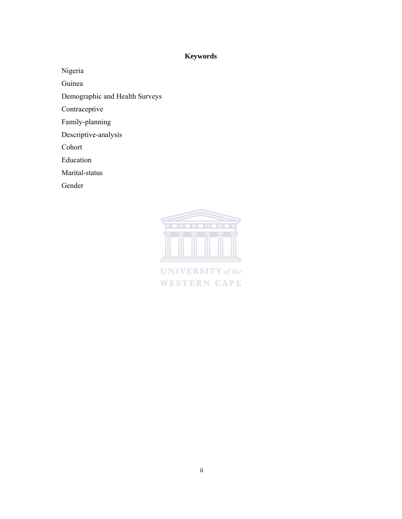# **Keywords**

Nigeria

Guinea

Demographic and Health Surveys

Contraceptive

Family-planning

Descriptive-analysis

Cohort

Education

Marital-status

Gender



**UNIVERSITY** of the **WESTERN CAPE**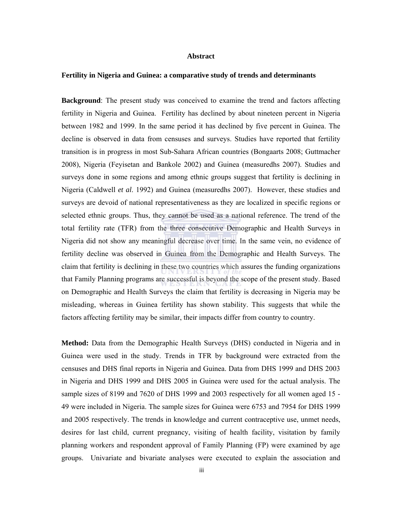## **Abstract**

# **Fertility in Nigeria and Guinea: a comparative study of trends and determinants**

**Background**: The present study was conceived to examine the trend and factors affecting fertility in Nigeria and Guinea. Fertility has declined by about nineteen percent in Nigeria between 1982 and 1999. In the same period it has declined by five percent in Guinea. The decline is observed in data from censuses and surveys. Studies have reported that fertility transition is in progress in most Sub-Sahara African countries (Bongaarts 2008; Guttmacher 2008), Nigeria (Feyisetan and Bankole 2002) and Guinea (measuredhs 2007). Studies and surveys done in some regions and among ethnic groups suggest that fertility is declining in Nigeria (Caldwell *et al*. 1992) and Guinea (measuredhs 2007). However, these studies and surveys are devoid of national representativeness as they are localized in specific regions or selected ethnic groups. Thus, they cannot be used as a national reference. The trend of the total fertility rate (TFR) from the three consecutive Demographic and Health Surveys in Nigeria did not show any meaningful decrease over time. In the same vein, no evidence of fertility decline was observed in Guinea from the Demographic and Health Surveys. The claim that fertility is declining in these two countries which assures the funding organizations that Family Planning programs are successful is beyond the scope of the present study. Based on Demographic and Health Surveys the claim that fertility is decreasing in Nigeria may be misleading, whereas in Guinea fertility has shown stability. This suggests that while the factors affecting fertility may be similar, their impacts differ from country to country.

**Method:** Data from the Demographic Health Surveys (DHS) conducted in Nigeria and in Guinea were used in the study. Trends in TFR by background were extracted from the censuses and DHS final reports in Nigeria and Guinea. Data from DHS 1999 and DHS 2003 in Nigeria and DHS 1999 and DHS 2005 in Guinea were used for the actual analysis. The sample sizes of 8199 and 7620 of DHS 1999 and 2003 respectively for all women aged 15 - 49 were included in Nigeria. The sample sizes for Guinea were 6753 and 7954 for DHS 1999 and 2005 respectively. The trends in knowledge and current contraceptive use, unmet needs, desires for last child, current pregnancy, visiting of health facility, visitation by family planning workers and respondent approval of Family Planning (FP) were examined by age groups. Univariate and bivariate analyses were executed to explain the association and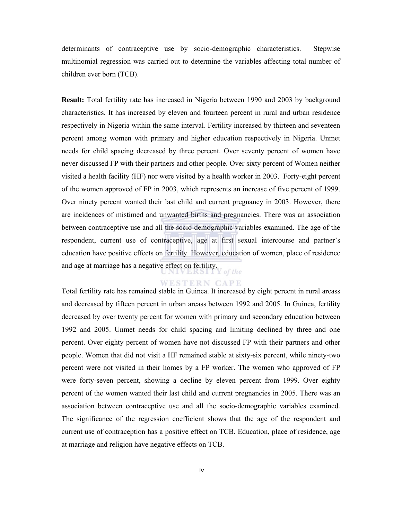determinants of contraceptive use by socio-demographic characteristics. Stepwise multinomial regression was carried out to determine the variables affecting total number of children ever born (TCB).

**Result:** Total fertility rate has increased in Nigeria between 1990 and 2003 by background characteristics. It has increased by eleven and fourteen percent in rural and urban residence respectively in Nigeria within the same interval. Fertility increased by thirteen and seventeen percent among women with primary and higher education respectively in Nigeria. Unmet needs for child spacing decreased by three percent. Over seventy percent of women have never discussed FP with their partners and other people. Over sixty percent of Women neither visited a health facility (HF) nor were visited by a health worker in 2003. Forty-eight percent of the women approved of FP in 2003, which represents an increase of five percent of 1999. Over ninety percent wanted their last child and current pregnancy in 2003. However, there are incidences of mistimed and unwanted births and pregnancies. There was an association between contraceptive use and all the socio-demographic variables examined. The age of the respondent, current use of contraceptive, age at first sexual intercourse and partner's education have positive effects on fertility. However, education of women, place of residence and age at marriage has a negative effect on fertility.  $\int$  of the

## **WESTERN CAPE**

Total fertility rate has remained stable in Guinea. It increased by eight percent in rural areass and decreased by fifteen percent in urban areass between 1992 and 2005. In Guinea, fertility decreased by over twenty percent for women with primary and secondary education between 1992 and 2005. Unmet needs for child spacing and limiting declined by three and one percent. Over eighty percent of women have not discussed FP with their partners and other people. Women that did not visit a HF remained stable at sixty-six percent, while ninety-two percent were not visited in their homes by a FP worker. The women who approved of FP were forty-seven percent, showing a decline by eleven percent from 1999. Over eighty percent of the women wanted their last child and current pregnancies in 2005. There was an association between contraceptive use and all the socio-demographic variables examined. The significance of the regression coefficient shows that the age of the respondent and current use of contraception has a positive effect on TCB. Education, place of residence, age at marriage and religion have negative effects on TCB.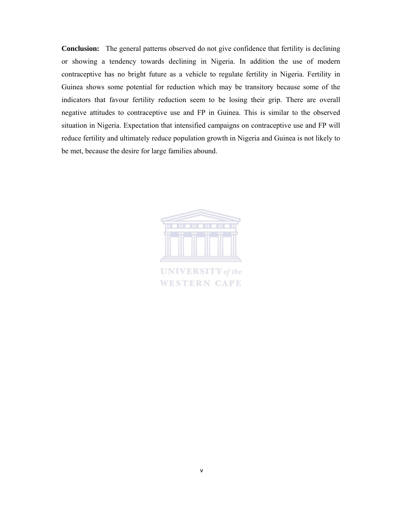**Conclusion:** The general patterns observed do not give confidence that fertility is declining or showing a tendency towards declining in Nigeria. In addition the use of modern contraceptive has no bright future as a vehicle to regulate fertility in Nigeria. Fertility in Guinea shows some potential for reduction which may be transitory because some of the indicators that favour fertility reduction seem to be losing their grip. There are overall negative attitudes to contraceptive use and FP in Guinea. This is similar to the observed situation in Nigeria. Expectation that intensified campaigns on contraceptive use and FP will reduce fertility and ultimately reduce population growth in Nigeria and Guinea is not likely to be met, because the desire for large families abound.

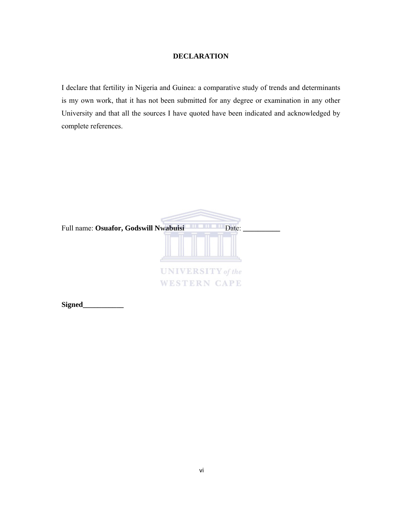# **DECLARATION**

I declare that fertility in Nigeria and Guinea: a comparative study of trends and determinants is my own work, that it has not been submitted for any degree or examination in any other University and that all the sources I have quoted have been indicated and acknowledged by complete references.

| Full name: Osuafor, Godswill Nwabuisi |                                                 | Date: |
|---------------------------------------|-------------------------------------------------|-------|
|                                       | <b>UNIVERSITY</b> of the<br><b>WESTERN CAPE</b> |       |

**Signed\_\_\_\_\_\_\_\_\_\_\_**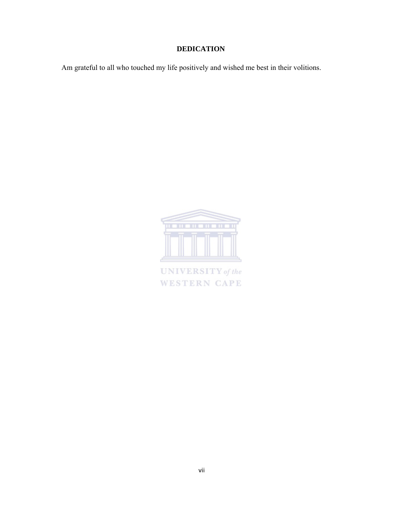# **DEDICATION**

Am grateful to all who touched my life positively and wished me best in their volitions.



**UNIVERSITY** of the **WESTERN CAPE**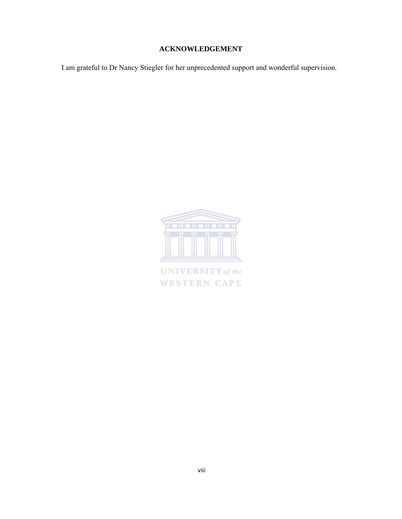# **ACKNOWLEDGEMENT**

I am grateful to Dr Nancy Stiegler for her unprecedented support and wonderful supervision.



**UNIVERSITY** of the **WESTERN CAPE**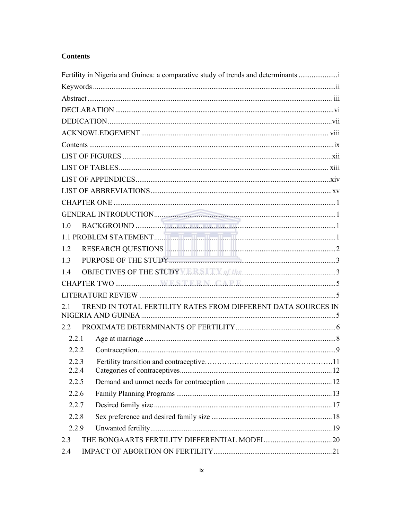# **Contents**

| Fertility in Nigeria and Guinea: a comparative study of trends and determinants |  |
|---------------------------------------------------------------------------------|--|
|                                                                                 |  |
|                                                                                 |  |
|                                                                                 |  |
|                                                                                 |  |
|                                                                                 |  |
|                                                                                 |  |
|                                                                                 |  |
|                                                                                 |  |
|                                                                                 |  |
|                                                                                 |  |
|                                                                                 |  |
|                                                                                 |  |
| 10                                                                              |  |
|                                                                                 |  |
| 1.2                                                                             |  |
| 1.3                                                                             |  |
| OBJECTIVES OF THE STUDY MARKETING CHARACTERY 3<br>1.4                           |  |
|                                                                                 |  |
|                                                                                 |  |
| TREND IN TOTAL FERTILITY RATES FROM DIFFERENT DATA SOURCES IN<br>21             |  |
| 2.2                                                                             |  |
| 2.2.1                                                                           |  |
| 2.2.2                                                                           |  |
| 2.2.3<br>2.2.4                                                                  |  |
| 2.2.5                                                                           |  |
| 2.2.6                                                                           |  |
| 2.2.7                                                                           |  |
| 2.2.8                                                                           |  |
| 2.2.9                                                                           |  |
| 2.3                                                                             |  |
| 2.4                                                                             |  |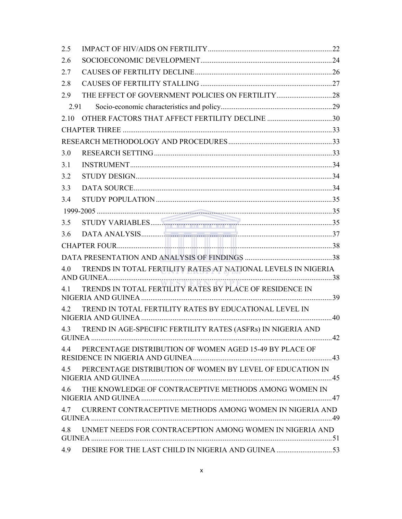| 2.5  |                                                               |  |
|------|---------------------------------------------------------------|--|
| 2.6  |                                                               |  |
| 2.7  |                                                               |  |
| 2.8  |                                                               |  |
| 2.9  |                                                               |  |
| 2.91 |                                                               |  |
| 2.10 | OTHER FACTORS THAT AFFECT FERTILITY DECLINE 30                |  |
|      |                                                               |  |
|      |                                                               |  |
| 3.0  |                                                               |  |
| 3.1  |                                                               |  |
| 3.2  |                                                               |  |
| 3.3  |                                                               |  |
| 3.4  |                                                               |  |
|      |                                                               |  |
| 3.5  |                                                               |  |
| 3.6  |                                                               |  |
|      |                                                               |  |
|      |                                                               |  |
| 40   | TRENDS IN TOTAL FERTILITY RATES AT NATIONAL LEVELS IN NIGERIA |  |
| 41   | TRENDS IN TOTAL FERTILITY RATES BY PLACE OF RESIDENCE IN      |  |
| 4.2  | TREND IN TOTAL FERTILITY RATES BY EDUCATIONAL LEVEL IN        |  |
| 4.3  | TREND IN AGE-SPECIFIC FERTILITY RATES (ASFRs) IN NIGERIA AND  |  |
| 4.4  | PERCENTAGE DISTRIBUTION OF WOMEN AGED 15-49 BY PLACE OF       |  |
|      | 4.5 PERCENTAGE DISTRIBUTION OF WOMEN BY LEVEL OF EDUCATION IN |  |
| 4.6  | THE KNOWLEDGE OF CONTRACEPTIVE METHODS AMONG WOMEN IN         |  |
| 4.7  | CURRENT CONTRACEPTIVE METHODS AMONG WOMEN IN NIGERIA AND      |  |
| 4.8  | UNMET NEEDS FOR CONTRACEPTION AMONG WOMEN IN NIGERIA AND      |  |
| 4.9  |                                                               |  |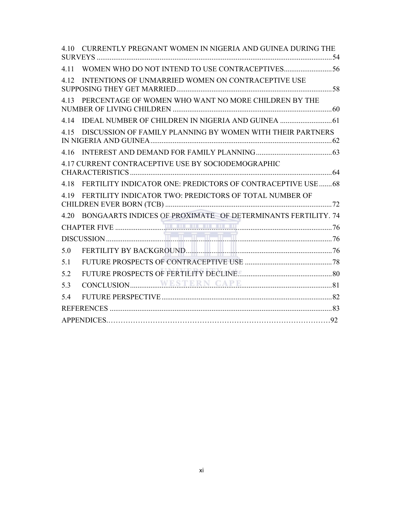| 4.10  | CURRENTLY PREGNANT WOMEN IN NIGERIA AND GUINEA DURING THE    |  |
|-------|--------------------------------------------------------------|--|
| 4.11  |                                                              |  |
| 4.12  | INTENTIONS OF UNMARRIED WOMEN ON CONTRACEPTIVE USE           |  |
| 4 1 3 | PERCENTAGE OF WOMEN WHO WANT NO MORE CHILDREN BY THE         |  |
| 4.14  |                                                              |  |
| 4 1 5 | DISCUSSION OF FAMILY PLANNING BY WOMEN WITH THEIR PARTNERS   |  |
| 4 1 6 |                                                              |  |
|       | 4.17 CURRENT CONTRACEPTIVE USE BY SOCIODEMOGRAPHIC           |  |
| 4 1 8 | FERTILITY INDICATOR ONE: PREDICTORS OF CONTRACEPTIVE USE  68 |  |
|       | 4.19 FERTILITY INDICATOR TWO: PREDICTORS OF TOTAL NUMBER OF  |  |
| 4.20  | BONGAARTS INDICES OF PROXIMATE OF DETERMINANTS FERTILITY. 74 |  |
|       |                                                              |  |
|       |                                                              |  |
| 5.0   |                                                              |  |
| 5.1   |                                                              |  |
| 5.2   |                                                              |  |
| 5.3   |                                                              |  |
| 54    |                                                              |  |
|       |                                                              |  |
|       |                                                              |  |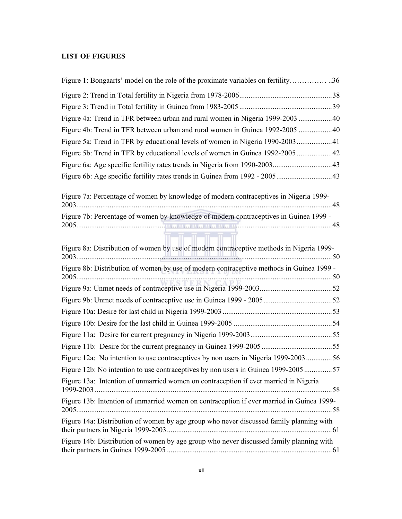# **LIST OF FIGURES**

| Figure 1: Bongaarts' model on the role of the proximate variables on fertility36          |  |
|-------------------------------------------------------------------------------------------|--|
|                                                                                           |  |
|                                                                                           |  |
| Figure 4a: Trend in TFR between urban and rural women in Nigeria 1999-2003 40             |  |
| Figure 4b: Trend in TFR between urban and rural women in Guinea 1992-2005  40             |  |
| Figure 5a: Trend in TFR by educational levels of women in Nigeria 1990-200341             |  |
| Figure 5b: Trend in TFR by educational levels of women in Guinea 1992-2005  42            |  |
|                                                                                           |  |
|                                                                                           |  |
| Figure 7a: Percentage of women by knowledge of modern contraceptives in Nigeria 1999-     |  |
| Figure 7b: Percentage of women by knowledge of modern contraceptives in Guinea 1999 -     |  |
| Figure 8a: Distribution of women by use of modern contraceptive methods in Nigeria 1999-  |  |
| Figure 8b: Distribution of women by use of modern contraceptive methods in Guinea 1999 -  |  |
|                                                                                           |  |
|                                                                                           |  |
|                                                                                           |  |
|                                                                                           |  |
|                                                                                           |  |
|                                                                                           |  |
| Figure 12a: No intention to use contraceptives by non users in Nigeria 1999-200356        |  |
| Figure 12b: No intention to use contraceptives by non users in Guinea 1999-2005 57        |  |
| Figure 13a: Intention of unmarried women on contraception if ever married in Nigeria      |  |
| Figure 13b: Intention of unmarried women on contraception if ever married in Guinea 1999- |  |
| Figure 14a: Distribution of women by age group who never discussed family planning with   |  |
| Figure 14b: Distribution of women by age group who never discussed family planning with   |  |
|                                                                                           |  |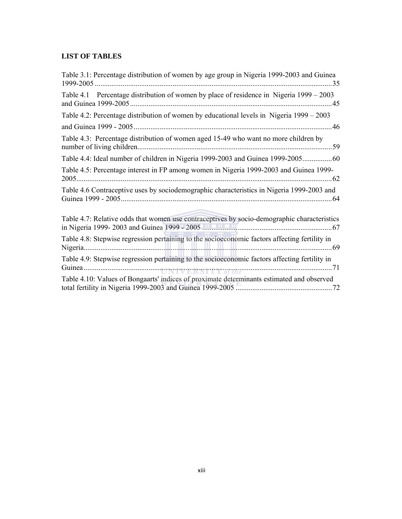# **LIST OF TABLES**

| Table 3.1: Percentage distribution of women by age group in Nigeria 1999-2003 and Guinea      |
|-----------------------------------------------------------------------------------------------|
| Table 4.1 Percentage distribution of women by place of residence in Nigeria 1999 – 2003       |
| Table 4.2: Percentage distribution of women by educational levels in Nigeria 1999 - 2003      |
|                                                                                               |
| Table 4.3: Percentage distribution of women aged 15-49 who want no more children by           |
| Table 4.4: Ideal number of children in Nigeria 1999-2003 and Guinea 1999-200560               |
| Table 4.5: Percentage interest in FP among women in Nigeria 1999-2003 and Guinea 1999-        |
| Table 4.6 Contraceptive uses by sociodemographic characteristics in Nigeria 1999-2003 and     |
| Table 4.7: Relative odds that women use contraceptives by socio-demographic characteristics   |
| Table 4.8: Stepwise regression pertaining to the socioeconomic factors affecting fertility in |
| Table 4.9: Stepwise regression pertaining to the socioeconomic factors affecting fertility in |
| Table 4.10: Values of Bongaarts' indices of proximate determinants estimated and observed     |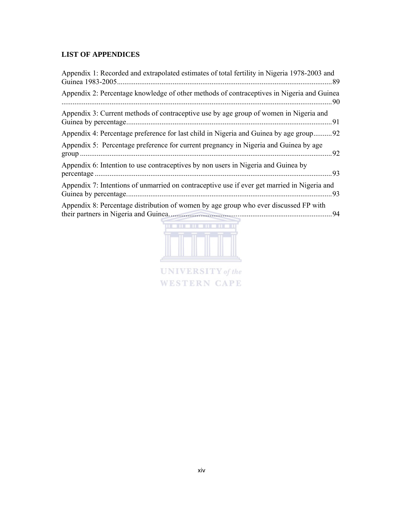# **LIST OF APPENDICES**

| Appendix 1: Recorded and extrapolated estimates of total fertility in Nigeria 1978-2003 and | . 89 |
|---------------------------------------------------------------------------------------------|------|
| Appendix 2: Percentage knowledge of other methods of contraceptives in Nigeria and Guinea   | 90   |
| Appendix 3: Current methods of contraceptive use by age group of women in Nigeria and       |      |
| Appendix 4: Percentage preference for last child in Nigeria and Guinea by age group92       |      |
| Appendix 5: Percentage preference for current pregnancy in Nigeria and Guinea by age        | 92   |
| Appendix 6: Intention to use contraceptives by non users in Nigeria and Guinea by           | 93   |
| Appendix 7: Intentions of unmarried on contraceptive use if ever get married in Nigeria and | 93   |
| Appendix 8: Percentage distribution of women by age group who ever discussed FP with        | 94   |



**UNIVERSITY** of the **WESTERN CAPE**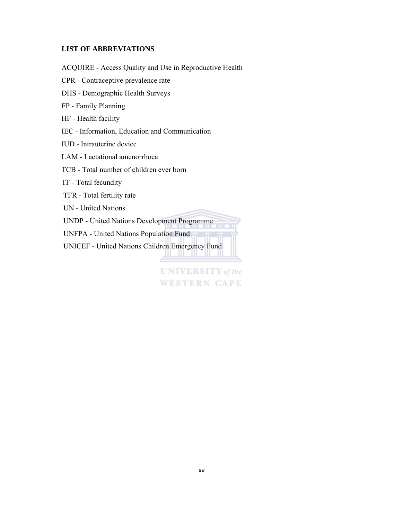# **LIST OF ABBREVIATIONS**

ACQUIRE - Access Quality and Use in Reproductive Health CPR - Contraceptive prevalence rate DHS - Demographic Health Surveys FP - Family Planning HF - Health facility IEC - Information, Education and Communication IUD - Intrauterine device LAM - Lactational amenorrhoea TCB - Total number of children ever born TF - Total fecundity TFR - Total fertility rate UN - United Nations UNDP - United Nations Development Programme UNFPA - United Nations Population Fund UNICEF - United Nations Children Emergency Fund and the state of the state of the

> **UNIVERSITY** of the **WESTERN CAPE**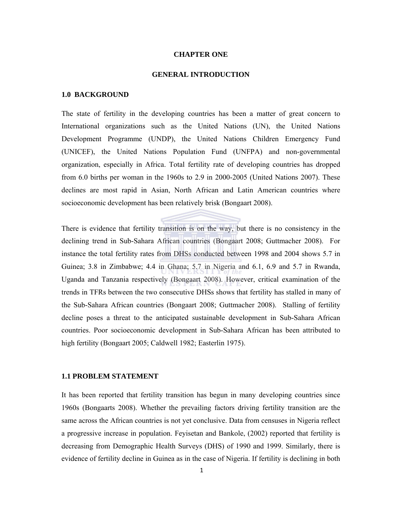### **CHAPTER ONE**

### **GENERAL INTRODUCTION**

#### **1.0 BACKGROUND**

The state of fertility in the developing countries has been a matter of great concern to International organizations such as the United Nations (UN), the United Nations Development Programme (UNDP), the United Nations Children Emergency Fund (UNICEF), the United Nations Population Fund (UNFPA) and non-governmental organization, especially in Africa. Total fertility rate of developing countries has dropped from 6.0 births per woman in the 1960s to 2.9 in 2000-2005 (United Nations 2007). These declines are most rapid in Asian, North African and Latin American countries where socioeconomic development has been relatively brisk (Bongaart 2008).

There is evidence that fertility transition is on the way, but there is no consistency in the declining trend in Sub-Sahara African countries (Bongaart 2008; Guttmacher 2008). For instance the total fertility rates from DHSs conducted between 1998 and 2004 shows 5.7 in Guinea; 3.8 in Zimbabwe; 4.4 in Ghana; 5.7 in Nigeria and 6.1, 6.9 and 5.7 in Rwanda, Uganda and Tanzania respectively (Bongaart 2008). However, critical examination of the trends in TFRs between the two consecutive DHSs shows that fertility has stalled in many of the Sub-Sahara African countries (Bongaart 2008; Guttmacher 2008). Stalling of fertility decline poses a threat to the anticipated sustainable development in Sub-Sahara African countries. Poor socioeconomic development in Sub-Sahara African has been attributed to high fertility (Bongaart 2005; Caldwell 1982; Easterlin 1975).

# **1.1 PROBLEM STATEMENT**

It has been reported that fertility transition has begun in many developing countries since 1960s (Bongaarts 2008). Whether the prevailing factors driving fertility transition are the same across the African countries is not yet conclusive. Data from censuses in Nigeria reflect a progressive increase in population. Feyisetan and Bankole, (2002) reported that fertility is decreasing from Demographic Health Surveys (DHS) of 1990 and 1999. Similarly, there is evidence of fertility decline in Guinea as in the case of Nigeria. If fertility is declining in both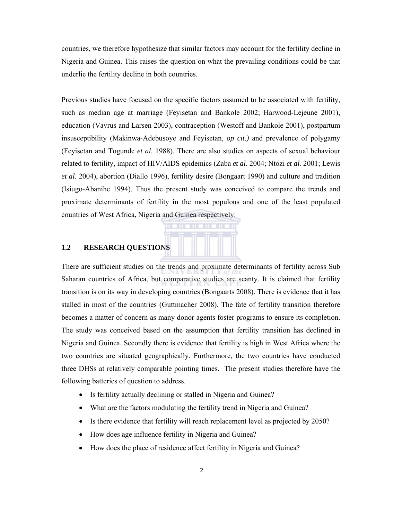countries, we therefore hypothesize that similar factors may account for the fertility decline in Nigeria and Guinea. This raises the question on what the prevailing conditions could be that underlie the fertility decline in both countries.

Previous studies have focused on the specific factors assumed to be associated with fertility, such as median age at marriage (Feyisetan and Bankole 2002; Harwood-Lejeune 2001), education (Vavrus and Larsen 2003), contraception (Westoff and Bankole 2001), postpartum insusceptibility (Makinwa-Adebusoye and Feyisetan, *op cit.)* and prevalence of polygamy (Feyisetan and Togunde *et al*. 1988). There are also studies on aspects of sexual behaviour related to fertility, impact of HIV/AIDS epidemics (Zaba *et al*. 2004; Ntozi *et al.* 2001; Lewis *et al*. 2004), abortion (Diallo 1996), fertility desire (Bongaart 1990) and culture and tradition (Isiugo-Abanihe 1994). Thus the present study was conceived to compare the trends and proximate determinants of fertility in the most populous and one of the least populated countries of West Africa, Nigeria and Guinea respectively.

### **1.2 RESEARCH QUESTIONS**

There are sufficient studies on the trends and proximate determinants of fertility across Sub Saharan countries of Africa, but comparative studies are scanty. It is claimed that fertility transition is on its way in developing countries (Bongaarts 2008). There is evidence that it has stalled in most of the countries (Guttmacher 2008). The fate of fertility transition therefore becomes a matter of concern as many donor agents foster programs to ensure its completion. The study was conceived based on the assumption that fertility transition has declined in Nigeria and Guinea. Secondly there is evidence that fertility is high in West Africa where the two countries are situated geographically. Furthermore, the two countries have conducted three DHSs at relatively comparable pointing times. The present studies therefore have the following batteries of question to address.

- Is fertility actually declining or stalled in Nigeria and Guinea?
- What are the factors modulating the fertility trend in Nigeria and Guinea?
- Is there evidence that fertility will reach replacement level as projected by 2050?
- How does age influence fertility in Nigeria and Guinea?
- How does the place of residence affect fertility in Nigeria and Guinea?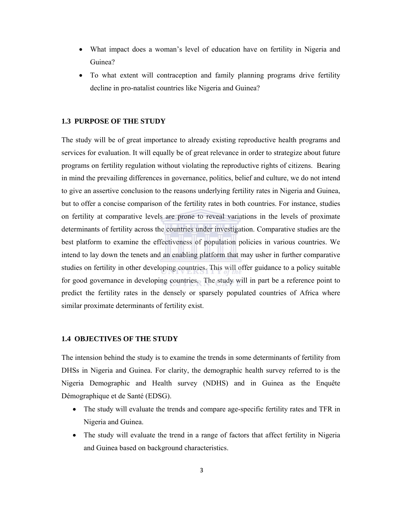- What impact does a woman's level of education have on fertility in Nigeria and Guinea?
- To what extent will contraception and family planning programs drive fertility decline in pro-natalist countries like Nigeria and Guinea?

# **1.3 PURPOSE OF THE STUDY**

The study will be of great importance to already existing reproductive health programs and services for evaluation. It will equally be of great relevance in order to strategize about future programs on fertility regulation without violating the reproductive rights of citizens. Bearing in mind the prevailing differences in governance, politics, belief and culture, we do not intend to give an assertive conclusion to the reasons underlying fertility rates in Nigeria and Guinea, but to offer a concise comparison of the fertility rates in both countries. For instance, studies on fertility at comparative levels are prone to reveal variations in the levels of proximate determinants of fertility across the countries under investigation. Comparative studies are the best platform to examine the effectiveness of population policies in various countries. We intend to lay down the tenets and an enabling platform that may usher in further comparative studies on fertility in other developing countries. This will offer guidance to a policy suitable for good governance in developing countries. The study will in part be a reference point to predict the fertility rates in the densely or sparsely populated countries of Africa where similar proximate determinants of fertility exist.

# **1.4 OBJECTIVES OF THE STUDY**

The intension behind the study is to examine the trends in some determinants of fertility from DHSs in Nigeria and Guinea. For clarity, the demographic health survey referred to is the Nigeria Demographic and Health survey (NDHS) and in Guinea as the Enquête Démographique et de Santé (EDSG).

- The study will evaluate the trends and compare age-specific fertility rates and TFR in Nigeria and Guinea.
- The study will evaluate the trend in a range of factors that affect fertility in Nigeria and Guinea based on background characteristics.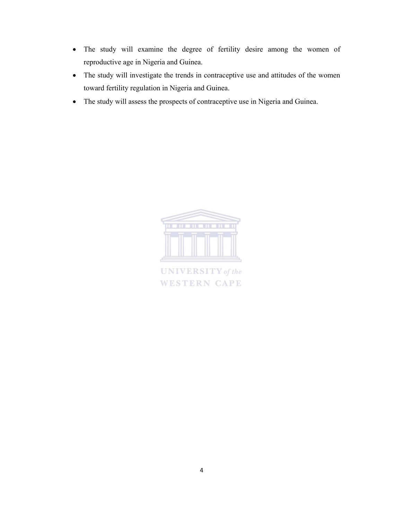- The study will examine the degree of fertility desire among the women of reproductive age in Nigeria and Guinea.
- The study will investigate the trends in contraceptive use and attitudes of the women toward fertility regulation in Nigeria and Guinea.
- The study will assess the prospects of contraceptive use in Nigeria and Guinea.



**UNIVERSITY** of the **WESTERN CAPE**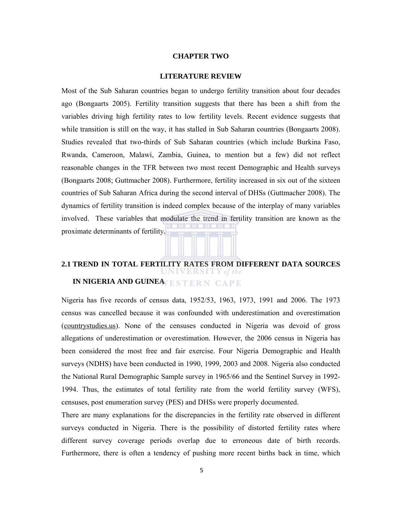### **CHAPTER TWO**

### **LITERATURE REVIEW**

Most of the Sub Saharan countries began to undergo fertility transition about four decades ago (Bongaarts 2005). Fertility transition suggests that there has been a shift from the variables driving high fertility rates to low fertility levels. Recent evidence suggests that while transition is still on the way, it has stalled in Sub Saharan countries (Bongaarts 2008). Studies revealed that two-thirds of Sub Saharan countries (which include Burkina Faso, Rwanda, Cameroon, Malawi, Zambia, Guinea, to mention but a few) did not reflect reasonable changes in the TFR between two most recent Demographic and Health surveys (Bongaarts 2008; Guttmacher 2008). Furthermore, fertility increased in six out of the sixteen countries of Sub Saharan Africa during the second interval of DHSs (Guttmacher 2008). The dynamics of fertility transition is indeed complex because of the interplay of many variables involved. These variables that modulate the trend in fertility transition are known as the proximate determinants of fertility.

# **2.1 TREND IN TOTAL FERTILITY RATES FROM DIFFERENT DATA SOURCES IN NIGERIA AND GUINEAVESTERN CAPE**

Nigeria has five records of census data, 1952/53, 1963, 1973, 1991 and 2006. The 1973 census was cancelled because it was confounded with underestimation and overestimation (countrystudies.us). None of the censuses conducted in Nigeria was devoid of gross allegations of underestimation or overestimation. However, the 2006 census in Nigeria has been considered the most free and fair exercise. Four Nigeria Demographic and Health surveys (NDHS) have been conducted in 1990, 1999, 2003 and 2008. Nigeria also conducted the National Rural Demographic Sample survey in 1965/66 and the Sentinel Survey in 1992- 1994. Thus, the estimates of total fertility rate from the world fertility survey (WFS), censuses, post enumeration survey (PES) and DHSs were properly documented.

There are many explanations for the discrepancies in the fertility rate observed in different surveys conducted in Nigeria. There is the possibility of distorted fertility rates where different survey coverage periods overlap due to erroneous date of birth records. Furthermore, there is often a tendency of pushing more recent births back in time, which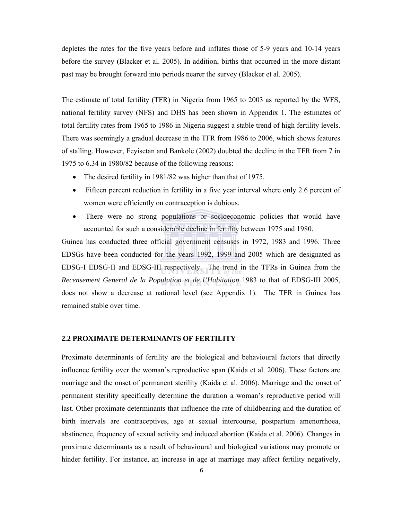depletes the rates for the five years before and inflates those of 5-9 years and 10-14 years before the survey (Blacker et al. 2005). In addition, births that occurred in the more distant past may be brought forward into periods nearer the survey (Blacker et al. 2005).

The estimate of total fertility (TFR) in Nigeria from 1965 to 2003 as reported by the WFS, national fertility survey (NFS) and DHS has been shown in Appendix 1. The estimates of total fertility rates from 1965 to 1986 in Nigeria suggest a stable trend of high fertility levels. There was seemingly a gradual decrease in the TFR from 1986 to 2006, which shows features of stalling. However, Feyisetan and Bankole (2002) doubted the decline in the TFR from 7 in 1975 to 6.34 in 1980/82 because of the following reasons:

- The desired fertility in 1981/82 was higher than that of 1975.
- Fifteen percent reduction in fertility in a five year interval where only 2.6 percent of women were efficiently on contraception is dubious.
- There were no strong populations or socioeconomic policies that would have accounted for such a considerable decline in fertility between 1975 and 1980.

Guinea has conducted three official government censuses in 1972, 1983 and 1996. Three EDSGs have been conducted for the years 1992, 1999 and 2005 which are designated as EDSG-I EDSG-II and EDSG-III respectively. The trend in the TFRs in Guinea from the *Recensement General de la Population et de l'Habitation* 1983 to that of EDSG-III 2005, does not show a decrease at national level (see Appendix 1). The TFR in Guinea has remained stable over time.

# **2.2 PROXIMATE DETERMINANTS OF FERTILITY**

Proximate determinants of fertility are the biological and behavioural factors that directly influence fertility over the woman's reproductive span (Kaida et al. 2006). These factors are marriage and the onset of permanent sterility (Kaida et al. 2006). Marriage and the onset of permanent sterility specifically determine the duration a woman's reproductive period will last. Other proximate determinants that influence the rate of childbearing and the duration of birth intervals are contraceptives, age at sexual intercourse, postpartum amenorrhoea, abstinence, frequency of sexual activity and induced abortion (Kaida et al. 2006). Changes in proximate determinants as a result of behavioural and biological variations may promote or hinder fertility. For instance, an increase in age at marriage may affect fertility negatively,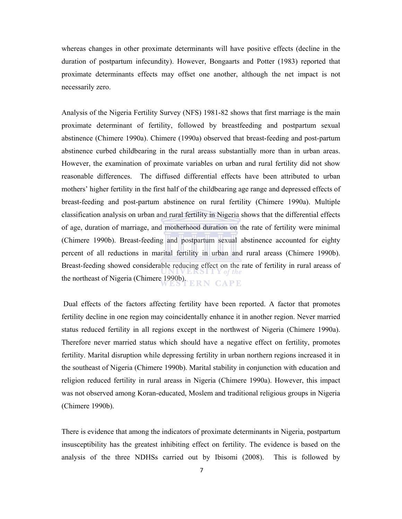whereas changes in other proximate determinants will have positive effects (decline in the duration of postpartum infecundity). However, Bongaarts and Potter (1983) reported that proximate determinants effects may offset one another, although the net impact is not necessarily zero.

Analysis of the Nigeria Fertility Survey (NFS) 1981-82 shows that first marriage is the main proximate determinant of fertility, followed by breastfeeding and postpartum sexual abstinence (Chimere 1990a). Chimere (1990a) observed that breast-feeding and post-partum abstinence curbed childbearing in the rural areass substantially more than in urban areas. However, the examination of proximate variables on urban and rural fertility did not show reasonable differences. The diffused differential effects have been attributed to urban mothers' higher fertility in the first half of the childbearing age range and depressed effects of breast-feeding and post-partum abstinence on rural fertility (Chimere 1990a). Multiple classification analysis on urban and rural fertility in Nigeria shows that the differential effects of age, duration of marriage, and motherhood duration on the rate of fertility were minimal (Chimere 1990b). Breast-feeding and postpartum sexual abstinence accounted for eighty percent of all reductions in marital fertility in urban and rural areass (Chimere 1990b). Breast-feeding showed considerable reducing effect on the rate of fertility in rural areass of the northeast of Nigeria (Chimere 1990b). **ERN CAPE** 

 Dual effects of the factors affecting fertility have been reported. A factor that promotes fertility decline in one region may coincidentally enhance it in another region. Never married status reduced fertility in all regions except in the northwest of Nigeria (Chimere 1990a). Therefore never married status which should have a negative effect on fertility, promotes fertility. Marital disruption while depressing fertility in urban northern regions increased it in the southeast of Nigeria (Chimere 1990b). Marital stability in conjunction with education and religion reduced fertility in rural areass in Nigeria (Chimere 1990a). However, this impact was not observed among Koran-educated, Moslem and traditional religious groups in Nigeria (Chimere 1990b).

There is evidence that among the indicators of proximate determinants in Nigeria, postpartum insusceptibility has the greatest inhibiting effect on fertility. The evidence is based on the analysis of the three NDHSs carried out by Ibisomi (2008). This is followed by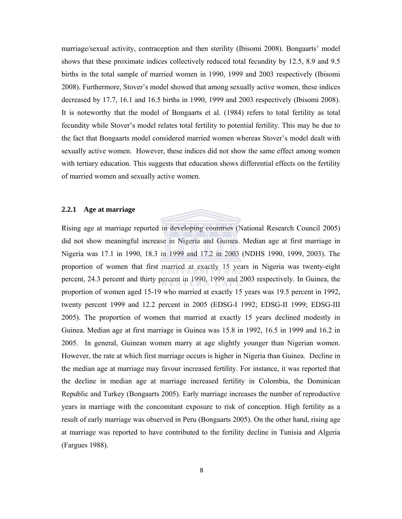marriage/sexual activity, contraception and then sterility (Ibisomi 2008). Bongaarts' model shows that these proximate indices collectively reduced total fecundity by 12.5, 8.9 and 9.5 births in the total sample of married women in 1990, 1999 and 2003 respectively (Ibisomi 2008). Furthermore, Stover's model showed that among sexually active women, these indices decreased by 17.7, 16.1 and 16.5 births in 1990, 1999 and 2003 respectively (Ibisomi 2008). It is noteworthy that the model of Bongaarts et al. (1984) refers to total fertility as total fecundity while Stover's model relates total fertility to potential fertility. This may be due to the fact that Bongaarts model considered married women whereas Stover's model dealt with sexually active women. However, these indices did not show the same effect among women with tertiary education. This suggests that education shows differential effects on the fertility of married women and sexually active women.

# **2.2.1 Age at marriage**

Rising age at marriage reported in developing countries (National Research Council 2005) did not show meaningful increase in Nigeria and Guinea. Median age at first marriage in Nigeria was 17.1 in 1990, 18.3 in 1999 and 17.2 in 2003 (NDHS 1990, 1999, 2003). The proportion of women that first married at exactly 15 years in Nigeria was twenty-eight percent, 24.3 percent and thirty percent in 1990, 1999 and 2003 respectively. In Guinea, the proportion of women aged 15-19 who married at exactly 15 years was 19.5 percent in 1992, twenty percent 1999 and 12.2 percent in 2005 (EDSG-I 1992; EDSG-II 1999; EDSG-III 2005). The proportion of women that married at exactly 15 years declined modestly in Guinea. Median age at first marriage in Guinea was 15.8 in 1992, 16.5 in 1999 and 16.2 in 2005. In general, Guinean women marry at age slightly younger than Nigerian women. However, the rate at which first marriage occurs is higher in Nigeria than Guinea. Decline in the median age at marriage may favour increased fertility. For instance, it was reported that the decline in median age at marriage increased fertility in Colombia, the Dominican Republic and Turkey (Bongaarts 2005). Early marriage increases the number of reproductive years in marriage with the concomitant exposure to risk of conception. High fertility as a result of early marriage was observed in Peru (Bongaarts 2005). On the other hand, rising age at marriage was reported to have contributed to the fertility decline in Tunisia and Algeria (Fargues 1988).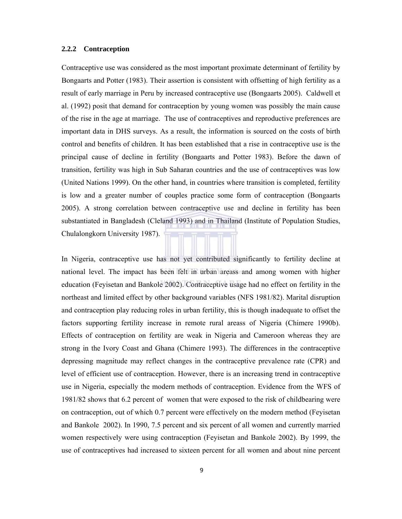# **2.2.2 Contraception**

Contraceptive use was considered as the most important proximate determinant of fertility by Bongaarts and Potter (1983). Their assertion is consistent with offsetting of high fertility as a result of early marriage in Peru by increased contraceptive use (Bongaarts 2005). Caldwell et al. (1992) posit that demand for contraception by young women was possibly the main cause of the rise in the age at marriage. The use of contraceptives and reproductive preferences are important data in DHS surveys. As a result, the information is sourced on the costs of birth control and benefits of children. It has been established that a rise in contraceptive use is the principal cause of decline in fertility (Bongaarts and Potter 1983). Before the dawn of transition, fertility was high in Sub Saharan countries and the use of contraceptives was low (United Nations 1999). On the other hand, in countries where transition is completed, fertility is low and a greater number of couples practice some form of contraception (Bongaarts 2005). A strong correlation between contraceptive use and decline in fertility has been substantiated in Bangladesh (Cleland 1993) and in Thailand (Institute of Population Studies, Chulalongkorn University 1987).

In Nigeria, contraceptive use has not yet contributed significantly to fertility decline at national level. The impact has been felt in urban areass and among women with higher education (Feyisetan and Bankole 2002). Contraceptive usage had no effect on fertility in the northeast and limited effect by other background variables (NFS 1981/82). Marital disruption and contraception play reducing roles in urban fertility, this is though inadequate to offset the factors supporting fertility increase in remote rural areass of Nigeria (Chimere 1990b). Effects of contraception on fertility are weak in Nigeria and Cameroon whereas they are strong in the Ivory Coast and Ghana (Chimere 1993). The differences in the contraceptive depressing magnitude may reflect changes in the contraceptive prevalence rate (CPR) and level of efficient use of contraception. However, there is an increasing trend in contraceptive use in Nigeria, especially the modern methods of contraception. Evidence from the WFS of 1981/82 shows that 6.2 percent of women that were exposed to the risk of childbearing were on contraception, out of which 0.7 percent were effectively on the modern method (Feyisetan and Bankole 2002). In 1990, 7.5 percent and six percent of all women and currently married women respectively were using contraception (Feyisetan and Bankole 2002). By 1999, the use of contraceptives had increased to sixteen percent for all women and about nine percent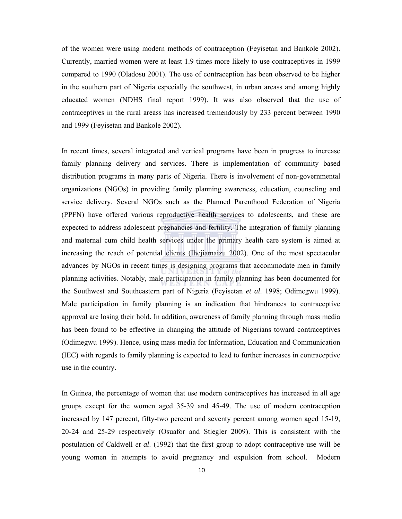of the women were using modern methods of contraception (Feyisetan and Bankole 2002). Currently, married women were at least 1.9 times more likely to use contraceptives in 1999 compared to 1990 (Oladosu 2001). The use of contraception has been observed to be higher in the southern part of Nigeria especially the southwest, in urban areass and among highly educated women (NDHS final report 1999). It was also observed that the use of contraceptives in the rural areass has increased tremendously by 233 percent between 1990 and 1999 (Feyisetan and Bankole 2002).

In recent times, several integrated and vertical programs have been in progress to increase family planning delivery and services. There is implementation of community based distribution programs in many parts of Nigeria. There is involvement of non-governmental organizations (NGOs) in providing family planning awareness, education, counseling and service delivery. Several NGOs such as the Planned Parenthood Federation of Nigeria (PPFN) have offered various reproductive health services to adolescents, and these are expected to address adolescent pregnancies and fertility. The integration of family planning and maternal cum child health services under the primary health care system is aimed at increasing the reach of potential clients (Ihejiamaizu 2002). One of the most spectacular advances by NGOs in recent times is designing programs that accommodate men in family planning activities. Notably, male participation in family planning has been documented for the Southwest and Southeastern part of Nigeria (Feyisetan *et al*. 1998; Odimegwu 1999). Male participation in family planning is an indication that hindrances to contraceptive approval are losing their hold. In addition, awareness of family planning through mass media has been found to be effective in changing the attitude of Nigerians toward contraceptives (Odimegwu 1999). Hence, using mass media for Information, Education and Communication (IEC) with regards to family planning is expected to lead to further increases in contraceptive use in the country.

In Guinea, the percentage of women that use modern contraceptives has increased in all age groups except for the women aged 35-39 and 45-49. The use of modern contraception increased by 147 percent, fifty-two percent and seventy percent among women aged 15-19, 20-24 and 25-29 respectively (Osuafor and Stiegler 2009). This is consistent with the postulation of Caldwell *et al*. (1992) that the first group to adopt contraceptive use will be young women in attempts to avoid pregnancy and expulsion from school. Modern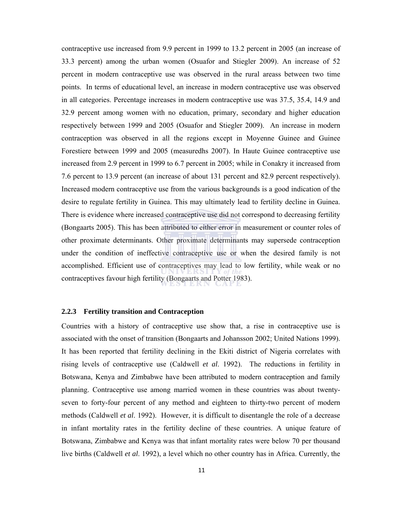contraceptive use increased from 9.9 percent in 1999 to 13.2 percent in 2005 (an increase of 33.3 percent) among the urban women (Osuafor and Stiegler 2009). An increase of 52 percent in modern contraceptive use was observed in the rural areass between two time points. In terms of educational level, an increase in modern contraceptive use was observed in all categories. Percentage increases in modern contraceptive use was 37.5, 35.4, 14.9 and 32.9 percent among women with no education, primary, secondary and higher education respectively between 1999 and 2005 (Osuafor and Stiegler 2009). An increase in modern contraception was observed in all the regions except in Moyenne Guinee and Guinee Forestiere between 1999 and 2005 (measuredhs 2007). In Haute Guinee contraceptive use increased from 2.9 percent in 1999 to 6.7 percent in 2005; while in Conakry it increased from 7.6 percent to 13.9 percent (an increase of about 131 percent and 82.9 percent respectively). Increased modern contraceptive use from the various backgrounds is a good indication of the desire to regulate fertility in Guinea. This may ultimately lead to fertility decline in Guinea. There is evidence where increased contraceptive use did not correspond to decreasing fertility (Bongaarts 2005). This has been attributed to either error in measurement or counter roles of other proximate determinants. Other proximate determinants may supersede contraception under the condition of ineffective contraceptive use or when the desired family is not accomplished. Efficient use of contraceptives may lead to low fertility, while weak or no contraceptives favour high fertility (Bongaarts and Potter 1983).

# **2.2.3 Fertility transition and Contraception**

Countries with a history of contraceptive use show that, a rise in contraceptive use is associated with the onset of transition (Bongaarts and Johansson 2002; United Nations 1999). It has been reported that fertility declining in the Ekiti district of Nigeria correlates with rising levels of contraceptive use (Caldwell *et al*. 1992). The reductions in fertility in Botswana, Kenya and Zimbabwe have been attributed to modern contraception and family planning. Contraceptive use among married women in these countries was about twentyseven to forty-four percent of any method and eighteen to thirty-two percent of modern methods (Caldwell *et al*. 1992). However, it is difficult to disentangle the role of a decrease in infant mortality rates in the fertility decline of these countries. A unique feature of Botswana, Zimbabwe and Kenya was that infant mortality rates were below 70 per thousand live births (Caldwell *et al*. 1992), a level which no other country has in Africa. Currently, the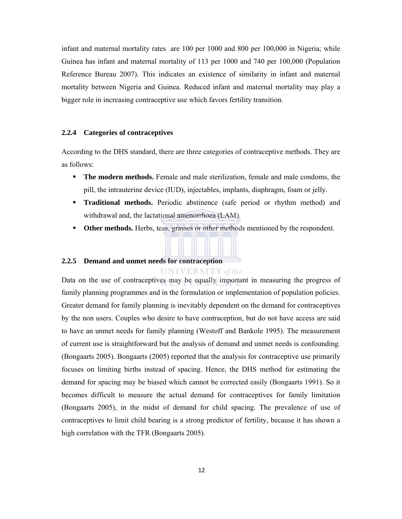infant and maternal mortality rates are 100 per 1000 and 800 per 100,000 in Nigeria; while Guinea has infant and maternal mortality of 113 per 1000 and 740 per 100,000 (Population Reference Bureau 2007). This indicates an existence of similarity in infant and maternal mortality between Nigeria and Guinea. Reduced infant and maternal mortality may play a bigger role in increasing contraceptive use which favors fertility transition.

## **2.2.4 Categories of contraceptives**

According to the DHS standard, there are three categories of contraceptive methods. They are as follows:

- **The modern methods.** Female and male sterilization, female and male condoms, the pill, the intrauterine device (IUD), injectables, implants, diaphragm, foam or jelly.
- **Traditional methods.** Periodic abstinence (safe period or rhythm method) and withdrawal and, the lactational amenorrhoea (LAM).
- **Other methods.** Herbs, teas, grasses or other methods mentioned by the respondent.

**UNIVERSITY** of the

### **2.2.5 Demand and unmet needs for contraception**

Data on the use of contraceptives may be equally important in measuring the progress of family planning programmes and in the formulation or implementation of population policies. Greater demand for family planning is inevitably dependent on the demand for contraceptives by the non users. Couples who desire to have contraception, but do not have access are said to have an unmet needs for family planning (Westoff and Bankole 1995). The measurement of current use is straightforward but the analysis of demand and unmet needs is confounding. (Bongaarts 2005). Bongaarts (2005) reported that the analysis for contraceptive use primarily focuses on limiting births instead of spacing. Hence, the DHS method for estimating the demand for spacing may be biased which cannot be corrected easily (Bongaarts 1991). So it becomes difficult to measure the actual demand for contraceptives for family limitation (Bongaarts 2005), in the midst of demand for child spacing. The prevalence of use of contraceptives to limit child bearing is a strong predictor of fertility, because it has shown a high correlation with the TFR (Bongaarts 2005).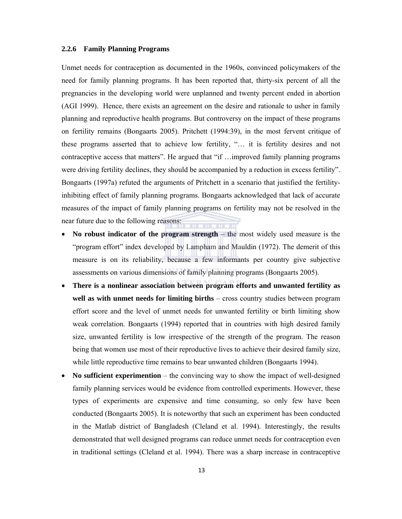## **2.2.6 Family Planning Programs**

Unmet needs for contraception as documented in the 1960s, convinced policymakers of the need for family planning programs. It has been reported that, thirty-six percent of all the pregnancies in the developing world were unplanned and twenty percent ended in abortion (AGI 1999). Hence, there exists an agreement on the desire and rationale to usher in family planning and reproductive health programs. But controversy on the impact of these programs on fertility remains (Bongaarts 2005). Pritchett (1994:39), in the most fervent critique of these programs asserted that to achieve low fertility, "… it is fertility desires and not contraceptive access that matters". He argued that "if …improved family planning programs were driving fertility declines, they should be accompanied by a reduction in excess fertility". Bongaarts (1997a) refuted the arguments of Pritchett in a scenario that justified the fertilityinhibiting effect of family planning programs. Bongaarts acknowledged that lack of accurate measures of the impact of family planning programs on fertility may not be resolved in the near future due to the following reasons:

- **No robust indicator of the program strength** the most widely used measure is the "program effort" index developed by Lampham and Mauldin (1972). The demerit of this measure is on its reliability, because a few informants per country give subjective assessments on various dimensions of family planning programs (Bongaarts 2005).
- **There is a nonlinear association between program efforts and unwanted fertility as well as with unmet needs for limiting births** – cross country studies between program effort score and the level of unmet needs for unwanted fertility or birth limiting show weak correlation. Bongaarts (1994) reported that in countries with high desired family size, unwanted fertility is low irrespective of the strength of the program. The reason being that women use most of their reproductive lives to achieve their desired family size, while little reproductive time remains to bear unwanted children (Bongaarts 1994).
- No sufficient experimention the convincing way to show the impact of well-designed family planning services would be evidence from controlled experiments. However, these types of experiments are expensive and time consuming, so only few have been conducted (Bongaarts 2005). It is noteworthy that such an experiment has been conducted in the Matlab district of Bangladesh (Cleland et al. 1994). Interestingly, the results demonstrated that well designed programs can reduce unmet needs for contraception even in traditional settings (Cleland et al. 1994). There was a sharp increase in contraceptive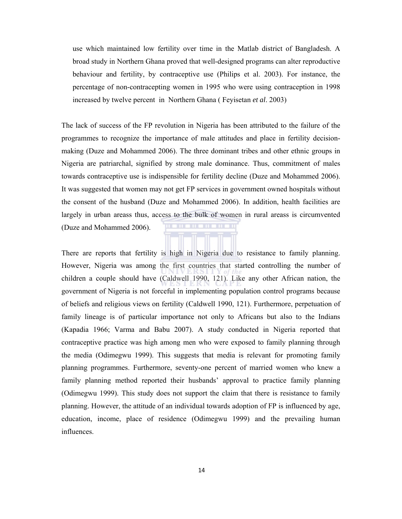use which maintained low fertility over time in the Matlab district of Bangladesh. A broad study in Northern Ghana proved that well-designed programs can alter reproductive behaviour and fertility, by contraceptive use (Philips et al. 2003). For instance, the percentage of non-contracepting women in 1995 who were using contraception in 1998 increased by twelve percent in Northern Ghana ( Feyisetan *et al*. 2003)

The lack of success of the FP revolution in Nigeria has been attributed to the failure of the programmes to recognize the importance of male attitudes and place in fertility decisionmaking (Duze and Mohammed 2006). The three dominant tribes and other ethnic groups in Nigeria are patriarchal, signified by strong male dominance. Thus, commitment of males towards contraceptive use is indispensible for fertility decline (Duze and Mohammed 2006). It was suggested that women may not get FP services in government owned hospitals without the consent of the husband (Duze and Mohammed 2006). In addition, health facilities are largely in urban areass thus, access to the bulk of women in rural areass is circumvented (Duze and Mohammed 2006).

There are reports that fertility is high in Nigeria due to resistance to family planning. However, Nigeria was among the first countries that started controlling the number of children a couple should have (Caldwell 1990, 121). Like any other African nation, the government of Nigeria is not forceful in implementing population control programs because of beliefs and religious views on fertility (Caldwell 1990, 121). Furthermore, perpetuation of family lineage is of particular importance not only to Africans but also to the Indians (Kapadia 1966; Varma and Babu 2007). A study conducted in Nigeria reported that contraceptive practice was high among men who were exposed to family planning through the media (Odimegwu 1999). This suggests that media is relevant for promoting family planning programmes. Furthermore, seventy-one percent of married women who knew a family planning method reported their husbands' approval to practice family planning (Odimegwu 1999). This study does not support the claim that there is resistance to family planning. However, the attitude of an individual towards adoption of FP is influenced by age, education, income, place of residence (Odimegwu 1999) and the prevailing human influences.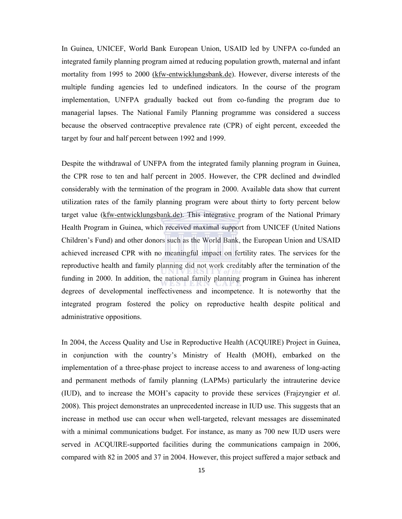In Guinea, UNICEF, World Bank European Union, USAID led by UNFPA co-funded an integrated family planning program aimed at reducing population growth, maternal and infant mortality from 1995 to 2000 (kfw-entwicklungsbank.de). However, diverse interests of the multiple funding agencies led to undefined indicators. In the course of the program implementation, UNFPA gradually backed out from co-funding the program due to managerial lapses. The National Family Planning programme was considered a success because the observed contraceptive prevalence rate (CPR) of eight percent, exceeded the target by four and half percent between 1992 and 1999.

Despite the withdrawal of UNFPA from the integrated family planning program in Guinea, the CPR rose to ten and half percent in 2005. However, the CPR declined and dwindled considerably with the termination of the program in 2000. Available data show that current utilization rates of the family planning program were about thirty to forty percent below target value (kfw-entwicklungsbank.de). This integrative program of the National Primary Health Program in Guinea, which received maximal support from UNICEF (United Nations Children's Fund) and other donors such as the World Bank, the European Union and USAID achieved increased CPR with no meaningful impact on fertility rates. The services for the reproductive health and family planning did not work creditably after the termination of the funding in 2000. In addition, the national family planning program in Guinea has inherent degrees of developmental ineffectiveness and incompetence. It is noteworthy that the integrated program fostered the policy on reproductive health despite political and administrative oppositions.

In 2004, the Access Quality and Use in Reproductive Health (ACQUIRE) Project in Guinea, in conjunction with the country's Ministry of Health (MOH), embarked on the implementation of a three-phase project to increase access to and awareness of long-acting and permanent methods of family planning (LAPMs) particularly the intrauterine device (IUD), and to increase the MOH's capacity to provide these services (Frajzyngier *et al*. 2008). This project demonstrates an unprecedented increase in IUD use. This suggests that an increase in method use can occur when well-targeted, relevant messages are disseminated with a minimal communications budget. For instance, as many as 700 new IUD users were served in ACQUIRE-supported facilities during the communications campaign in 2006, compared with 82 in 2005 and 37 in 2004. However, this project suffered a major setback and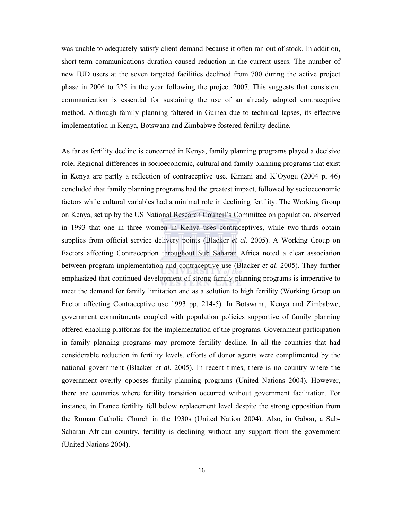was unable to adequately satisfy client demand because it often ran out of stock. In addition, short-term communications duration caused reduction in the current users. The number of new IUD users at the seven targeted facilities declined from 700 during the active project phase in 2006 to 225 in the year following the project 2007. This suggests that consistent communication is essential for sustaining the use of an already adopted contraceptive method. Although family planning faltered in Guinea due to technical lapses, its effective implementation in Kenya, Botswana and Zimbabwe fostered fertility decline.

As far as fertility decline is concerned in Kenya, family planning programs played a decisive role. Regional differences in socioeconomic, cultural and family planning programs that exist in Kenya are partly a reflection of contraceptive use. Kimani and K'Oyogu (2004 p, 46) concluded that family planning programs had the greatest impact, followed by socioeconomic factors while cultural variables had a minimal role in declining fertility. The Working Group on Kenya, set up by the US National Research Council's Committee on population, observed in 1993 that one in three women in Kenya uses contraceptives, while two-thirds obtain supplies from official service delivery points (Blacker *et al*. 2005). A Working Group on Factors affecting Contraception throughout Sub Saharan Africa noted a clear association between program implementation and contraceptive use (Blacker *et al*. 2005). They further emphasized that continued development of strong family planning programs is imperative to meet the demand for family limitation and as a solution to high fertility (Working Group on Factor affecting Contraceptive use 1993 pp, 214-5). In Botswana, Kenya and Zimbabwe, government commitments coupled with population policies supportive of family planning offered enabling platforms for the implementation of the programs. Government participation in family planning programs may promote fertility decline. In all the countries that had considerable reduction in fertility levels, efforts of donor agents were complimented by the national government (Blacker *et al*. 2005). In recent times, there is no country where the government overtly opposes family planning programs (United Nations 2004). However, there are countries where fertility transition occurred without government facilitation. For instance, in France fertility fell below replacement level despite the strong opposition from the Roman Catholic Church in the 1930s (United Nation 2004). Also, in Gabon, a Sub-Saharan African country, fertility is declining without any support from the government (United Nations 2004).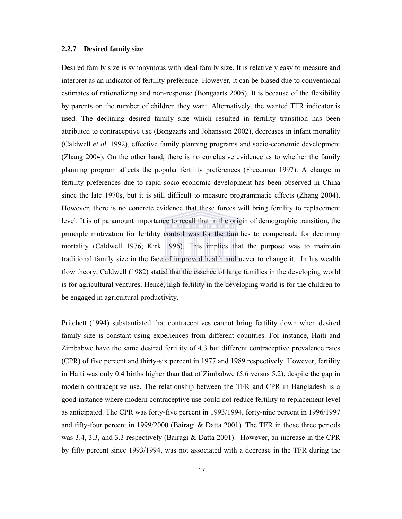## **2.2.7 Desired family size**

Desired family size is synonymous with ideal family size. It is relatively easy to measure and interpret as an indicator of fertility preference. However, it can be biased due to conventional estimates of rationalizing and non-response (Bongaarts 2005). It is because of the flexibility by parents on the number of children they want. Alternatively, the wanted TFR indicator is used. The declining desired family size which resulted in fertility transition has been attributed to contraceptive use (Bongaarts and Johansson 2002), decreases in infant mortality (Caldwell *et al*. 1992), effective family planning programs and socio-economic development (Zhang 2004). On the other hand, there is no conclusive evidence as to whether the family planning program affects the popular fertility preferences (Freedman 1997). A change in fertility preferences due to rapid socio-economic development has been observed in China since the late 1970s, but it is still difficult to measure programmatic effects (Zhang 2004). However, there is no concrete evidence that these forces will bring fertility to replacement level. It is of paramount importance to recall that in the origin of demographic transition, the principle motivation for fertility control was for the families to compensate for declining mortality (Caldwell 1976; Kirk 1996). This implies that the purpose was to maintain traditional family size in the face of improved health and never to change it. In his wealth flow theory, Caldwell (1982) stated that the essence of large families in the developing world is for agricultural ventures. Hence, high fertility in the developing world is for the children to be engaged in agricultural productivity.

Pritchett (1994) substantiated that contraceptives cannot bring fertility down when desired family size is constant using experiences from different countries. For instance, Haiti and Zimbabwe have the same desired fertility of 4.3 but different contraceptive prevalence rates (CPR) of five percent and thirty-six percent in 1977 and 1989 respectively. However, fertility in Haiti was only 0.4 births higher than that of Zimbabwe (5.6 versus 5.2), despite the gap in modern contraceptive use. The relationship between the TFR and CPR in Bangladesh is a good instance where modern contraceptive use could not reduce fertility to replacement level as anticipated. The CPR was forty-five percent in 1993/1994, forty-nine percent in 1996/1997 and fifty-four percent in 1999/2000 (Bairagi & Datta 2001). The TFR in those three periods was 3.4, 3.3, and 3.3 respectively (Bairagi & Datta 2001). However, an increase in the CPR by fifty percent since 1993/1994, was not associated with a decrease in the TFR during the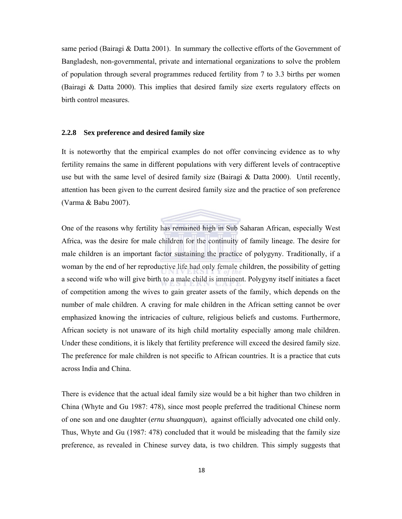same period (Bairagi & Datta 2001). In summary the collective efforts of the Government of Bangladesh, non-governmental, private and international organizations to solve the problem of population through several programmes reduced fertility from 7 to 3.3 births per women (Bairagi & Datta 2000). This implies that desired family size exerts regulatory effects on birth control measures.

## **2.2.8 Sex preference and desired family size**

It is noteworthy that the empirical examples do not offer convincing evidence as to why fertility remains the same in different populations with very different levels of contraceptive use but with the same level of desired family size (Bairagi  $\&$  Datta 2000). Until recently, attention has been given to the current desired family size and the practice of son preference (Varma & Babu 2007).

One of the reasons why fertility has remained high in Sub Saharan African, especially West Africa, was the desire for male children for the continuity of family lineage. The desire for male children is an important factor sustaining the practice of polygyny. Traditionally, if a woman by the end of her reproductive life had only female children, the possibility of getting a second wife who will give birth to a male child is imminent. Polygyny itself initiates a facet of competition among the wives to gain greater assets of the family, which depends on the number of male children. A craving for male children in the African setting cannot be over emphasized knowing the intricacies of culture, religious beliefs and customs. Furthermore, African society is not unaware of its high child mortality especially among male children. Under these conditions, it is likely that fertility preference will exceed the desired family size. The preference for male children is not specific to African countries. It is a practice that cuts across India and China.

There is evidence that the actual ideal family size would be a bit higher than two children in China (Whyte and Gu 1987: 478), since most people preferred the traditional Chinese norm of one son and one daughter (*ernu shuangquan*), against officially advocated one child only. Thus, Whyte and Gu (1987: 478) concluded that it would be misleading that the family size preference, as revealed in Chinese survey data, is two children. This simply suggests that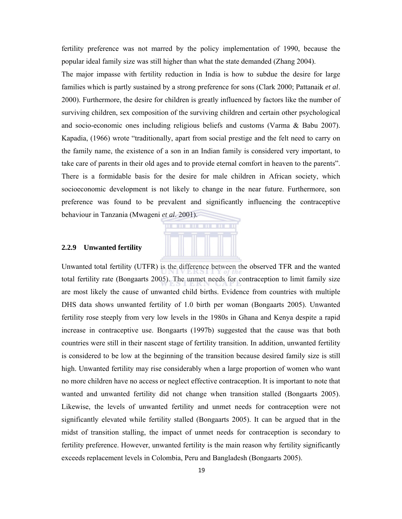fertility preference was not marred by the policy implementation of 1990, because the popular ideal family size was still higher than what the state demanded (Zhang 2004).

The major impasse with fertility reduction in India is how to subdue the desire for large families which is partly sustained by a strong preference for sons (Clark 2000; Pattanaik *et al*. 2000). Furthermore, the desire for children is greatly influenced by factors like the number of surviving children, sex composition of the surviving children and certain other psychological and socio-economic ones including religious beliefs and customs (Varma & Babu 2007). Kapadia, (1966) wrote "traditionally, apart from social prestige and the felt need to carry on the family name, the existence of a son in an Indian family is considered very important, to take care of parents in their old ages and to provide eternal comfort in heaven to the parents". There is a formidable basis for the desire for male children in African society, which socioeconomic development is not likely to change in the near future. Furthermore, son preference was found to be prevalent and significantly influencing the contraceptive behaviour in Tanzania (Mwageni *et al*. 2001).



### **2.2.9 Unwanted fertility**

Unwanted total fertility (UTFR) is the difference between the observed TFR and the wanted total fertility rate (Bongaarts 2005). The unmet needs for contraception to limit family size are most likely the cause of unwanted child births. Evidence from countries with multiple DHS data shows unwanted fertility of 1.0 birth per woman (Bongaarts 2005). Unwanted fertility rose steeply from very low levels in the 1980s in Ghana and Kenya despite a rapid increase in contraceptive use. Bongaarts (1997b) suggested that the cause was that both countries were still in their nascent stage of fertility transition. In addition, unwanted fertility is considered to be low at the beginning of the transition because desired family size is still high. Unwanted fertility may rise considerably when a large proportion of women who want no more children have no access or neglect effective contraception. It is important to note that wanted and unwanted fertility did not change when transition stalled (Bongaarts 2005). Likewise, the levels of unwanted fertility and unmet needs for contraception were not significantly elevated while fertility stalled (Bongaarts 2005). It can be argued that in the midst of transition stalling, the impact of unmet needs for contraception is secondary to fertility preference. However, unwanted fertility is the main reason why fertility significantly exceeds replacement levels in Colombia, Peru and Bangladesh (Bongaarts 2005).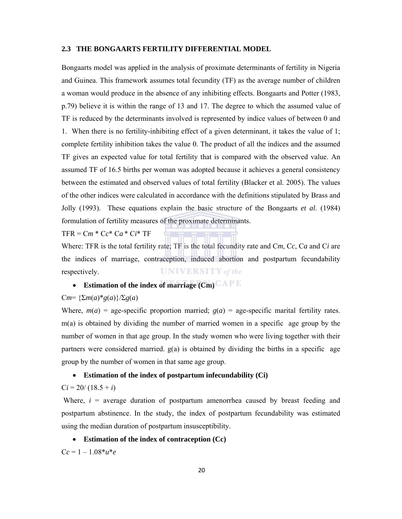# **2.3 THE BONGAARTS FERTILITY DIFFERENTIAL MODEL**

Bongaarts model was applied in the analysis of proximate determinants of fertility in Nigeria and Guinea. This framework assumes total fecundity (TF) as the average number of children a woman would produce in the absence of any inhibiting effects. Bongaarts and Potter (1983, p.79) believe it is within the range of 13 and 17. The degree to which the assumed value of TF is reduced by the determinants involved is represented by indice values of between 0 and 1. When there is no fertility-inhibiting effect of a given determinant, it takes the value of 1; complete fertility inhibition takes the value 0. The product of all the indices and the assumed TF gives an expected value for total fertility that is compared with the observed value. An assumed TF of 16.5 births per woman was adopted because it achieves a general consistency between the estimated and observed values of total fertility (Blacker et al. 2005). The values of the other indices were calculated in accordance with the definitions stipulated by Brass and Jolly (1993). These equations explain the basic structure of the Bongaarts *et al*. (1984) formulation of fertility measures of the proximate determinants.

 $TFR = Cm * Cc * Ca * Ci * TF$ 

Where: TFR is the total fertility rate; TF is the total fecundity rate and C*m*, C*c*, C*a* and C*i* are the indices of marriage, contraception, induced abortion and postpartum fecundability **UNIVERSITY** of the respectively.

# **Estimation of the index of marriage (Cm)**

## $Cm = {\sum m(a)*g(a)}{\sum g(a)}$

Where,  $m(a)$  = age-specific proportion married;  $g(a)$  = age-specific marital fertility rates. m(a) is obtained by dividing the number of married women in a specific age group by the number of women in that age group. In the study women who were living together with their partners were considered married.  $g(a)$  is obtained by dividing the births in a specific age group by the number of women in that same age group.

# **Estimation of the index of postpartum infecundability (Ci)**

# $Ci = 20/(18.5 + i)$

Where,  $i =$  average duration of postpartum amenorrhea caused by breast feeding and postpartum abstinence. In the study, the index of postpartum fecundability was estimated using the median duration of postpartum insusceptibility.

# **Estimation of the index of contraception (Cc)**

 $Cc = 1 - 1.08 * u * e$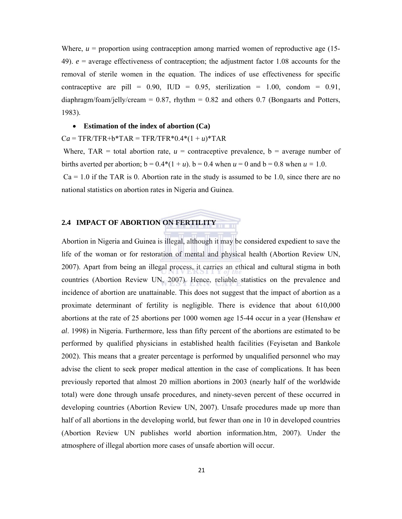Where,  $u =$  proportion using contraception among married women of reproductive age  $(15$ -49). *e* = average effectiveness of contraception; the adjustment factor 1.08 accounts for the removal of sterile women in the equation. The indices of use effectiveness for specific contraceptive are pill =  $0.90$ , IUD =  $0.95$ , sterilization =  $1.00$ , condom =  $0.91$ , diaphragm/foam/jelly/cream = 0.87, rhythm = 0.82 and others 0.7 (Bongaarts and Potters, 1983).

### **Estimation of the index of abortion (Ca)**

 $Ca = TFR/TFR + b*TAR = TFR/TFR*0.4*(1 + u)*TAR$ 

Where, TAR = total abortion rate,  $u =$  contraceptive prevalence,  $b =$  average number of births averted per abortion;  $b = 0.4*(1 + u)$ .  $b = 0.4$  when  $u = 0$  and  $b = 0.8$  when  $u = 1.0$ .  $Ca = 1.0$  if the TAR is 0. Abortion rate in the study is assumed to be 1.0, since there are no national statistics on abortion rates in Nigeria and Guinea.

## **2.4 IMPACT OF ABORTION ON FERTILITY**

Abortion in Nigeria and Guinea is illegal, although it may be considered expedient to save the life of the woman or for restoration of mental and physical health (Abortion Review UN, 2007). Apart from being an illegal process, it carries an ethical and cultural stigma in both countries (Abortion Review UN, 2007). Hence, reliable statistics on the prevalence and incidence of abortion are unattainable. This does not suggest that the impact of abortion as a proximate determinant of fertility is negligible. There is evidence that about 610,000 abortions at the rate of 25 abortions per 1000 women age 15-44 occur in a year (Henshaw *et al*. 1998) in Nigeria. Furthermore, less than fifty percent of the abortions are estimated to be performed by qualified physicians in established health facilities (Feyisetan and Bankole 2002). This means that a greater percentage is performed by unqualified personnel who may advise the client to seek proper medical attention in the case of complications. It has been previously reported that almost 20 million abortions in 2003 (nearly half of the worldwide total) were done through unsafe procedures, and ninety-seven percent of these occurred in developing countries (Abortion Review UN, 2007). Unsafe procedures made up more than half of all abortions in the developing world, but fewer than one in 10 in developed countries (Abortion Review UN publishes world abortion information.htm, 2007). Under the atmosphere of illegal abortion more cases of unsafe abortion will occur.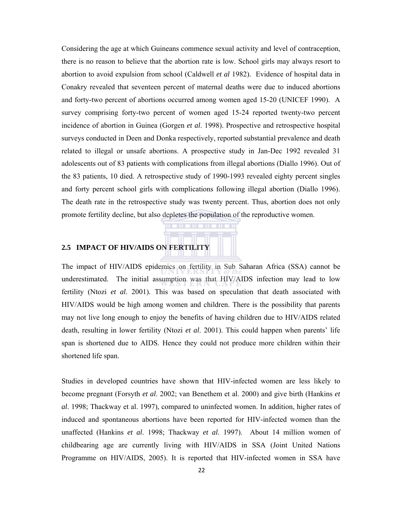Considering the age at which Guineans commence sexual activity and level of contraception, there is no reason to believe that the abortion rate is low. School girls may always resort to abortion to avoid expulsion from school (Caldwell *et al* 1982). Evidence of hospital data in Conakry revealed that seventeen percent of maternal deaths were due to induced abortions and forty-two percent of abortions occurred among women aged 15-20 (UNICEF 1990). A survey comprising forty-two percent of women aged 15-24 reported twenty-two percent incidence of abortion in Guinea (Gorgen *et al*. 1998). Prospective and retrospective hospital surveys conducted in Deen and Donka respectively, reported substantial prevalence and death related to illegal or unsafe abortions. A prospective study in Jan-Dec 1992 revealed 31 adolescents out of 83 patients with complications from illegal abortions (Diallo 1996). Out of the 83 patients, 10 died. A retrospective study of 1990-1993 revealed eighty percent singles and forty percent school girls with complications following illegal abortion (Diallo 1996). The death rate in the retrospective study was twenty percent. Thus, abortion does not only promote fertility decline, but also depletes the population of the reproductive women.

# **2.5 IMPACT OF HIV/AIDS ON FERTILITY**

The impact of HIV/AIDS epidemics on fertility in Sub Saharan Africa (SSA) cannot be underestimated. The initial assumption was that HIV/AIDS infection may lead to low fertility (Ntozi *et al*. 2001). This was based on speculation that death associated with HIV/AIDS would be high among women and children. There is the possibility that parents may not live long enough to enjoy the benefits of having children due to HIV/AIDS related death, resulting in lower fertility (Ntozi *et al*. 2001). This could happen when parents' life span is shortened due to AIDS. Hence they could not produce more children within their shortened life span.

Studies in developed countries have shown that HIV-infected women are less likely to become pregnant (Forsyth *et al*. 2002; van Benethem et al. 2000) and give birth (Hankins *et al*. 1998; Thackway et al. 1997), compared to uninfected women. In addition, higher rates of induced and spontaneous abortions have been reported for HIV-infected women than the unaffected (Hankins *et al*. 1998; Thackway *et al*. 1997). About 14 million women of childbearing age are currently living with HIV/AIDS in SSA (Joint United Nations Programme on HIV/AIDS, 2005). It is reported that HIV-infected women in SSA have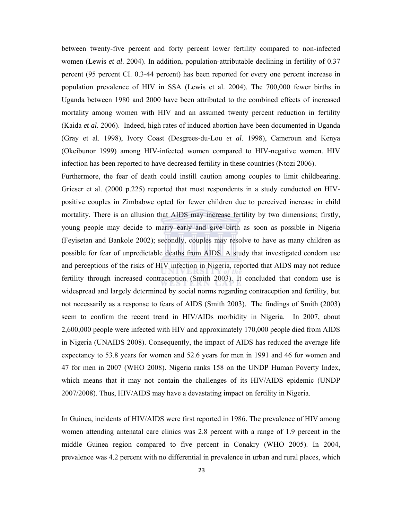between twenty-five percent and forty percent lower fertility compared to non-infected women (Lewis *et al*. 2004). In addition, population-attributable declining in fertility of 0.37 percent (95 percent CI. 0.3-44 percent) has been reported for every one percent increase in population prevalence of HIV in SSA (Lewis et al. 2004). The 700,000 fewer births in Uganda between 1980 and 2000 have been attributed to the combined effects of increased mortality among women with HIV and an assumed twenty percent reduction in fertility (Kaida *et al*. 2006). Indeed, high rates of induced abortion have been documented in Uganda (Gray et al. 1998), Ivory Coast (Desgrees-du-Lou *et al*. 1998), Cameroun and Kenya (Okeibunor 1999) among HIV-infected women compared to HIV-negative women. HIV infection has been reported to have decreased fertility in these countries (Ntozi 2006).

Furthermore, the fear of death could instill caution among couples to limit childbearing. Grieser et al. (2000 p.225) reported that most respondents in a study conducted on HIVpositive couples in Zimbabwe opted for fewer children due to perceived increase in child mortality. There is an allusion that AIDS may increase fertility by two dimensions; firstly, young people may decide to marry early and give birth as soon as possible in Nigeria (Feyisetan and Bankole 2002); secondly, couples may resolve to have as many children as possible for fear of unpredictable deaths from AIDS. A study that investigated condom use and perceptions of the risks of HIV infection in Nigeria, reported that AIDS may not reduce fertility through increased contraception (Smith 2003). It concluded that condom use is widespread and largely determined by social norms regarding contraception and fertility, but not necessarily as a response to fears of AIDS (Smith 2003). The findings of Smith (2003) seem to confirm the recent trend in HIV/AIDs morbidity in Nigeria. In 2007, about 2,600,000 people were infected with HIV and approximately 170,000 people died from AIDS in Nigeria (UNAIDS 2008). Consequently, the impact of AIDS has reduced the average life expectancy to 53.8 years for women and 52.6 years for men in 1991 and 46 for women and 47 for men in 2007 (WHO 2008). Nigeria ranks 158 on the UNDP Human Poverty Index, which means that it may not contain the challenges of its HIV/AIDS epidemic (UNDP 2007/2008). Thus, HIV/AIDS may have a devastating impact on fertility in Nigeria.

In Guinea, incidents of HIV/AIDS were first reported in 1986. The prevalence of HIV among women attending antenatal care clinics was 2.8 percent with a range of 1.9 percent in the middle Guinea region compared to five percent in Conakry (WHO 2005). In 2004, prevalence was 4.2 percent with no differential in prevalence in urban and rural places, which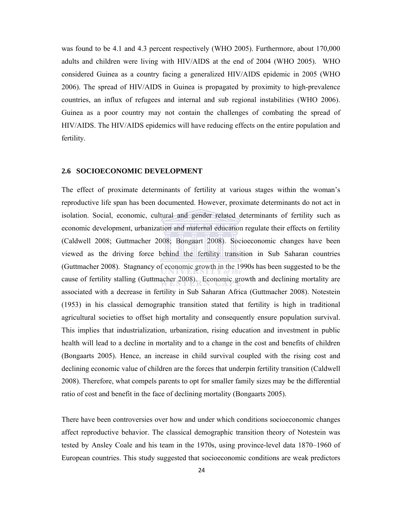was found to be 4.1 and 4.3 percent respectively (WHO 2005). Furthermore, about 170,000 adults and children were living with HIV/AIDS at the end of 2004 (WHO 2005). WHO considered Guinea as a country facing a generalized HIV/AIDS epidemic in 2005 (WHO 2006). The spread of HIV/AIDS in Guinea is propagated by proximity to high-prevalence countries, an influx of refugees and internal and sub regional instabilities (WHO 2006). Guinea as a poor country may not contain the challenges of combating the spread of HIV/AIDS. The HIV/AIDS epidemics will have reducing effects on the entire population and fertility.

#### **2.6 SOCIOECONOMIC DEVELOPMENT**

The effect of proximate determinants of fertility at various stages within the woman's reproductive life span has been documented. However, proximate determinants do not act in isolation. Social, economic, cultural and gender related determinants of fertility such as economic development, urbanization and maternal education regulate their effects on fertility (Caldwell 2008; Guttmacher 2008; Bongaart 2008). Socioeconomic changes have been viewed as the driving force behind the fertility transition in Sub Saharan countries (Guttmacher 2008). Stagnancy of economic growth in the 1990s has been suggested to be the cause of fertility stalling (Guttmacher 2008). Economic growth and declining mortality are associated with a decrease in fertility in Sub Saharan Africa (Guttmacher 2008). Notestein (1953) in his classical demographic transition stated that fertility is high in traditional agricultural societies to offset high mortality and consequently ensure population survival. This implies that industrialization, urbanization, rising education and investment in public health will lead to a decline in mortality and to a change in the cost and benefits of children (Bongaarts 2005). Hence, an increase in child survival coupled with the rising cost and declining economic value of children are the forces that underpin fertility transition (Caldwell 2008). Therefore, what compels parents to opt for smaller family sizes may be the differential ratio of cost and benefit in the face of declining mortality (Bongaarts 2005).

There have been controversies over how and under which conditions socioeconomic changes affect reproductive behavior. The classical demographic transition theory of Notestein was tested by Ansley Coale and his team in the 1970s, using province-level data 1870–1960 of European countries. This study suggested that socioeconomic conditions are weak predictors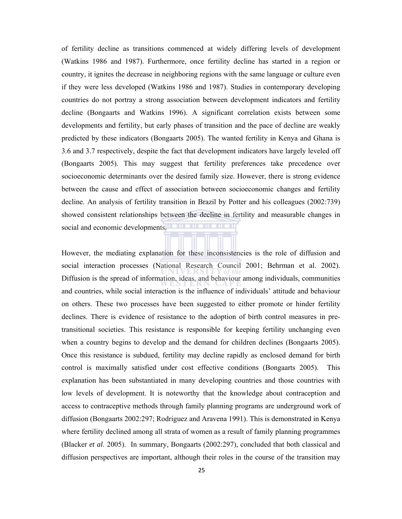of fertility decline as transitions commenced at widely differing levels of development (Watkins 1986 and 1987). Furthermore, once fertility decline has started in a region or country, it ignites the decrease in neighboring regions with the same language or culture even if they were less developed (Watkins 1986 and 1987). Studies in contemporary developing countries do not portray a strong association between development indicators and fertility decline (Bongaarts and Watkins 1996). A significant correlation exists between some developments and fertility, but early phases of transition and the pace of decline are weakly predicted by these indicators (Bongaarts 2005). The wanted fertility in Kenya and Ghana is 3.6 and 3.7 respectively, despite the fact that development indicators have largely leveled off (Bongaarts 2005). This may suggest that fertility preferences take precedence over socioeconomic determinants over the desired family size. However, there is strong evidence between the cause and effect of association between socioeconomic changes and fertility decline. An analysis of fertility transition in Brazil by Potter and his colleagues (2002:739) showed consistent relationships between the decline in fertility and measurable changes in social and economic developments.

However, the mediating explanation for these inconsistencies is the role of diffusion and social interaction processes (National Research Council 2001; Behrman et al. 2002). Diffusion is the spread of information, ideas, and behaviour among individuals, communities and countries, while social interaction is the influence of individuals' attitude and behaviour on others. These two processes have been suggested to either promote or hinder fertility declines. There is evidence of resistance to the adoption of birth control measures in pretransitional societies. This resistance is responsible for keeping fertility unchanging even when a country begins to develop and the demand for children declines (Bongaarts 2005). Once this resistance is subdued, fertility may decline rapidly as enclosed demand for birth control is maximally satisfied under cost effective conditions (Bongaarts 2005). This explanation has been substantiated in many developing countries and those countries with low levels of development. It is noteworthy that the knowledge about contraception and access to contraceptive methods through family planning programs are underground work of diffusion (Bongaarts 2002:297; Rodriguez and Aravena 1991). This is demonstrated in Kenya where fertility declined among all strata of women as a result of family planning programmes (Blacker *et al*. 2005). In summary, Bongaarts (2002:297), concluded that both classical and diffusion perspectives are important, although their roles in the course of the transition may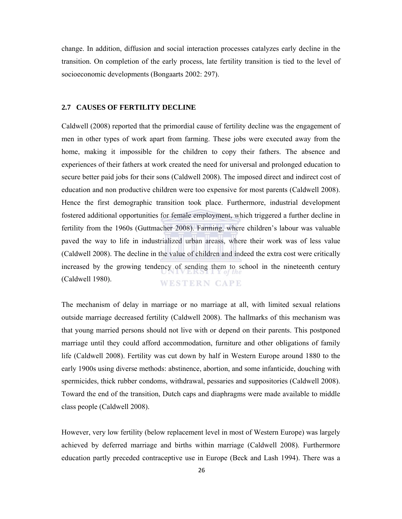change. In addition, diffusion and social interaction processes catalyzes early decline in the transition. On completion of the early process, late fertility transition is tied to the level of socioeconomic developments (Bongaarts 2002: 297).

#### **2.7 CAUSES OF FERTILITY DECLINE**

Caldwell (2008) reported that the primordial cause of fertility decline was the engagement of men in other types of work apart from farming. These jobs were executed away from the home, making it impossible for the children to copy their fathers. The absence and experiences of their fathers at work created the need for universal and prolonged education to secure better paid jobs for their sons (Caldwell 2008). The imposed direct and indirect cost of education and non productive children were too expensive for most parents (Caldwell 2008). Hence the first demographic transition took place. Furthermore, industrial development fostered additional opportunities for female employment, which triggered a further decline in fertility from the 1960s (Guttmacher 2008). Farming, where children's labour was valuable paved the way to life in industrialized urban areass, where their work was of less value (Caldwell 2008). The decline in the value of children and indeed the extra cost were critically increased by the growing tendency of sending them to school in the nineteenth century (Caldwell 1980). **WESTERN CAPE** 

The mechanism of delay in marriage or no marriage at all, with limited sexual relations outside marriage decreased fertility (Caldwell 2008). The hallmarks of this mechanism was that young married persons should not live with or depend on their parents. This postponed marriage until they could afford accommodation, furniture and other obligations of family life (Caldwell 2008). Fertility was cut down by half in Western Europe around 1880 to the early 1900s using diverse methods: abstinence, abortion, and some infanticide, douching with spermicides, thick rubber condoms, withdrawal, pessaries and suppositories (Caldwell 2008). Toward the end of the transition, Dutch caps and diaphragms were made available to middle class people (Caldwell 2008).

However, very low fertility (below replacement level in most of Western Europe) was largely achieved by deferred marriage and births within marriage (Caldwell 2008). Furthermore education partly preceded contraceptive use in Europe (Beck and Lash 1994). There was a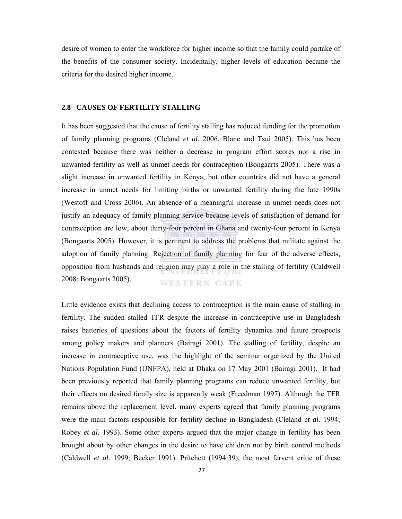desire of women to enter the workforce for higher income so that the family could partake of the benefits of the consumer society. Incidentally, higher levels of education became the criteria for the desired higher income.

#### **2.8 CAUSES OF FERTILITY STALLING**

It has been suggested that the cause of fertility stalling has reduced funding for the promotion of family planning programs (Cleland *et al*. 2006, Blanc and Tsui 2005). This has been contested because there was neither a decrease in program effort scores nor a rise in unwanted fertility as well as unmet needs for contraception (Bongaarts 2005). There was a slight increase in unwanted fertility in Kenya, but other countries did not have a general increase in unmet needs for limiting births or unwanted fertility during the late 1990s (Westoff and Cross 2006). An absence of a meaningful increase in unmet needs does not justify an adequacy of family planning service because levels of satisfaction of demand for contraception are low, about thirty-four percent in Ghana and twenty-four percent in Kenya (Bongaarts 2005). However, it is pertinent to address the problems that militate against the adoption of family planning. Rejection of family planning for fear of the adverse effects, opposition from husbands and religion may play a role in the stalling of fertility (Caldwell 2008; Bongaarts 2005). **WESTERN CAPE** 

Little evidence exists that declining access to contraception is the main cause of stalling in fertility. The sudden stalled TFR despite the increase in contraceptive use in Bangladesh raises batteries of questions about the factors of fertility dynamics and future prospects among policy makers and planners (Bairagi 2001). The stalling of fertility, despite an increase in contraceptive use, was the highlight of the seminar organized by the United Nations Population Fund (UNFPA), held at Dhaka on 17 May 2001 (Bairagi 2001). It had been previously reported that family planning programs can reduce unwanted fertility, but their effects on desired family size is apparently weak (Freedman 1997). Although the TFR remains above the replacement level, many experts agreed that family planning programs were the main factors responsible for fertility decline in Bangladesh (Cleland *et al*. 1994; Robey *et al*. 1993). Some other experts argued that the major change in fertility has been brought about by other changes in the desire to have children not by birth control methods (Caldwell *et al.* 1999; Becker 1991). Pritchett (1994:39), the most fervent critic of these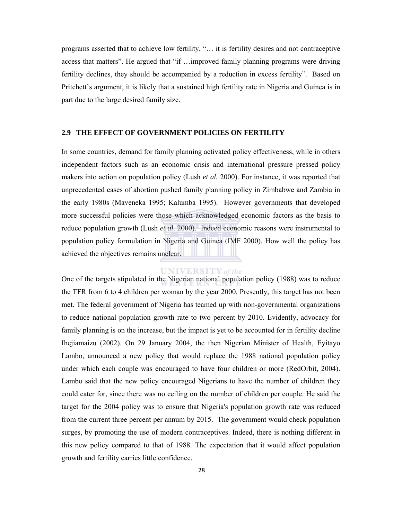programs asserted that to achieve low fertility, "… it is fertility desires and not contraceptive access that matters". He argued that "if …improved family planning programs were driving fertility declines, they should be accompanied by a reduction in excess fertility". Based on Pritchett's argument, it is likely that a sustained high fertility rate in Nigeria and Guinea is in part due to the large desired family size.

#### **2.9 THE EFFECT OF GOVERNMENT POLICIES ON FERTILITY**

In some countries, demand for family planning activated policy effectiveness, while in others independent factors such as an economic crisis and international pressure pressed policy makers into action on population policy (Lush *et al.* 2000). For instance, it was reported that unprecedented cases of abortion pushed family planning policy in Zimbabwe and Zambia in the early 1980s (Maveneka 1995; Kalumba 1995). However governments that developed more successful policies were those which acknowledged economic factors as the basis to reduce population growth (Lush *et al*. 2000). Indeed economic reasons were instrumental to population policy formulation in Nigeria and Guinea (IMF 2000). How well the policy has achieved the objectives remains unclear.

#### **UNIVERSITY** of the

One of the targets stipulated in the Nigerian national population policy (1988) was to reduce the TFR from 6 to 4 children per woman by the year 2000. Presently, this target has not been met. The federal government of Nigeria has teamed up with non-governmental organizations to reduce national population growth rate to two percent by 2010. Evidently, advocacy for family planning is on the increase, but the impact is yet to be accounted for in fertility decline Ihejiamaizu (2002). On 29 January 2004, the then Nigerian Minister of Health, Eyitayo Lambo, announced a new policy that would replace the 1988 national population policy under which each couple was encouraged to have four children or more (RedOrbit, 2004). Lambo said that the new policy encouraged Nigerians to have the number of children they could cater for, since there was no ceiling on the number of children per couple. He said the target for the 2004 policy was to ensure that Nigeria's population growth rate was reduced from the current three percent per annum by 2015. The government would check population surges, by promoting the use of modern contraceptives. Indeed, there is nothing different in this new policy compared to that of 1988. The expectation that it would affect population growth and fertility carries little confidence.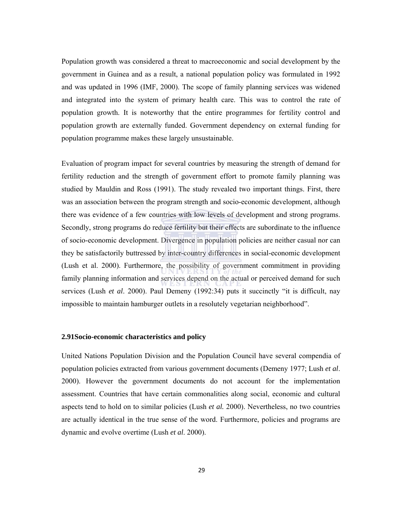Population growth was considered a threat to macroeconomic and social development by the government in Guinea and as a result, a national population policy was formulated in 1992 and was updated in 1996 (IMF, 2000). The scope of family planning services was widened and integrated into the system of primary health care. This was to control the rate of population growth. It is noteworthy that the entire programmes for fertility control and population growth are externally funded. Government dependency on external funding for population programme makes these largely unsustainable.

Evaluation of program impact for several countries by measuring the strength of demand for fertility reduction and the strength of government effort to promote family planning was studied by Mauldin and Ross (1991). The study revealed two important things. First, there was an association between the program strength and socio-economic development, although there was evidence of a few countries with low levels of development and strong programs. Secondly, strong programs do reduce fertility but their effects are subordinate to the influence of socio-economic development. Divergence in population policies are neither casual nor can they be satisfactorily buttressed by inter-country differences in social-economic development (Lush et al. 2000). Furthermore, the possibility of government commitment in providing family planning information and services depend on the actual or perceived demand for such services (Lush *et al*. 2000). Paul Demeny (1992:34) puts it succinctly "it is difficult, nay impossible to maintain hamburger outlets in a resolutely vegetarian neighborhood".

#### **2.91Socio-economic characteristics and policy**

United Nations Population Division and the Population Council have several compendia of population policies extracted from various government documents (Demeny 1977; Lush *et al*. 2000). However the government documents do not account for the implementation assessment. Countries that have certain commonalities along social, economic and cultural aspects tend to hold on to similar policies (Lush *et al.* 2000). Nevertheless, no two countries are actually identical in the true sense of the word. Furthermore, policies and programs are dynamic and evolve overtime (Lush *et al*. 2000).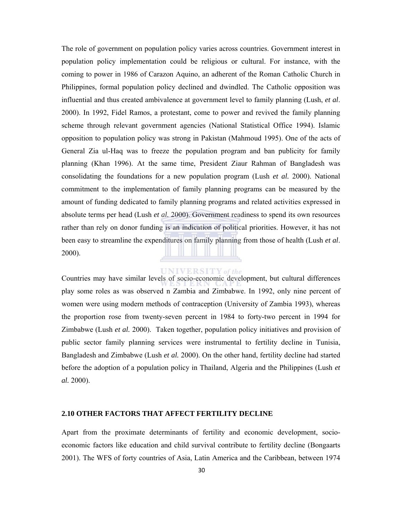The role of government on population policy varies across countries. Government interest in population policy implementation could be religious or cultural. For instance, with the coming to power in 1986 of Carazon Aquino, an adherent of the Roman Catholic Church in Philippines, formal population policy declined and dwindled. The Catholic opposition was influential and thus created ambivalence at government level to family planning (Lush, *et al*. 2000). In 1992, Fidel Ramos, a protestant, come to power and revived the family planning scheme through relevant government agencies (National Statistical Office 1994). Islamic opposition to population policy was strong in Pakistan (Mahmoud 1995). One of the acts of General Zia ul-Haq was to freeze the population program and ban publicity for family planning (Khan 1996). At the same time, President Ziaur Rahman of Bangladesh was consolidating the foundations for a new population program (Lush *et al.* 2000). National commitment to the implementation of family planning programs can be measured by the amount of funding dedicated to family planning programs and related activities expressed in absolute terms per head (Lush *et al.* 2000). Government readiness to spend its own resources rather than rely on donor funding is an indication of political priorities. However, it has not been easy to streamline the expenditures on family planning from those of health (Lush *et al*. 2000).

### **UNIVERSITY** of the

Countries may have similar levels of socio-economic development, but cultural differences play some roles as was observed n Zambia and Zimbabwe. In 1992, only nine percent of women were using modern methods of contraception (University of Zambia 1993), whereas the proportion rose from twenty-seven percent in 1984 to forty-two percent in 1994 for Zimbabwe (Lush *et al.* 2000). Taken together, population policy initiatives and provision of public sector family planning services were instrumental to fertility decline in Tunisia, Bangladesh and Zimbabwe (Lush *et al.* 2000). On the other hand, fertility decline had started before the adoption of a population policy in Thailand, Algeria and the Philippines (Lush *et al.* 2000).

#### **2.10 OTHER FACTORS THAT AFFECT FERTILITY DECLINE**

Apart from the proximate determinants of fertility and economic development, socioeconomic factors like education and child survival contribute to fertility decline (Bongaarts 2001). The WFS of forty countries of Asia, Latin America and the Caribbean, between 1974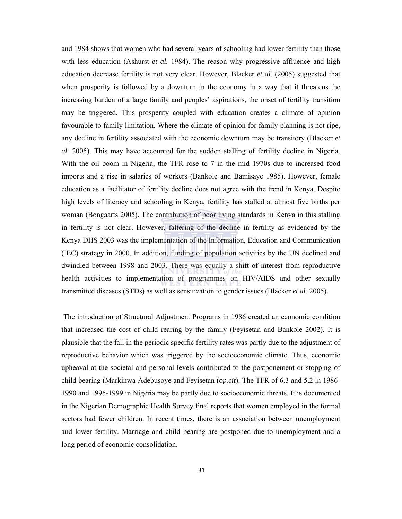and 1984 shows that women who had several years of schooling had lower fertility than those with less education (Ashurst *et al.* 1984). The reason why progressive affluence and high education decrease fertility is not very clear. However, Blacker *et al*. (2005) suggested that when prosperity is followed by a downturn in the economy in a way that it threatens the increasing burden of a large family and peoples' aspirations, the onset of fertility transition may be triggered. This prosperity coupled with education creates a climate of opinion favourable to family limitation. Where the climate of opinion for family planning is not ripe, any decline in fertility associated with the economic downturn may be transitory (Blacker *et al.* 2005). This may have accounted for the sudden stalling of fertility decline in Nigeria. With the oil boom in Nigeria, the TFR rose to 7 in the mid 1970s due to increased food imports and a rise in salaries of workers (Bankole and Bamisaye 1985). However, female education as a facilitator of fertility decline does not agree with the trend in Kenya. Despite high levels of literacy and schooling in Kenya, fertility has stalled at almost five births per woman (Bongaarts 2005). The contribution of poor living standards in Kenya in this stalling in fertility is not clear. However, faltering of the decline in fertility as evidenced by the Kenya DHS 2003 was the implementation of the Information, Education and Communication (IEC) strategy in 2000. In addition, funding of population activities by the UN declined and dwindled between 1998 and 2003. There was equally a shift of interest from reproductive health activities to implementation of programmes on HIV/AIDS and other sexually transmitted diseases (STDs) as well as sensitization to gender issues (Blacker *et al.* 2005).

 The introduction of Structural Adjustment Programs in 1986 created an economic condition that increased the cost of child rearing by the family (Feyisetan and Bankole 2002). It is plausible that the fall in the periodic specific fertility rates was partly due to the adjustment of reproductive behavior which was triggered by the socioeconomic climate. Thus, economic upheaval at the societal and personal levels contributed to the postponement or stopping of child bearing (Markinwa-Adebusoye and Feyisetan (*op.cit*). The TFR of 6.3 and 5.2 in 1986- 1990 and 1995-1999 in Nigeria may be partly due to socioeconomic threats. It is documented in the Nigerian Demographic Health Survey final reports that women employed in the formal sectors had fewer children. In recent times, there is an association between unemployment and lower fertility. Marriage and child bearing are postponed due to unemployment and a long period of economic consolidation.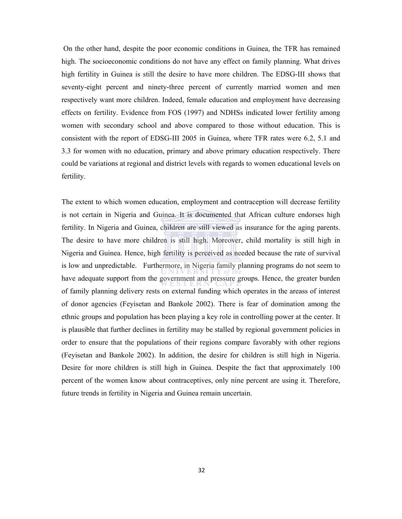On the other hand, despite the poor economic conditions in Guinea, the TFR has remained high. The socioeconomic conditions do not have any effect on family planning. What drives high fertility in Guinea is still the desire to have more children. The EDSG-III shows that seventy-eight percent and ninety-three percent of currently married women and men respectively want more children. Indeed, female education and employment have decreasing effects on fertility. Evidence from FOS (1997) and NDHSs indicated lower fertility among women with secondary school and above compared to those without education. This is consistent with the report of EDSG-III 2005 in Guinea, where TFR rates were 6.2, 5.1 and 3.3 for women with no education, primary and above primary education respectively. There could be variations at regional and district levels with regards to women educational levels on fertility.

The extent to which women education, employment and contraception will decrease fertility is not certain in Nigeria and Guinea. It is documented that African culture endorses high fertility. In Nigeria and Guinea, children are still viewed as insurance for the aging parents. The desire to have more children is still high. Moreover, child mortality is still high in Nigeria and Guinea. Hence, high fertility is perceived as needed because the rate of survival is low and unpredictable. Furthermore, in Nigeria family planning programs do not seem to have adequate support from the government and pressure groups. Hence, the greater burden of family planning delivery rests on external funding which operates in the areass of interest of donor agencies (Feyisetan and Bankole 2002). There is fear of domination among the ethnic groups and population has been playing a key role in controlling power at the center. It is plausible that further declines in fertility may be stalled by regional government policies in order to ensure that the populations of their regions compare favorably with other regions (Feyisetan and Bankole 2002). In addition, the desire for children is still high in Nigeria. Desire for more children is still high in Guinea. Despite the fact that approximately 100 percent of the women know about contraceptives, only nine percent are using it. Therefore, future trends in fertility in Nigeria and Guinea remain uncertain.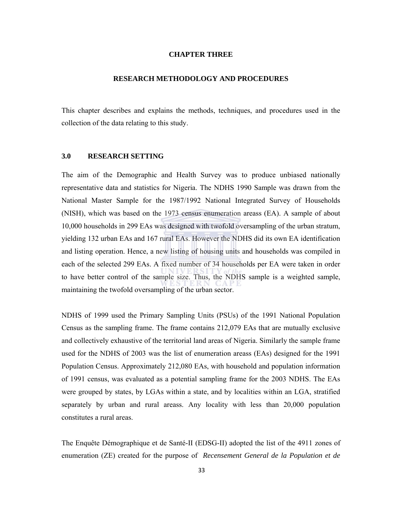### **CHAPTER THREE**

#### **RESEARCH METHODOLOGY AND PROCEDURES**

This chapter describes and explains the methods, techniques, and procedures used in the collection of the data relating to this study.

### **3.0 RESEARCH SETTING**

The aim of the Demographic and Health Survey was to produce unbiased nationally representative data and statistics for Nigeria. The NDHS 1990 Sample was drawn from the National Master Sample for the 1987/1992 National Integrated Survey of Households (NISH), which was based on the 1973 census enumeration areass (EA). A sample of about 10,000 households in 299 EAs was designed with twofold oversampling of the urban stratum, yielding 132 urban EAs and 167 rural EAs. However the NDHS did its own EA identification and listing operation. Hence, a new listing of housing units and households was compiled in each of the selected 299 EAs. A fixed number of 34 households per EA were taken in order to have better control of the sample size. Thus, the NDHS sample is a weighted sample, maintaining the twofold oversampling of the urban sector.

NDHS of 1999 used the Primary Sampling Units (PSUs) of the 1991 National Population Census as the sampling frame. The frame contains 212,079 EAs that are mutually exclusive and collectively exhaustive of the territorial land areas of Nigeria. Similarly the sample frame used for the NDHS of 2003 was the list of enumeration areass (EAs) designed for the 1991 Population Census. Approximately 212,080 EAs, with household and population information of 1991 census, was evaluated as a potential sampling frame for the 2003 NDHS. The EAs were grouped by states, by LGAs within a state, and by localities within an LGA, stratified separately by urban and rural areass. Any locality with less than 20,000 population constitutes a rural areas.

The Enquête Démographique et de Santé-II (EDSG-II) adopted the list of the 4911 zones of enumeration (ZE) created for the purpose of *Recensement General de la Population et de*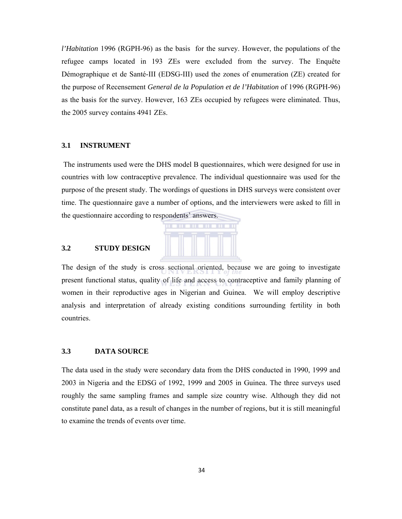*l'Habitation* 1996 (RGPH-96) as the basis for the survey. However, the populations of the refugee camps located in 193 ZEs were excluded from the survey. The Enquête Démographique et de Santé-III (EDSG-III) used the zones of enumeration (ZE) created for the purpose of Recensement *General de la Population et de l'Habitation* of 1996 (RGPH-96) as the basis for the survey. However, 163 ZEs occupied by refugees were eliminated. Thus, the 2005 survey contains 4941 ZEs.

#### **3.1 INSTRUMENT**

 The instruments used were the DHS model B questionnaires, which were designed for use in countries with low contraceptive prevalence. The individual questionnaire was used for the purpose of the present study. The wordings of questions in DHS surveys were consistent over time. The questionnaire gave a number of options, and the interviewers were asked to fill in the questionnaire according to respondents' answers.



#### **3.2 STUDY DESIGN**

The design of the study is cross sectional oriented, because we are going to investigate present functional status, quality of life and access to contraceptive and family planning of women in their reproductive ages in Nigerian and Guinea. We will employ descriptive analysis and interpretation of already existing conditions surrounding fertility in both countries.

### **3.3 DATA SOURCE**

The data used in the study were secondary data from the DHS conducted in 1990, 1999 and 2003 in Nigeria and the EDSG of 1992, 1999 and 2005 in Guinea. The three surveys used roughly the same sampling frames and sample size country wise. Although they did not constitute panel data, as a result of changes in the number of regions, but it is still meaningful to examine the trends of events over time.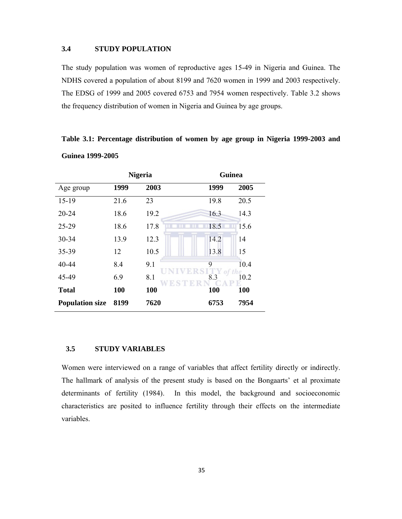### **3.4 STUDY POPULATION**

The study population was women of reproductive ages 15-49 in Nigeria and Guinea. The NDHS covered a population of about 8199 and 7620 women in 1999 and 2003 respectively. The EDSG of 1999 and 2005 covered 6753 and 7954 women respectively. Table 3.2 shows the frequency distribution of women in Nigeria and Guinea by age groups.

**Table 3.1: Percentage distribution of women by age group in Nigeria 1999-2003 and Guinea 1999-2005** 

|                        | <b>Nigeria</b> |      | <b>Guinea</b> |            |  |
|------------------------|----------------|------|---------------|------------|--|
| Age group              | 1999           | 2003 | 1999          | 2005       |  |
| $15-19$                | 21.6           | 23   | 19.8          | 20.5       |  |
| 20-24                  | 18.6           | 19.2 | 16.3          | 14.3       |  |
| 25-29                  | 18.6           | 17.8 | 18.5          | 15.6       |  |
| 30-34                  | 13.9           | 12.3 | 14.2          | 14         |  |
| 35-39                  | 12             | 10.5 | 13.8          | 15         |  |
| 40-44                  | 8.4            | 9.1  | 9             | 10.4       |  |
| 45-49                  | 6.9            | 8.1  | 8.3           | he<br>10.2 |  |
| <b>Total</b>           | 100            | 100  | 100           | 100        |  |
| <b>Population size</b> | 8199           | 7620 | 6753          | 7954       |  |

### **3.5 STUDY VARIABLES**

Women were interviewed on a range of variables that affect fertility directly or indirectly. The hallmark of analysis of the present study is based on the Bongaarts' et al proximate determinants of fertility (1984). In this model, the background and socioeconomic characteristics are posited to influence fertility through their effects on the intermediate variables.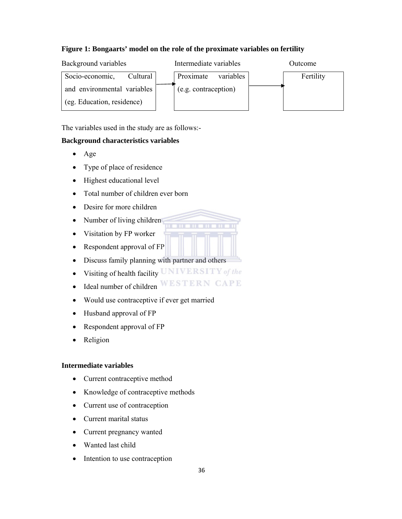## **Figure 1: Bongaarts' model on the role of the proximate variables on fertility**



The variables used in the study are as follows:-

## **Background characteristics variables**

- Age
- Type of place of residence
- Highest educational level
- Total number of children ever born
- Desire for more children
- Number of living children
- Visitation by FP worker
- Respondent approval of FP
- Discuss family planning with partner and others
- Visiting of health facility  $UNIVERSITY$  of the
- $\bullet$  Ideal number of children WESTERN CAPE
- Would use contraceptive if ever get married
- Husband approval of FP
- Respondent approval of FP
- Religion

#### **Intermediate variables**

- Current contraceptive method
- Knowledge of contraceptive methods
- Current use of contraception
- Current marital status
- Current pregnancy wanted
- Wanted last child
- Intention to use contraception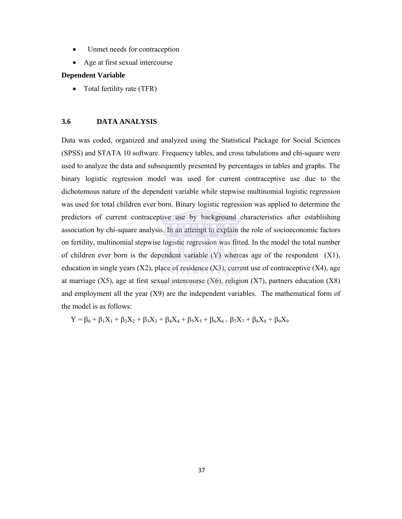- Unmet needs for contraception
- Age at first sexual intercourse

#### **Dependent Variable**

Total fertility rate (TFR)

#### **3.6 DATA ANALYSIS**

Data was coded, organized and analyzed using the Statistical Package for Social Sciences (SPSS) and STATA 10 software. Frequency tables, and cross tabulations and chi-square were used to analyze the data and subsequently presented by percentages in tables and graphs. The binary logistic regression model was used for current contraceptive use due to the dichotomous nature of the dependent variable while stepwise multinomial logistic regression was used for total children ever born. Binary logistic regression was applied to determine the predictors of current contraceptive use by background characteristics after establishing association by chi-square analysis. In an attempt to explain the role of socioeconomic factors on fertility, multinomial stepwise logistic regression was fitted. In the model the total number of children ever born is the dependent variable (Y) whereas age of the respondent (X1), education in single years  $(X2)$ , place of residence  $(X3)$ , current use of contraceptive  $(X4)$ , age at marriage  $(X5)$ , age at first sexual intercourse  $(X6)$ , religion  $(X7)$ , partners education  $(X8)$ and employment all the year (X9) are the independent variables. The mathematical form of the model is as follows:

 $Y = \beta_0 + \beta_1 X_1 + \beta_2 X_2 + \beta_3 X_3 + \beta_4 X_4 + \beta_5 X_5 + \beta_6 X_6 + \beta_7 X_7 + \beta_8 X_8 + \beta_9 X_9$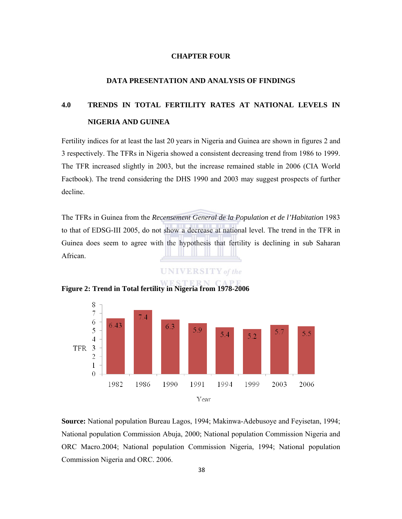#### **CHAPTER FOUR**

### **DATA PRESENTATION AND ANALYSIS OF FINDINGS**

# **4.0 TRENDS IN TOTAL FERTILITY RATES AT NATIONAL LEVELS IN NIGERIA AND GUINEA**

Fertility indices for at least the last 20 years in Nigeria and Guinea are shown in figures 2 and 3 respectively. The TFRs in Nigeria showed a consistent decreasing trend from 1986 to 1999. The TFR increased slightly in 2003, but the increase remained stable in 2006 (CIA World Factbook). The trend considering the DHS 1990 and 2003 may suggest prospects of further decline.

The TFRs in Guinea from the *Recensement General de la Population et de l'Habitation* 1983 to that of EDSG-III 2005, do not show a decrease at national level. The trend in the TFR in Guinea does seem to agree with the hypothesis that fertility is declining in sub Saharan African.

**UNIVERSITY** of the



**Figure 2: Trend in Total fertility in Nigeria from 1978-2006** 

**Source:** National population Bureau Lagos, 1994; Makinwa-Adebusoye and Feyisetan, 1994; National population Commission Abuja, 2000; National population Commission Nigeria and ORC Macro.2004; National population Commission Nigeria, 1994; National population Commission Nigeria and ORC. 2006.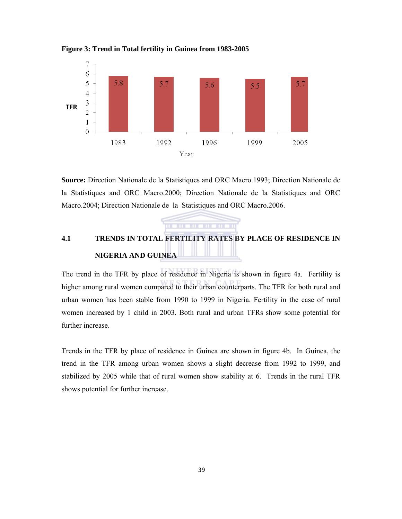

**Figure 3: Trend in Total fertility in Guinea from 1983-2005** 

**Source:** Direction Nationale de la Statistiques and ORC Macro.1993; Direction Nationale de la Statistiques and ORC Macro.2000; Direction Nationale de la Statistiques and ORC Macro.2004; Direction Nationale de la Statistiques and ORC Macro.2006.

# **4.1 TRENDS IN TOTAL FERTILITY RATES BY PLACE OF RESIDENCE IN NIGERIA AND GUINEA**

. **. . . . . . . . . .** .

The trend in the TFR by place of residence in Nigeria is shown in figure 4a. Fertility is higher among rural women compared to their urban counterparts. The TFR for both rural and urban women has been stable from 1990 to 1999 in Nigeria. Fertility in the case of rural women increased by 1 child in 2003. Both rural and urban TFRs show some potential for further increase.

Trends in the TFR by place of residence in Guinea are shown in figure 4b. In Guinea, the trend in the TFR among urban women shows a slight decrease from 1992 to 1999, and stabilized by 2005 while that of rural women show stability at 6. Trends in the rural TFR shows potential for further increase.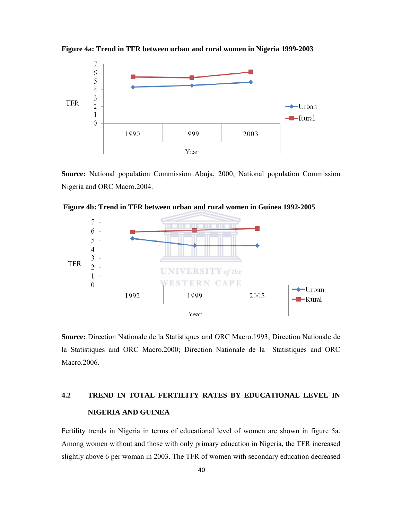

**Figure 4a: Trend in TFR between urban and rural women in Nigeria 1999-2003** 

**Source:** National population Commission Abuja, 2000; National population Commission Nigeria and ORC Macro.2004.



 **Figure 4b: Trend in TFR between urban and rural women in Guinea 1992-2005** 

**Source:** Direction Nationale de la Statistiques and ORC Macro.1993; Direction Nationale de la Statistiques and ORC Macro.2000; Direction Nationale de la Statistiques and ORC Macro.2006.

# **4.2 TREND IN TOTAL FERTILITY RATES BY EDUCATIONAL LEVEL IN NIGERIA AND GUINEA**

Fertility trends in Nigeria in terms of educational level of women are shown in figure 5a. Among women without and those with only primary education in Nigeria, the TFR increased slightly above 6 per woman in 2003. The TFR of women with secondary education decreased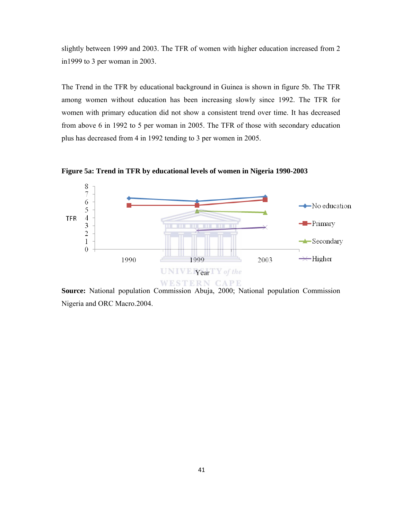slightly between 1999 and 2003. The TFR of women with higher education increased from 2 in1999 to 3 per woman in 2003.

The Trend in the TFR by educational background in Guinea is shown in figure 5b. The TFR among women without education has been increasing slowly since 1992. The TFR for women with primary education did not show a consistent trend over time. It has decreased from above 6 in 1992 to 5 per woman in 2005. The TFR of those with secondary education plus has decreased from 4 in 1992 tending to 3 per women in 2005.

**Figure 5a: Trend in TFR by educational levels of women in Nigeria 1990-2003** 



**Source:** National population Commission Abuja, 2000; National population Commission Nigeria and ORC Macro.2004.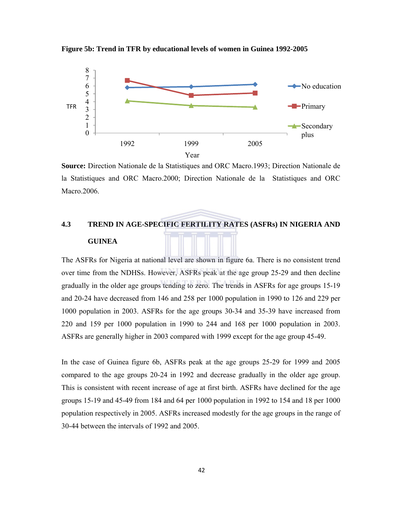

**Figure 5b: Trend in TFR by educational levels of women in Guinea 1992-2005** 

**Source:** Direction Nationale de la Statistiques and ORC Macro.1993; Direction Nationale de la Statistiques and ORC Macro.2000; Direction Nationale de la Statistiques and ORC Macro.2006.

# **4.3 TREND IN AGE-SPECIFIC FERTILITY RATES (ASFRs) IN NIGERIA AND GUINEA**

The ASFRs for Nigeria at national level are shown in figure 6a. There is no consistent trend over time from the NDHSs. However, ASFRs peak at the age group 25-29 and then decline gradually in the older age groups tending to zero. The trends in ASFRs for age groups 15-19 and 20-24 have decreased from 146 and 258 per 1000 population in 1990 to 126 and 229 per 1000 population in 2003. ASFRs for the age groups 30-34 and 35-39 have increased from 220 and 159 per 1000 population in 1990 to 244 and 168 per 1000 population in 2003. ASFRs are generally higher in 2003 compared with 1999 except for the age group 45-49.

In the case of Guinea figure 6b, ASFRs peak at the age groups 25-29 for 1999 and 2005 compared to the age groups 20-24 in 1992 and decrease gradually in the older age group. This is consistent with recent increase of age at first birth. ASFRs have declined for the age groups 15-19 and 45-49 from 184 and 64 per 1000 population in 1992 to 154 and 18 per 1000 population respectively in 2005. ASFRs increased modestly for the age groups in the range of 30-44 between the intervals of 1992 and 2005.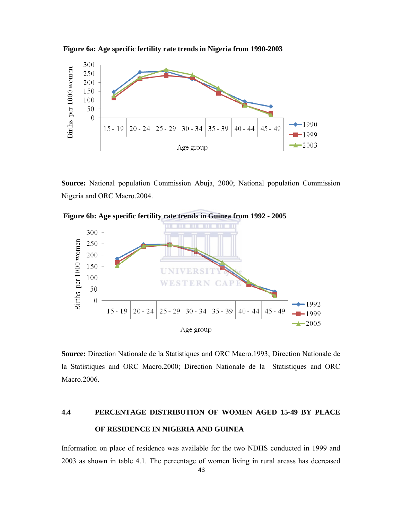



**Source:** National population Commission Abuja, 2000; National population Commission Nigeria and ORC Macro.2004.





**Source:** Direction Nationale de la Statistiques and ORC Macro.1993; Direction Nationale de la Statistiques and ORC Macro.2000; Direction Nationale de la Statistiques and ORC Macro.2006.

# **4.4 PERCENTAGE DISTRIBUTION OF WOMEN AGED 15-49 BY PLACE OF RESIDENCE IN NIGERIA AND GUINEA**

Information on place of residence was available for the two NDHS conducted in 1999 and 2003 as shown in table 4.1. The percentage of women living in rural areass has decreased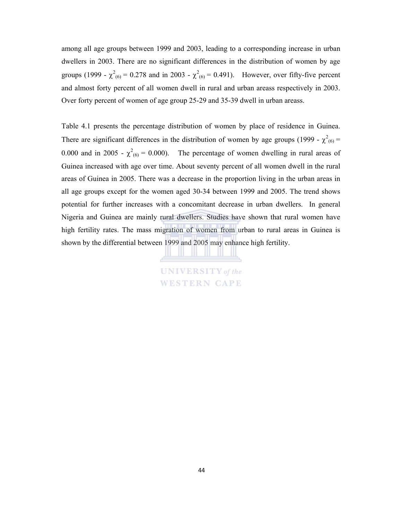among all age groups between 1999 and 2003, leading to a corresponding increase in urban dwellers in 2003. There are no significant differences in the distribution of women by age groups (1999 -  $\chi^2_{(6)} = 0.278$  and in 2003 -  $\chi^2_{(6)} = 0.491$ ). However, over fifty-five percent and almost forty percent of all women dwell in rural and urban areass respectively in 2003. Over forty percent of women of age group 25-29 and 35-39 dwell in urban areass.

Table 4.1 presents the percentage distribution of women by place of residence in Guinea. There are significant differences in the distribution of women by age groups (1999 -  $\chi^2_{(6)}$  = 0.000 and in 2005 -  $\chi^2$ <sub>(6)</sub> = 0.000). The percentage of women dwelling in rural areas of Guinea increased with age over time. About seventy percent of all women dwell in the rural areas of Guinea in 2005. There was a decrease in the proportion living in the urban areas in all age groups except for the women aged 30-34 between 1999 and 2005. The trend shows potential for further increases with a concomitant decrease in urban dwellers. In general Nigeria and Guinea are mainly rural dwellers. Studies have shown that rural women have high fertility rates. The mass migration of women from urban to rural areas in Guinea is shown by the differential between 1999 and 2005 may enhance high fertility.

> **UNIVERSITY** of the **WESTERN CAPE**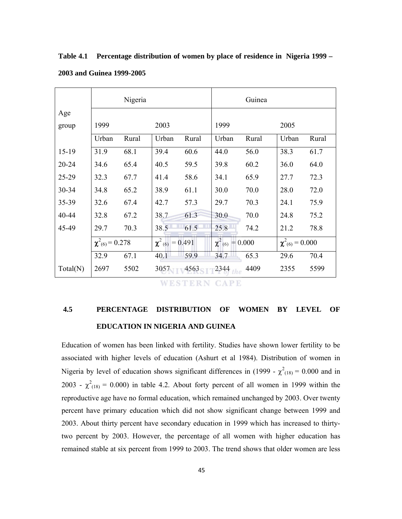|          |                                                           | Nigeria |                                 |       |                        | Guinea |       |       |
|----------|-----------------------------------------------------------|---------|---------------------------------|-------|------------------------|--------|-------|-------|
| Age      |                                                           |         |                                 |       |                        |        |       |       |
| group    | 1999                                                      |         | 2003                            |       | 1999                   |        | 2005  |       |
|          | Urban                                                     | Rural   | Urban                           | Rural | Urban                  | Rural  | Urban | Rural |
| $15-19$  | 31.9                                                      | 68.1    | 39.4                            | 60.6  | 44.0                   | 56.0   | 38.3  | 61.7  |
| 20-24    | 34.6                                                      | 65.4    | 40.5                            | 59.5  | 39.8                   | 60.2   | 36.0  | 64.0  |
| 25-29    | 32.3                                                      | 67.7    | 41.4                            | 58.6  | 34.1                   | 65.9   | 27.7  | 72.3  |
| 30-34    | 34.8                                                      | 65.2    | 38.9                            | 61.1  | 30.0                   | 70.0   | 28.0  | 72.0  |
| 35-39    | 32.6                                                      | 67.4    | 42.7                            | 57.3  | 29.7                   | 70.3   | 24.1  | 75.9  |
| 40-44    | 32.8                                                      | 67.2    | 38.7                            | 61.3  | 30.0                   | 70.0   | 24.8  | 75.2  |
| 45-49    | 29.7                                                      | 70.3    | 38.5                            | 61.5  | 25.8                   | 74.2   | 21.2  | 78.8  |
|          | $\chi^2_{(6)} = 0.278$<br>$\chi^2$ <sub>(6)</sub> = 0.491 |         | $\chi^2$ <sub>(6)</sub> = 0.000 |       | $\chi^2_{(6)} = 0.000$ |        |       |       |
|          | 32.9                                                      | 67.1    | 40.1                            | 59.9  | 34.7                   | 65.3   | 29.6  | 70.4  |
| Total(N) | 2697                                                      | 5502    | 3057                            | 4563  | $2344$ the             | 4409   | 2355  | 5599  |

**Table 4.1 Percentage distribution of women by place of residence in Nigeria 1999 –** 

#### **2003 and Guinea 1999-2005**

**WESTERN CAPE** 

# **4.5 PERCENTAGE DISTRIBUTION OF WOMEN BY LEVEL OF EDUCATION IN NIGERIA AND GUINEA**

Education of women has been linked with fertility. Studies have shown lower fertility to be associated with higher levels of education (Ashurt et al 1984). Distribution of women in Nigeria by level of education shows significant differences in (1999 -  $\chi^2_{(18)} = 0.000$  and in 2003 -  $\chi^2_{(18)} = 0.000$ ) in table 4.2. About forty percent of all women in 1999 within the reproductive age have no formal education, which remained unchanged by 2003. Over twenty percent have primary education which did not show significant change between 1999 and 2003. About thirty percent have secondary education in 1999 which has increased to thirtytwo percent by 2003. However, the percentage of all women with higher education has remained stable at six percent from 1999 to 2003. The trend shows that older women are less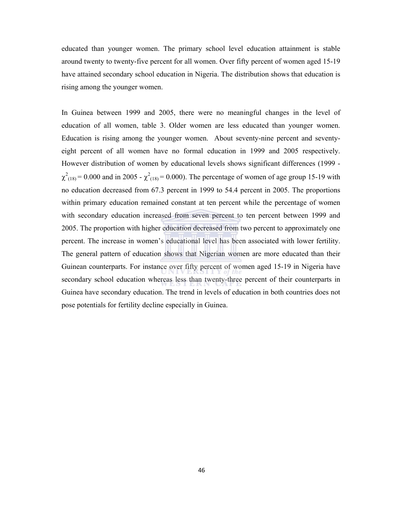educated than younger women. The primary school level education attainment is stable around twenty to twenty-five percent for all women. Over fifty percent of women aged 15-19 have attained secondary school education in Nigeria. The distribution shows that education is rising among the younger women.

In Guinea between 1999 and 2005, there were no meaningful changes in the level of education of all women, table 3. Older women are less educated than younger women. Education is rising among the younger women. About seventy-nine percent and seventyeight percent of all women have no formal education in 1999 and 2005 respectively. However distribution of women by educational levels shows significant differences (1999 -  $\chi^2_{(18)} = 0.000$  and in 2005 -  $\chi^2_{(18)} = 0.000$ . The percentage of women of age group 15-19 with no education decreased from 67.3 percent in 1999 to 54.4 percent in 2005. The proportions within primary education remained constant at ten percent while the percentage of women with secondary education increased from seven percent to ten percent between 1999 and 2005. The proportion with higher education decreased from two percent to approximately one percent. The increase in women's educational level has been associated with lower fertility. The general pattern of education shows that Nigerian women are more educated than their Guinean counterparts. For instance over fifty percent of women aged 15-19 in Nigeria have secondary school education whereas less than twenty-three percent of their counterparts in Guinea have secondary education. The trend in levels of education in both countries does not pose potentials for fertility decline especially in Guinea.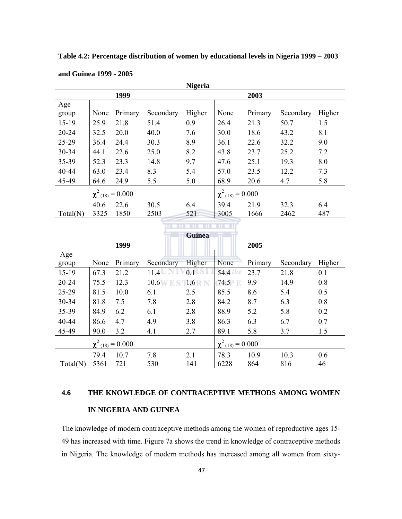**Table 4.2: Percentage distribution of women by educational levels in Nigeria 1999 – 2003** 

| <b>Nigeria</b>          |      |         |                         |               |               |         |           |        |
|-------------------------|------|---------|-------------------------|---------------|---------------|---------|-----------|--------|
|                         |      | 1999    |                         |               |               | 2003    |           |        |
| Age                     |      |         |                         |               |               |         |           |        |
| group                   | None | Primary | Secondary               | Higher        | None          | Primary | Secondary | Higher |
| 15-19                   | 25.9 | 21.8    | 51.4                    | 0.9           | 26.4          | 21.3    | 50.7      | 1.5    |
| 20-24                   | 32.5 | 20.0    | 40.0                    | 7.6           | 30.0          | 18.6    | 43.2      | 8.1    |
| 25-29                   | 36.4 | 24.4    | 30.3                    | 8.9           | 36.1          | 22.6    | 32.2      | 9.0    |
| 30-34                   | 44.1 | 22.6    | 25.0                    | 8.2           | 43.8          | 23.7    | 25.2      | 7.2    |
| 35-39                   | 52.3 | 23.3    | 14.8                    | 9.7           | 47.6          | 25.1    | 19.3      | 8.0    |
| 40-44                   | 63.0 | 23.4    | 8.3                     | 5.4           | 57.0          | 23.5    | 12.2      | 7.3    |
| 45-49                   | 64.6 | 24.9    | 5.5                     | 5.0           | 68.9          | 20.6    | 4.7       | 5.8    |
| $\chi^2_{(18)} = 0.000$ |      |         | $\chi^2_{(18)} = 0.000$ |               |               |         |           |        |
|                         | 40.6 | 22.6    | 30.5                    | 6.4           | 39.4          | 21.9    | 32.3      | 6.4    |
| Total(N)                | 3325 | 1850    | 2503                    | 521           | 3005          | 1666    | 2462      | 487    |
|                         |      |         |                         | TП            | <b>TO LET</b> |         |           |        |
|                         |      |         |                         | <b>Guinea</b> |               |         |           |        |
|                         |      | 1999    |                         |               |               | 2005    |           |        |
| Age                     |      |         |                         |               |               |         |           |        |
| group                   | None | Primary | Secondary               | Higher        | None          | Primary | Secondary | Higher |
| 15-19                   | 67.3 | 21.2    | $11.4$ UNI              | 0.1           | 54.4 Le       | 23.7    | 21.8      | 0.1    |
| 20-24                   | 75.5 | 12.3    | $10.6$ W E S $11.6$ R N |               | 74.5          | 9.9     | 14.9      | 0.8    |
| 25-29                   | 81.5 | 10.0    | 6.1                     | 2.5           | 85.5          | 8.6     | 5.4       | 0.5    |
| 30-34                   | 81.8 | 7.5     | 7.8                     | 2.8           | 84.2          | 8.7     | 6.3       | 0.8    |
| 35-39                   | 84.9 | 6.2     | 6.1                     | 2.8           | 88.9          | 5.2     | 5.8       | 0.2    |
| 40-44                   | 86.6 | 4.7     | 4.9                     | 3.8           | 86.3          | 6.3     | 6.7       | 0.7    |
| 45-49                   | 90.0 | 3.2     | 4.1                     | 2.7           | 89.1          | 5.8     | 3.7       | 1.5    |
| $\chi^2_{(18)} = 0.000$ |      |         | $\chi^2$ (18) = 0.000   |               |               |         |           |        |
|                         | 79.4 | 10.7    | 7.8                     | 2.1           | 78.3          | 10.9    | 10.3      | 0.6    |
| Total(N)                | 5361 | 721     | 530                     | 141           | 6228          | 864     | 816       | 46     |

**and Guinea 1999 - 2005** 

# **4.6 THE KNOWLEDGE OF CONTRACEPTIVE METHODS AMONG WOMEN IN NIGERIA AND GUINEA**

The knowledge of modern contraceptive methods among the women of reproductive ages 15- 49 has increased with time. Figure 7a shows the trend in knowledge of contraceptive methods in Nigeria. The knowledge of modern methods has increased among all women from sixty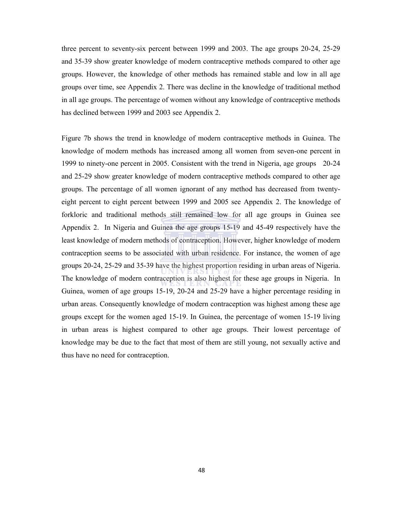three percent to seventy-six percent between 1999 and 2003. The age groups 20-24, 25-29 and 35-39 show greater knowledge of modern contraceptive methods compared to other age groups. However, the knowledge of other methods has remained stable and low in all age groups over time, see Appendix 2. There was decline in the knowledge of traditional method in all age groups. The percentage of women without any knowledge of contraceptive methods has declined between 1999 and 2003 see Appendix 2.

Figure 7b shows the trend in knowledge of modern contraceptive methods in Guinea. The knowledge of modern methods has increased among all women from seven-one percent in 1999 to ninety-one percent in 2005. Consistent with the trend in Nigeria, age groups 20-24 and 25-29 show greater knowledge of modern contraceptive methods compared to other age groups. The percentage of all women ignorant of any method has decreased from twentyeight percent to eight percent between 1999 and 2005 see Appendix 2. The knowledge of forkloric and traditional methods still remained low for all age groups in Guinea see Appendix 2. In Nigeria and Guinea the age groups 15-19 and 45-49 respectively have the least knowledge of modern methods of contraception. However, higher knowledge of modern contraception seems to be associated with urban residence. For instance, the women of age groups 20-24, 25-29 and 35-39 have the highest proportion residing in urban areas of Nigeria. The knowledge of modern contraception is also highest for these age groups in Nigeria. In Guinea, women of age groups 15-19, 20-24 and 25-29 have a higher percentage residing in urban areas. Consequently knowledge of modern contraception was highest among these age groups except for the women aged 15-19. In Guinea, the percentage of women 15-19 living in urban areas is highest compared to other age groups. Their lowest percentage of knowledge may be due to the fact that most of them are still young, not sexually active and thus have no need for contraception.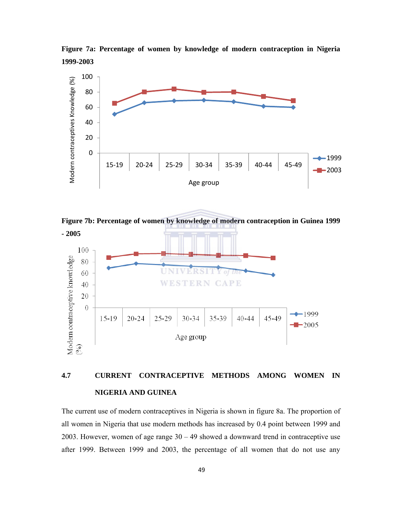**Figure 7a: Percentage of women by knowledge of modern contraception in Nigeria 1999-2003** 



**Figure 7b: Percentage of women by knowledge of modern contraception in Guinea 1999** 



# **4.7 CURRENT CONTRACEPTIVE METHODS AMONG WOMEN IN NIGERIA AND GUINEA**

The current use of modern contraceptives in Nigeria is shown in figure 8a. The proportion of all women in Nigeria that use modern methods has increased by 0.4 point between 1999 and 2003. However, women of age range 30 – 49 showed a downward trend in contraceptive use after 1999. Between 1999 and 2003, the percentage of all women that do not use any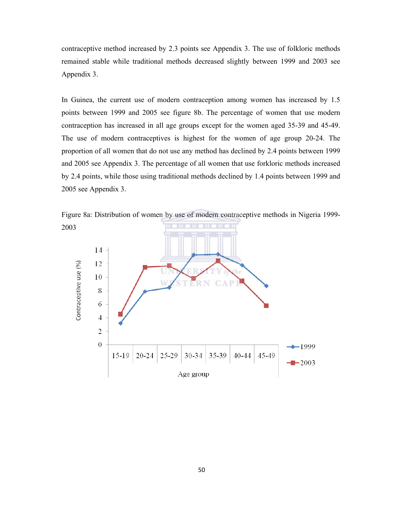contraceptive method increased by 2.3 points see Appendix 3. The use of folkloric methods remained stable while traditional methods decreased slightly between 1999 and 2003 see Appendix 3.

In Guinea, the current use of modern contraception among women has increased by 1.5 points between 1999 and 2005 see figure 8b. The percentage of women that use modern contraception has increased in all age groups except for the women aged 35-39 and 45-49. The use of modern contraceptives is highest for the women of age group 20-24. The proportion of all women that do not use any method has declined by 2.4 points between 1999 and 2005 see Appendix 3. The percentage of all women that use forkloric methods increased by 2.4 points, while those using traditional methods declined by 1.4 points between 1999 and 2005 see Appendix 3.

Figure 8a: Distribution of women by use of modern contraceptive methods in Nigeria 1999- 2003

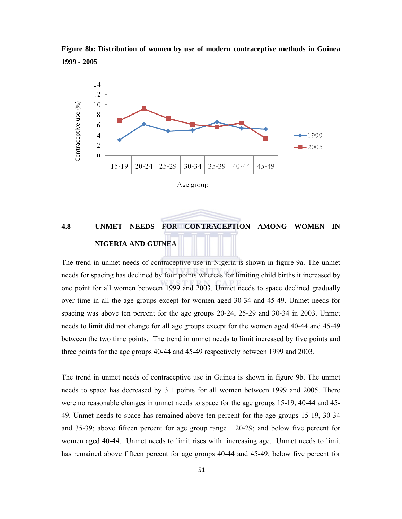**Figure 8b: Distribution of women by use of modern contraceptive methods in Guinea 1999 - 2005** 



# **4.8 UNMET NEEDS FOR CONTRACEPTION AMONG WOMEN IN NIGERIA AND GUINEA**

The trend in unmet needs of contraceptive use in Nigeria is shown in figure 9a. The unmet needs for spacing has declined by four points whereas for limiting child births it increased by one point for all women between 1999 and 2003. Unmet needs to space declined gradually over time in all the age groups except for women aged 30-34 and 45-49. Unmet needs for spacing was above ten percent for the age groups 20-24, 25-29 and 30-34 in 2003. Unmet needs to limit did not change for all age groups except for the women aged 40-44 and 45-49 between the two time points. The trend in unmet needs to limit increased by five points and three points for the age groups 40-44 and 45-49 respectively between 1999 and 2003.

The trend in unmet needs of contraceptive use in Guinea is shown in figure 9b. The unmet needs to space has decreased by 3.1 points for all women between 1999 and 2005. There were no reasonable changes in unmet needs to space for the age groups 15-19, 40-44 and 45- 49. Unmet needs to space has remained above ten percent for the age groups 15-19, 30-34 and 35-39; above fifteen percent for age group range 20-29; and below five percent for women aged 40-44. Unmet needs to limit rises with increasing age. Unmet needs to limit has remained above fifteen percent for age groups 40-44 and 45-49; below five percent for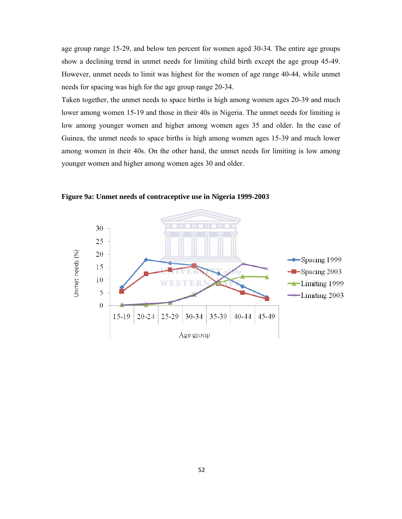age group range 15-29, and below ten percent for women aged 30-34. The entire age groups show a declining trend in unmet needs for limiting child birth except the age group 45-49. However, unmet needs to limit was highest for the women of age range 40-44, while unmet needs for spacing was high for the age group range 20-34.

Taken together, the unmet needs to space births is high among women ages 20-39 and much lower among women 15-19 and those in their 40s in Nigeria. The unmet needs for limiting is low among younger women and higher among women ages 35 and older. In the case of Guinea, the unmet needs to space births is high among women ages 15-39 and much lower among women in their 40s. On the other hand, the unmet needs for limiting is low among younger women and higher among women ages 30 and older.



**Figure 9a: Unmet needs of contraceptive use in Nigeria 1999-2003**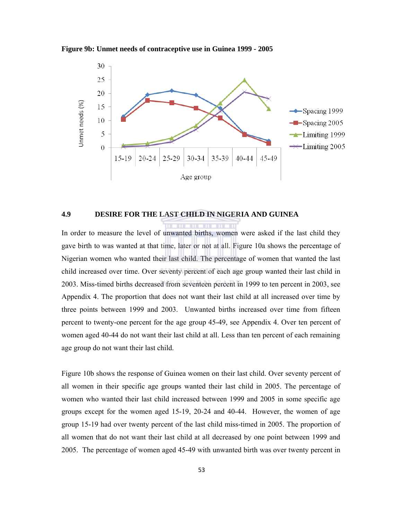**Figure 9b: Unmet needs of contraceptive use in Guinea 1999 - 2005** 



# **4.9 DESIRE FOR THE LAST CHILD IN NIGERIA AND GUINEA**

In order to measure the level of unwanted births, women were asked if the last child they gave birth to was wanted at that time, later or not at all. Figure 10a shows the percentage of Nigerian women who wanted their last child. The percentage of women that wanted the last child increased over time. Over seventy percent of each age group wanted their last child in 2003. Miss-timed births decreased from seventeen percent in 1999 to ten percent in 2003, see Appendix 4. The proportion that does not want their last child at all increased over time by three points between 1999 and 2003. Unwanted births increased over time from fifteen percent to twenty-one percent for the age group 45-49, see Appendix 4. Over ten percent of women aged 40-44 do not want their last child at all. Less than ten percent of each remaining age group do not want their last child.

Figure 10b shows the response of Guinea women on their last child. Over seventy percent of all women in their specific age groups wanted their last child in 2005. The percentage of women who wanted their last child increased between 1999 and 2005 in some specific age groups except for the women aged 15-19, 20-24 and 40-44. However, the women of age group 15-19 had over twenty percent of the last child miss-timed in 2005. The proportion of all women that do not want their last child at all decreased by one point between 1999 and 2005. The percentage of women aged 45-49 with unwanted birth was over twenty percent in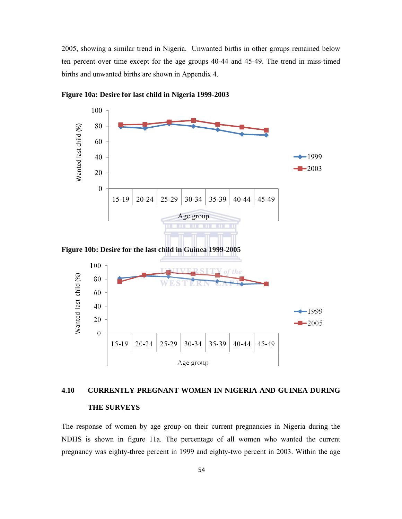2005, showing a similar trend in Nigeria. Unwanted births in other groups remained below ten percent over time except for the age groups 40-44 and 45-49. The trend in miss-timed births and unwanted births are shown in Appendix 4.



**Figure 10a: Desire for last child in Nigeria 1999-2003** 

# **4.10 CURRENTLY PREGNANT WOMEN IN NIGERIA AND GUINEA DURING THE SURVEYS**

The response of women by age group on their current pregnancies in Nigeria during the NDHS is shown in figure 11a. The percentage of all women who wanted the current pregnancy was eighty-three percent in 1999 and eighty-two percent in 2003. Within the age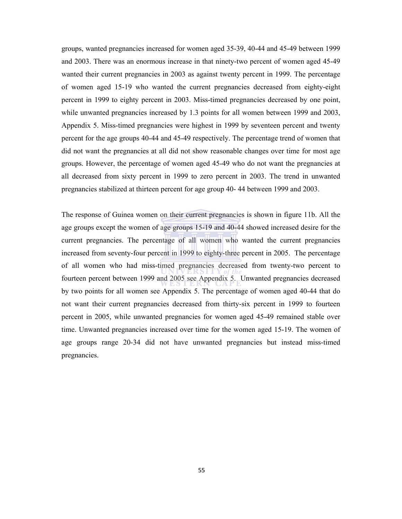groups, wanted pregnancies increased for women aged 35-39, 40-44 and 45-49 between 1999 and 2003. There was an enormous increase in that ninety-two percent of women aged 45-49 wanted their current pregnancies in 2003 as against twenty percent in 1999. The percentage of women aged 15-19 who wanted the current pregnancies decreased from eighty-eight percent in 1999 to eighty percent in 2003. Miss-timed pregnancies decreased by one point, while unwanted pregnancies increased by 1.3 points for all women between 1999 and 2003, Appendix 5. Miss-timed pregnancies were highest in 1999 by seventeen percent and twenty percent for the age groups 40-44 and 45-49 respectively. The percentage trend of women that did not want the pregnancies at all did not show reasonable changes over time for most age groups. However, the percentage of women aged 45-49 who do not want the pregnancies at all decreased from sixty percent in 1999 to zero percent in 2003. The trend in unwanted pregnancies stabilized at thirteen percent for age group 40- 44 between 1999 and 2003.

The response of Guinea women on their current pregnancies is shown in figure 11b. All the age groups except the women of age groups 15-19 and 40-44 showed increased desire for the current pregnancies. The percentage of all women who wanted the current pregnancies increased from seventy-four percent in 1999 to eighty-three percent in 2005. The percentage of all women who had miss-timed pregnancies decreased from twenty-two percent to fourteen percent between 1999 and 2005 see Appendix 5. Unwanted pregnancies decreased by two points for all women see Appendix 5. The percentage of women aged 40-44 that do not want their current pregnancies decreased from thirty-six percent in 1999 to fourteen percent in 2005, while unwanted pregnancies for women aged 45-49 remained stable over time. Unwanted pregnancies increased over time for the women aged 15-19. The women of age groups range 20-34 did not have unwanted pregnancies but instead miss-timed pregnancies.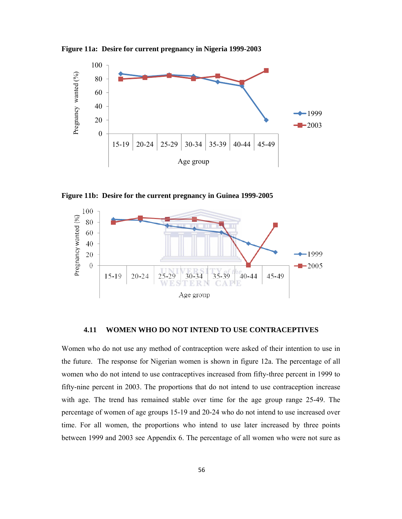**Figure 11a: Desire for current pregnancy in Nigeria 1999-2003** 



**Figure 11b: Desire for the current pregnancy in Guinea 1999-2005** 



### **4.11 WOMEN WHO DO NOT INTEND TO USE CONTRACEPTIVES**

Women who do not use any method of contraception were asked of their intention to use in the future. The response for Nigerian women is shown in figure 12a. The percentage of all women who do not intend to use contraceptives increased from fifty-three percent in 1999 to fifty-nine percent in 2003. The proportions that do not intend to use contraception increase with age. The trend has remained stable over time for the age group range 25-49. The percentage of women of age groups 15-19 and 20-24 who do not intend to use increased over time. For all women, the proportions who intend to use later increased by three points between 1999 and 2003 see Appendix 6. The percentage of all women who were not sure as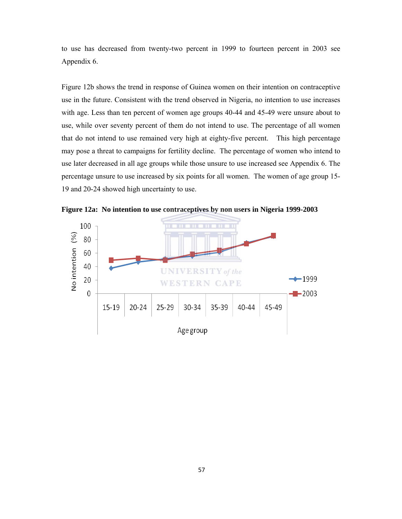to use has decreased from twenty-two percent in 1999 to fourteen percent in 2003 see Appendix 6.

Figure 12b shows the trend in response of Guinea women on their intention on contraceptive use in the future. Consistent with the trend observed in Nigeria, no intention to use increases with age. Less than ten percent of women age groups 40-44 and 45-49 were unsure about to use, while over seventy percent of them do not intend to use. The percentage of all women that do not intend to use remained very high at eighty-five percent. This high percentage may pose a threat to campaigns for fertility decline. The percentage of women who intend to use later decreased in all age groups while those unsure to use increased see Appendix 6. The percentage unsure to use increased by six points for all women. The women of age group 15- 19 and 20-24 showed high uncertainty to use.



**Figure 12a: No intention to use contraceptives by non users in Nigeria 1999-2003**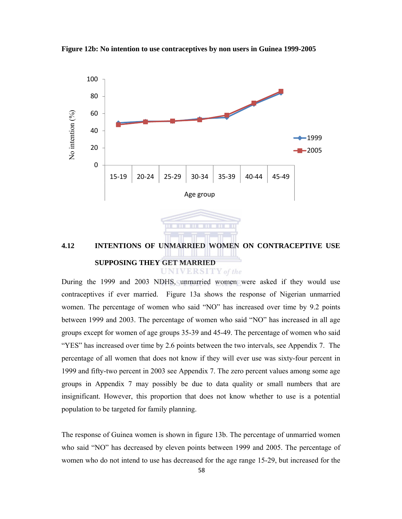



During the 1999 and 2003 NDHS, unmarried women were asked if they would use contraceptives if ever married. Figure 13a shows the response of Nigerian unmarried women. The percentage of women who said "NO" has increased over time by 9.2 points between 1999 and 2003. The percentage of women who said "NO" has increased in all age groups except for women of age groups 35-39 and 45-49. The percentage of women who said "YES" has increased over time by 2.6 points between the two intervals, see Appendix 7. The percentage of all women that does not know if they will ever use was sixty-four percent in 1999 and fifty-two percent in 2003 see Appendix 7. The zero percent values among some age groups in Appendix 7 may possibly be due to data quality or small numbers that are insignificant. However, this proportion that does not know whether to use is a potential population to be targeted for family planning.

The response of Guinea women is shown in figure 13b. The percentage of unmarried women who said "NO" has decreased by eleven points between 1999 and 2005. The percentage of women who do not intend to use has decreased for the age range 15-29, but increased for the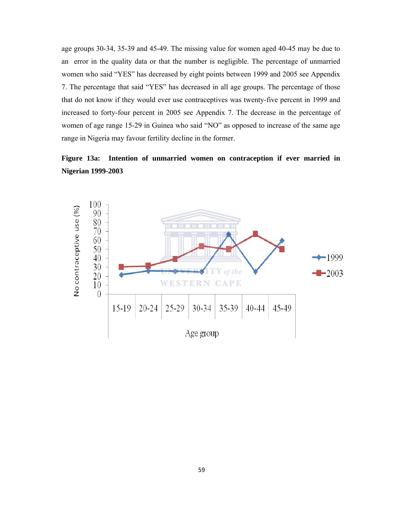age groups 30-34, 35-39 and 45-49. The missing value for women aged 40-45 may be due to an error in the quality data or that the number is negligible. The percentage of unmarried women who said "YES" has decreased by eight points between 1999 and 2005 see Appendix 7. The percentage that said "YES" has decreased in all age groups. The percentage of those that do not know if they would ever use contraceptives was twenty-five percent in 1999 and increased to forty-four percent in 2005 see Appendix 7. The decrease in the percentage of women of age range 15-29 in Guinea who said "NO" as opposed to increase of the same age range in Nigeria may favour fertility decline in the former.

### **Figure 13a: Intention of unmarried women on contraception if ever married in Nigerian 1999-2003**

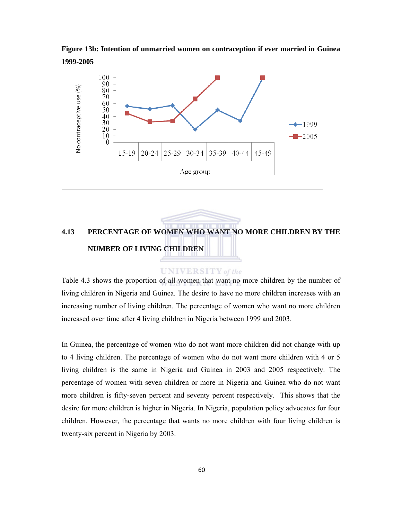**Figure 13b: Intention of unmarried women on contraception if ever married in Guinea 1999-2005** 



## **4.13 PERCENTAGE OF WOMEN WHO WANT NO MORE CHILDREN BY THE NUMBER OF LIVING CHILDREN**

#### **UNIVERSITY** of the

Table 4.3 shows the proportion of all women that want no more children by the number of living children in Nigeria and Guinea. The desire to have no more children increases with an increasing number of living children. The percentage of women who want no more children increased over time after 4 living children in Nigeria between 1999 and 2003.

In Guinea, the percentage of women who do not want more children did not change with up to 4 living children. The percentage of women who do not want more children with 4 or 5 living children is the same in Nigeria and Guinea in 2003 and 2005 respectively. The percentage of women with seven children or more in Nigeria and Guinea who do not want more children is fifty-seven percent and seventy percent respectively. This shows that the desire for more children is higher in Nigeria. In Nigeria, population policy advocates for four children. However, the percentage that wants no more children with four living children is twenty-six percent in Nigeria by 2003.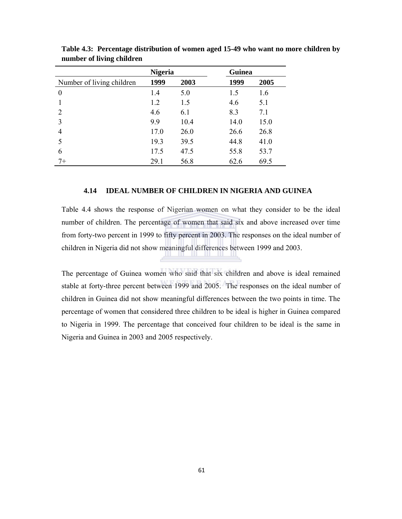|                           | <b>Nigeria</b> |      | Guinea |      |
|---------------------------|----------------|------|--------|------|
| Number of living children | 1999           | 2003 | 1999   | 2005 |
| $\theta$                  | 1.4            | 5.0  | 1.5    | 1.6  |
|                           | 1.2            | 1.5  | 4.6    | 5.1  |
| 2                         | 4.6            | 6.1  | 8.3    | 7.1  |
| 3                         | 9.9            | 10.4 | 14.0   | 15.0 |
| 4                         | 17.0           | 26.0 | 26.6   | 26.8 |
| 5                         | 19.3           | 39.5 | 44.8   | 41.0 |
| 6                         | 17.5           | 47.5 | 55.8   | 53.7 |
| 7+                        | 29.1           | 56.8 | 62.6   | 69.5 |

**Table 4.3: Percentage distribution of women aged 15-49 who want no more children by number of living children** 

#### **4.14 IDEAL NUMBER OF CHILDREN IN NIGERIA AND GUINEA**

Table 4.4 shows the response of Nigerian women on what they consider to be the ideal number of children. The percentage of women that said six and above increased over time from forty-two percent in 1999 to fifty percent in 2003. The responses on the ideal number of children in Nigeria did not show meaningful differences between 1999 and 2003.

The percentage of Guinea women who said that six children and above is ideal remained stable at forty-three percent between 1999 and 2005. The responses on the ideal number of children in Guinea did not show meaningful differences between the two points in time. The percentage of women that considered three children to be ideal is higher in Guinea compared to Nigeria in 1999. The percentage that conceived four children to be ideal is the same in Nigeria and Guinea in 2003 and 2005 respectively.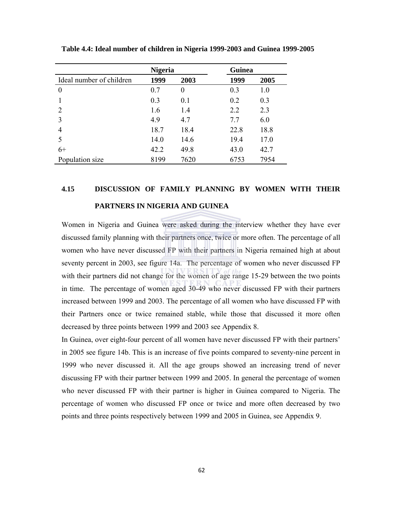|                          | <b>Nigeria</b> |          | Guinea |      |
|--------------------------|----------------|----------|--------|------|
| Ideal number of children | 1999           | 2003     | 1999   | 2005 |
| $\theta$                 | 0.7            | $\theta$ | 0.3    | 1.0  |
|                          | 0.3            | 0.1      | 0.2    | 0.3  |
| $\overline{2}$           | 1.6            | 1.4      | 2.2    | 2.3  |
| 3                        | 4.9            | 4.7      | 7.7    | 6.0  |
| 4                        | 18.7           | 18.4     | 22.8   | 18.8 |
|                          | 14.0           | 14.6     | 19.4   | 17.0 |
| $6+$                     | 42.2           | 49.8     | 43.0   | 42.7 |
| Population size          | 8199           | 7620     | 6753   | 7954 |

**Table 4.4: Ideal number of children in Nigeria 1999-2003 and Guinea 1999-2005** 

### **4.15 DISCUSSION OF FAMILY PLANNING BY WOMEN WITH THEIR PARTNERS IN NIGERIA AND GUINEA**

Women in Nigeria and Guinea were asked during the interview whether they have ever discussed family planning with their partners once, twice or more often. The percentage of all women who have never discussed FP with their partners in Nigeria remained high at about seventy percent in 2003, see figure 14a. The percentage of women who never discussed FP with their partners did not change for the women of age range 15-29 between the two points in time. The percentage of women aged 30-49 who never discussed FP with their partners increased between 1999 and 2003. The percentage of all women who have discussed FP with their Partners once or twice remained stable, while those that discussed it more often decreased by three points between 1999 and 2003 see Appendix 8.

In Guinea, over eight-four percent of all women have never discussed FP with their partners' in 2005 see figure 14b. This is an increase of five points compared to seventy-nine percent in 1999 who never discussed it. All the age groups showed an increasing trend of never discussing FP with their partner between 1999 and 2005. In general the percentage of women who never discussed FP with their partner is higher in Guinea compared to Nigeria. The percentage of women who discussed FP once or twice and more often decreased by two points and three points respectively between 1999 and 2005 in Guinea, see Appendix 9.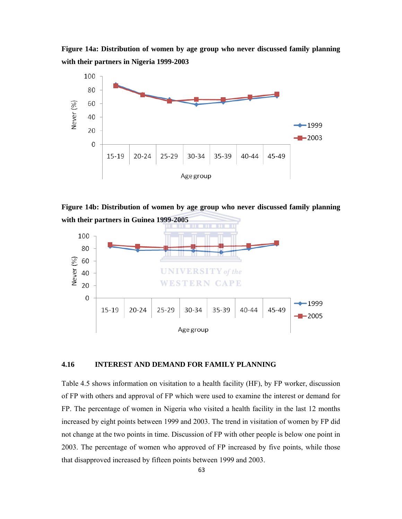**Figure 14a: Distribution of women by age group who never discussed family planning with their partners in Nigeria 1999-2003** 



**Figure 14b: Distribution of women by age group who never discussed family planning with their partners in Guinea 1999-2005** 



#### **4.16 INTEREST AND DEMAND FOR FAMILY PLANNING**

Table 4.5 shows information on visitation to a health facility (HF), by FP worker, discussion of FP with others and approval of FP which were used to examine the interest or demand for FP. The percentage of women in Nigeria who visited a health facility in the last 12 months increased by eight points between 1999 and 2003. The trend in visitation of women by FP did not change at the two points in time. Discussion of FP with other people is below one point in 2003. The percentage of women who approved of FP increased by five points, while those that disapproved increased by fifteen points between 1999 and 2003.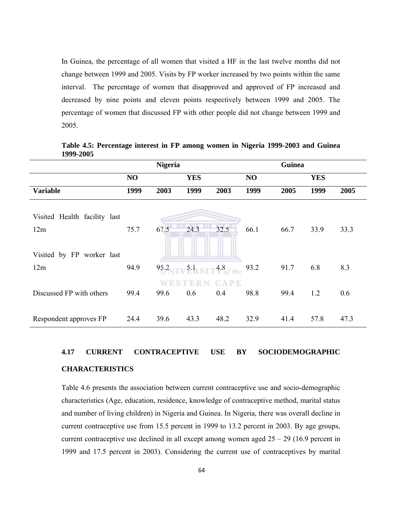In Guinea, the percentage of all women that visited a HF in the last twelve months did not change between 1999 and 2005. Visits by FP worker increased by two points within the same interval. The percentage of women that disapproved and approved of FP increased and decreased by nine points and eleven points respectively between 1999 and 2005. The percentage of women that discussed FP with other people did not change between 1999 and 2005.

|                              |      | <b>Nigeria</b> |                                                                    |             |      | Guinea |            |      |
|------------------------------|------|----------------|--------------------------------------------------------------------|-------------|------|--------|------------|------|
|                              | NO   |                | <b>YES</b>                                                         |             | NO   |        | <b>YES</b> |      |
| <b>Variable</b>              | 1999 | 2003           | 1999                                                               | 2003        | 1999 | 2005   | 1999       | 2005 |
| Visited Health facility last |      |                |                                                                    |             |      |        |            |      |
| 12m                          | 75.7 | 67.5           | 24.3                                                               | 32.5        | 66.1 | 66.7   | 33.9       | 33.3 |
| Visited by FP worker last    |      |                |                                                                    |             |      |        |            |      |
| 12m                          | 94.9 |                | $95.2$ <sub>NIV</sub> $5.1$ <sub>SIT</sub> $4.8$ <sub>of the</sub> |             | 93.2 | 91.7   | 6.8        | 8.3  |
|                              |      |                |                                                                    | <b>CAPE</b> |      |        |            |      |
| Discussed FP with others     | 99.4 | 99.6           | 0.6                                                                | 0.4         | 98.8 | 99.4   | 1.2        | 0.6  |
| Respondent approves FP       | 24.4 | 39.6           | 43.3                                                               | 48.2        | 32.9 | 41.4   | 57.8       | 47.3 |

**Table 4.5: Percentage interest in FP among women in Nigeria 1999-2003 and Guinea 1999-2005** 

# **4.17 CURRENT CONTRACEPTIVE USE BY SOCIODEMOGRAPHIC**

#### **CHARACTERISTICS**

Table 4.6 presents the association between current contraceptive use and socio-demographic characteristics (Age, education, residence, knowledge of contraceptive method, marital status and number of living children) in Nigeria and Guinea. In Nigeria, there was overall decline in current contraceptive use from 15.5 percent in 1999 to 13.2 percent in 2003. By age groups, current contraceptive use declined in all except among women aged 25 – 29 (16.9 percent in 1999 and 17.5 percent in 2003). Considering the current use of contraceptives by marital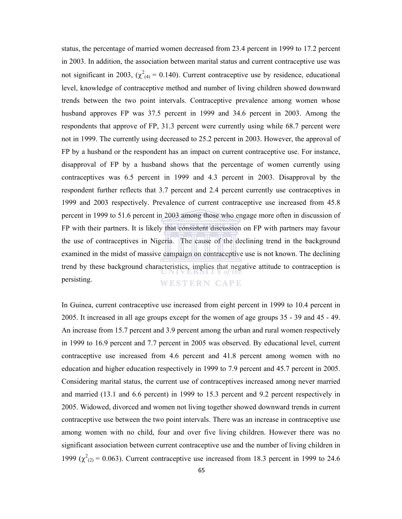status, the percentage of married women decreased from 23.4 percent in 1999 to 17.2 percent in 2003. In addition, the association between marital status and current contraceptive use was not significant in 2003,  $(\chi^2_{(4)} = 0.140)$ . Current contraceptive use by residence, educational level, knowledge of contraceptive method and number of living children showed downward trends between the two point intervals. Contraceptive prevalence among women whose husband approves FP was 37.5 percent in 1999 and 34.6 percent in 2003. Among the respondents that approve of FP, 31.3 percent were currently using while 68.7 percent were not in 1999. The currently using decreased to 25.2 percent in 2003. However, the approval of FP by a husband or the respondent has an impact on current contraceptive use. For instance, disapproval of FP by a husband shows that the percentage of women currently using contraceptives was 6.5 percent in 1999 and 4.3 percent in 2003. Disapproval by the respondent further reflects that 3.7 percent and 2.4 percent currently use contraceptives in 1999 and 2003 respectively. Prevalence of current contraceptive use increased from 45.8 percent in 1999 to 51.6 percent in 2003 among those who engage more often in discussion of FP with their partners. It is likely that consistent discussion on FP with partners may favour the use of contraceptives in Nigeria. The cause of the declining trend in the background examined in the midst of massive campaign on contraceptive use is not known. The declining trend by these background characteristics, implies that negative attitude to contraception is persisting. **WESTERN CAPE** 

In Guinea, current contraceptive use increased from eight percent in 1999 to 10.4 percent in 2005. It increased in all age groups except for the women of age groups 35 - 39 and 45 - 49. An increase from 15.7 percent and 3.9 percent among the urban and rural women respectively in 1999 to 16.9 percent and 7.7 percent in 2005 was observed. By educational level, current contraceptive use increased from 4.6 percent and 41.8 percent among women with no education and higher education respectively in 1999 to 7.9 percent and 45.7 percent in 2005. Considering marital status, the current use of contraceptives increased among never married and married (13.1 and 6.6 percent) in 1999 to 15.3 percent and 9.2 percent respectively in 2005. Widowed, divorced and women not living together showed downward trends in current contraceptive use between the two point intervals. There was an increase in contraceptive use among women with no child, four and over five living children. However there was no significant association between current contraceptive use and the number of living children in 1999 ( $\chi^2_{(2)}$  = 0.063). Current contraceptive use increased from 18.3 percent in 1999 to 24.6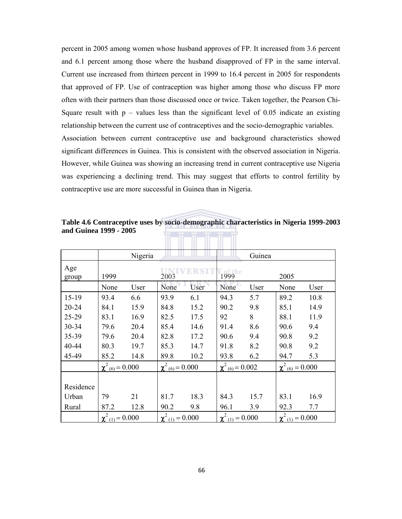percent in 2005 among women whose husband approves of FP. It increased from 3.6 percent and 6.1 percent among those where the husband disapproved of FP in the same interval. Current use increased from thirteen percent in 1999 to 16.4 percent in 2005 for respondents that approved of FP. Use of contraception was higher among those who discuss FP more often with their partners than those discussed once or twice. Taken together, the Pearson Chi-Square result with  $p -$  values less than the significant level of 0.05 indicate an existing relationship between the current use of contraceptives and the socio-demographic variables. Association between current contraceptive use and background characteristics showed significant differences in Guinea. This is consistent with the observed association in Nigeria. However, while Guinea was showing an increasing trend in current contraceptive use Nigeria was experiencing a declining trend. This may suggest that efforts to control fertility by contraceptive use are more successful in Guinea than in Nigeria.

**Table 4.6 Contraceptive uses by socio-demographic characteristics in Nigeria 1999-2003 and Guinea 1999 - 2005**  illen i Leo II an II an III

|              |                        | Nigeria |                                 |      |                        | Guinea |                                 |      |
|--------------|------------------------|---------|---------------------------------|------|------------------------|--------|---------------------------------|------|
| Age<br>group | 1999                   |         | 2003                            |      | 1999                   |        | 2005                            |      |
|              | None                   | User    | None                            | User | None                   | User   | None                            | User |
| $15-19$      | 93.4                   | 6.6     | 93.9                            | 6.1  | 94.3                   | 5.7    | 89.2                            | 10.8 |
| $20 - 24$    | 84.1                   | 15.9    | 84.8                            | 15.2 | 90.2                   | 9.8    | 85.1                            | 14.9 |
| 25-29        | 83.1                   | 16.9    | 82.5                            | 17.5 | 92                     | 8      | 88.1                            | 11.9 |
| 30-34        | 79.6                   | 20.4    | 85.4                            | 14.6 | 91.4                   | 8.6    | 90.6                            | 9.4  |
| 35-39        | 79.6                   | 20.4    | 82.8                            | 17.2 | 90.6                   | 9.4    | 90.8                            | 9.2  |
| 40-44        | 80.3                   | 19.7    | 85.3                            | 14.7 | 91.8                   | 8.2    | 90.8                            | 9.2  |
| 45-49        | 85.2                   | 14.8    | 89.8                            | 10.2 | 93.8                   | 6.2    | 94.7                            | 5.3  |
|              | $\chi^2$ (6) = 0.000   |         | $\chi^2$ <sub>(6)</sub> = 0.000 |      | $\chi^2$ (6) = 0.002   |        | $\chi^2$ <sub>(6)</sub> = 0.000 |      |
|              |                        |         |                                 |      |                        |        |                                 |      |
| Residence    |                        |         |                                 |      |                        |        |                                 |      |
| Urban        | 79                     | 21      | 81.7                            | 18.3 | 84.3                   | 15.7   | 83.1                            | 16.9 |
| Rural        | 87.2                   | 12.8    | 90.2                            | 9.8  | 96.1                   | 3.9    | 92.3                            | 7.7  |
|              | $\chi^2_{(1)} = 0.000$ |         | $\chi^2_{(1)} = 0.000$          |      | $\chi^2_{(1)} = 0.000$ |        | $\chi^2_{(1)} = 0.000$          |      |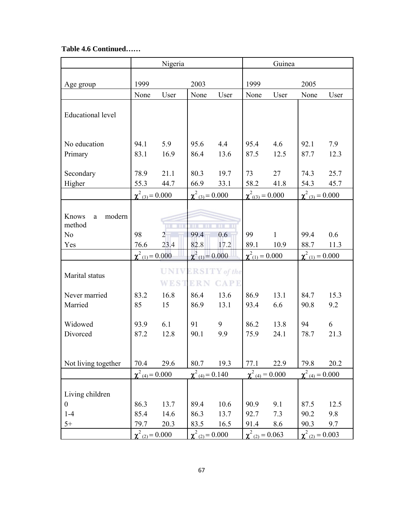### **Table 4.6 Continued……**

|                                                  |                                 | Nigeria                   |                                 |                                             | Guinea                          |              |                                 |      |
|--------------------------------------------------|---------------------------------|---------------------------|---------------------------------|---------------------------------------------|---------------------------------|--------------|---------------------------------|------|
|                                                  |                                 |                           |                                 |                                             |                                 |              |                                 |      |
| Age group                                        | 1999                            |                           | 2003                            |                                             | 1999                            |              | 2005                            |      |
|                                                  | None                            | User                      | None                            | User                                        | None                            | User         | None                            | User |
| <b>Educational level</b>                         |                                 |                           |                                 |                                             |                                 |              |                                 |      |
| No education                                     | 94.1                            | 5.9                       | 95.6                            | 4.4                                         | 95.4                            | 4.6          | 92.1                            | 7.9  |
| Primary                                          | 83.1                            | 16.9                      | 86.4                            | 13.6                                        | 87.5                            | 12.5         | 87.7                            | 12.3 |
|                                                  |                                 |                           |                                 |                                             |                                 |              |                                 |      |
| Secondary                                        | 78.9                            | 21.1                      | 80.3                            | 19.7                                        | 73                              | 27           | 74.3                            | 25.7 |
| Higher                                           | 55.3                            | 44.7                      | 66.9                            | 33.1                                        | 58.2                            | 41.8         | 54.3                            | 45.7 |
|                                                  | $\chi^2_{(3)} = 0.000$          |                           | $\chi^2_{(3)} = 0.000$          |                                             | $\chi^2_{(3)} = 0.000$          |              | $\chi^2_{(3)} = 0.000$          |      |
| modern<br>Knows<br>a<br>method<br>N <sub>o</sub> | 98                              | шI<br>ш<br>$\overline{2}$ | ш<br>TП<br>99.4                 | $\mathbf{u} = \mathbf{u}$<br>0.6            | 99                              | $\mathbf{1}$ | 99.4                            | 0.6  |
| Yes                                              | 76.6                            | 23.4                      | 82.8                            | 17.2                                        | 89.1                            | 10.9         | 88.7                            | 11.3 |
|                                                  | $\chi^2_{(1)} = 0.000$          |                           | $\chi^2_{(1)} = 0.000$          |                                             | $\chi^2_{(1)} = 0.000$          |              | $\chi^2$ (1) = 0.000            |      |
| Marital status                                   |                                 | WEST                      |                                 | <b>UNIVERSITY</b> of the<br><b>ERN CAPE</b> |                                 |              |                                 |      |
| Never married                                    | 83.2                            | 16.8                      | 86.4                            | 13.6                                        | 86.9                            | 13.1         | 84.7                            | 15.3 |
| Married                                          | 85                              | 15                        | 86.9                            | 13.1                                        | 93.4                            | 6.6          | 90.8                            | 9.2  |
| Widowed                                          | 93.9                            | 6.1                       | 91                              | 9                                           | 86.2                            | 13.8         | 94                              | 6    |
| Divorced                                         | 87.2                            | 12.8                      | 90.1                            | 9.9                                         | 75.9                            | 24.1         | 78.7                            | 21.3 |
|                                                  |                                 |                           |                                 |                                             |                                 |              |                                 |      |
| Not living together                              | 70.4                            | 29.6                      | 80.7                            | 19.3                                        | 77.1                            | 22.9         | 79.8                            | 20.2 |
|                                                  | $\chi^2$ <sub>(4)</sub> = 0.000 |                           | $\chi^2$ <sub>(4)</sub> = 0.140 |                                             | $\chi^2$ <sub>(4)</sub> = 0.000 |              | $\chi^2$ <sub>(4)</sub> = 0.000 |      |
| Living children                                  |                                 |                           |                                 |                                             |                                 |              |                                 |      |
| $\overline{0}$                                   | 86.3                            | 13.7                      | 89.4                            | 10.6                                        | 90.9                            | 9.1          | 87.5                            | 12.5 |
| $1-4$<br>$5+$                                    | 85.4                            | 14.6<br>20.3              | 86.3                            | 13.7                                        | 92.7                            | 7.3          | 90.2<br>90.3                    | 9.8  |
|                                                  | 79.7<br>$\chi^2_{(2)} = 0.000$  |                           | 83.5<br>$\chi^2_{(2)} = 0.000$  | 16.5                                        | 91.4<br>$\chi^2_{(2)} = 0.063$  | 8.6          | $\chi^2_{(2)} = 0.003$          | 9.7  |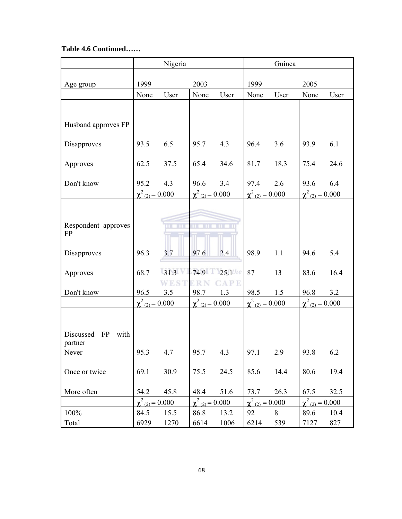### **Table 4.6 Continued……**

|                                           |                        | Nigeria     |                        |                           |                        | Guinea |                        |      |  |
|-------------------------------------------|------------------------|-------------|------------------------|---------------------------|------------------------|--------|------------------------|------|--|
|                                           |                        |             |                        |                           |                        |        |                        |      |  |
| Age group                                 | 1999                   |             | 2003                   |                           | 1999                   |        | 2005                   |      |  |
|                                           | None                   | User        | None                   | User                      | None                   | User   | None                   | User |  |
|                                           |                        |             |                        |                           |                        |        |                        |      |  |
| Husband approves FP                       |                        |             |                        |                           |                        |        |                        |      |  |
| <b>Disapproves</b>                        | 93.5                   | 6.5         | 95.7                   | 4.3                       | 96.4                   | 3.6    | 93.9                   | 6.1  |  |
| Approves                                  | 62.5                   | 37.5        | 65.4                   | 34.6                      | 81.7                   | 18.3   | 75.4                   | 24.6 |  |
| Don't know                                | 95.2                   | 4.3         | 96.6                   | 3.4                       | 97.4                   | 2.6    | 93.6                   | 6.4  |  |
|                                           | $\chi^2_{(2)} = 0.000$ |             | $\chi^2_{(2)} = 0.000$ |                           | $\chi^2_{(2)} = 0.000$ |        | $\chi^2_{(2)} = 0.000$ |      |  |
|                                           |                        |             |                        |                           |                        |        |                        |      |  |
| Respondent approves<br><b>FP</b>          |                        | шī<br>ш     | ш                      | $\mathbf{u} = \mathbf{u}$ |                        |        |                        |      |  |
| <b>Disapproves</b>                        | 96.3                   | 3.7         | 97.6                   | 2.4                       | 98.9                   | 1.1    | 94.6                   | 5.4  |  |
| Approves                                  | 68.7                   | 31.3        |                        | 74.9 25.1the              | 87                     | 13     | 83.6                   | 16.4 |  |
| Don't know                                | 96.5                   | WEST<br>3.5 | 98.7                   | <b>CAPE</b><br>1.3        | 98.5                   | 1.5    | 96.8                   | 3.2  |  |
|                                           | $\chi^2_{(2)} = 0.000$ |             | $\chi^2_{(2)} = 0.000$ |                           | $\chi^2_{(2)} = 0.000$ |        | $\chi^2_{(2)} = 0.000$ |      |  |
|                                           |                        |             |                        |                           |                        |        |                        |      |  |
| with<br>Discussed<br><b>FP</b><br>partner |                        |             |                        |                           |                        |        |                        |      |  |
| Never                                     | 95.3                   | 4.7         | 95.7                   | 4.3                       | 97.1                   | 2.9    | 93.8                   | 6.2  |  |
| Once or twice                             | 69.1                   | 30.9        | 75.5                   | 24.5                      | 85.6                   | 14.4   | 80.6                   | 19.4 |  |
| More often                                | 54.2                   | 45.8        | 48.4                   | 51.6                      | 73.7                   | 26.3   | 67.5                   | 32.5 |  |
|                                           | $\chi^2_{(2)} = 0.000$ |             | $\chi^2_{(2)} = 0.000$ |                           | $\chi^2_{(2)} = 0.000$ |        | $\chi^2_{(2)} = 0.000$ |      |  |
| 100%                                      | 84.5                   | 15.5        | 86.8                   | 13.2                      | 92                     | 8      | 89.6                   | 10.4 |  |
| Total                                     | 6929                   | 1270        | 6614                   | 1006                      | 6214                   | 539    | 7127                   | 827  |  |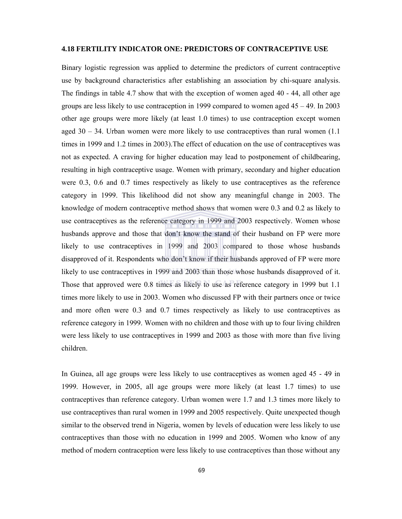#### **4.18 FERTILITY INDICATOR ONE: PREDICTORS OF CONTRACEPTIVE USE**

Binary logistic regression was applied to determine the predictors of current contraceptive use by background characteristics after establishing an association by chi-square analysis. The findings in table 4.7 show that with the exception of women aged 40 - 44, all other age groups are less likely to use contraception in 1999 compared to women aged  $45 - 49$ . In 2003 other age groups were more likely (at least 1.0 times) to use contraception except women aged  $30 - 34$ . Urban women were more likely to use contraceptives than rural women  $(1.1)$ times in 1999 and 1.2 times in 2003).The effect of education on the use of contraceptives was not as expected. A craving for higher education may lead to postponement of childbearing, resulting in high contraceptive usage. Women with primary, secondary and higher education were 0.3, 0.6 and 0.7 times respectively as likely to use contraceptives as the reference category in 1999. This likelihood did not show any meaningful change in 2003. The knowledge of modern contraceptive method shows that women were 0.3 and 0.2 as likely to use contraceptives as the reference category in 1999 and 2003 respectively. Women whose husbands approve and those that don't know the stand of their husband on FP were more likely to use contraceptives in 1999 and 2003 compared to those whose husbands disapproved of it. Respondents who don't know if their husbands approved of FP were more likely to use contraceptives in 1999 and 2003 than those whose husbands disapproved of it. Those that approved were 0.8 times as likely to use as reference category in 1999 but 1.1 times more likely to use in 2003. Women who discussed FP with their partners once or twice and more often were 0.3 and 0.7 times respectively as likely to use contraceptives as reference category in 1999. Women with no children and those with up to four living children were less likely to use contraceptives in 1999 and 2003 as those with more than five living children.

In Guinea, all age groups were less likely to use contraceptives as women aged 45 - 49 in 1999. However, in 2005, all age groups were more likely (at least 1.7 times) to use contraceptives than reference category. Urban women were 1.7 and 1.3 times more likely to use contraceptives than rural women in 1999 and 2005 respectively. Quite unexpected though similar to the observed trend in Nigeria, women by levels of education were less likely to use contraceptives than those with no education in 1999 and 2005. Women who know of any method of modern contraception were less likely to use contraceptives than those without any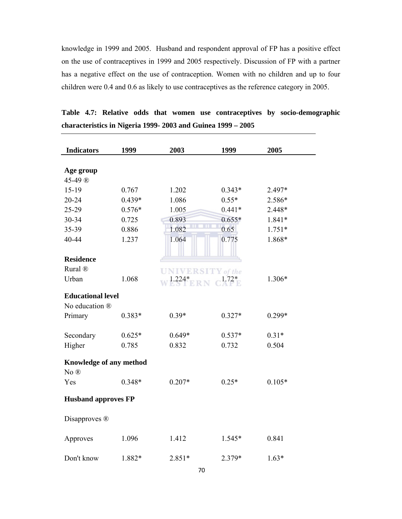knowledge in 1999 and 2005. Husband and respondent approval of FP has a positive effect on the use of contraceptives in 1999 and 2005 respectively. Discussion of FP with a partner has a negative effect on the use of contraception. Women with no children and up to four children were 0.4 and 0.6 as likely to use contraceptives as the reference category in 2005.

| <b>Indicators</b>          | 1999     | 2003                     | 1999     | 2005     |  |
|----------------------------|----------|--------------------------|----------|----------|--|
|                            |          |                          |          |          |  |
| Age group                  |          |                          |          |          |  |
| 45-49 ®                    |          |                          |          |          |  |
| 15-19                      | 0.767    | 1.202                    | $0.343*$ | 2.497*   |  |
| 20-24                      | $0.439*$ | 1.086                    | $0.55*$  | 2.586*   |  |
| 25-29                      | $0.576*$ | 1.005                    | $0.441*$ | 2.448*   |  |
| 30-34                      | 0.725    | 0.893                    | $0.655*$ | 1.841*   |  |
| 35-39                      | 0.886    | 1.082                    | 0.65     | $1.751*$ |  |
| 40-44                      | 1.237    | 1.064                    | 0.775    | 1.868*   |  |
|                            |          |                          |          |          |  |
| <b>Residence</b>           |          |                          |          |          |  |
| Rural ®                    |          | <b>UNIVERSITY</b> of the |          |          |  |
| Urban                      | 1.068    | $1.224*$                 |          | 1.306*   |  |
| <b>Educational level</b>   |          |                          |          |          |  |
| No education ®             |          |                          |          |          |  |
| Primary                    | $0.383*$ | $0.39*$                  | $0.327*$ | 0.299*   |  |
|                            |          |                          |          |          |  |
| Secondary                  | $0.625*$ | $0.649*$                 | $0.537*$ | $0.31*$  |  |
| Higher                     | 0.785    | 0.832                    | 0.732    | 0.504    |  |
|                            |          |                          |          |          |  |
| Knowledge of any method    |          |                          |          |          |  |
| $No$ $@$                   |          |                          |          |          |  |
| Yes                        | $0.348*$ | $0.207*$                 | $0.25*$  | $0.105*$ |  |
| <b>Husband approves FP</b> |          |                          |          |          |  |
| Disapproves ®              |          |                          |          |          |  |
|                            |          |                          |          |          |  |
| Approves                   | 1.096    | 1.412                    | 1.545*   | 0.841    |  |
|                            |          |                          |          |          |  |
| Don't know                 | 1.882*   | 2.851*                   | 2.379*   | $1.63*$  |  |

**Table 4.7: Relative odds that women use contraceptives by socio-demographic characteristics in Nigeria 1999- 2003 and Guinea 1999 – 2005**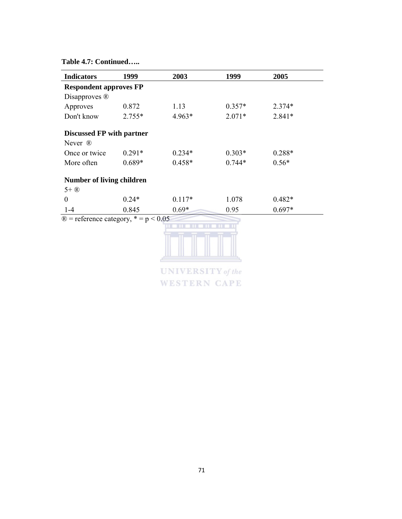#### **Table 4.7: Continued…..**

| <b>Indicators</b>                                    | 1999     | 2003                     | 1999     | 2005     |
|------------------------------------------------------|----------|--------------------------|----------|----------|
| <b>Respondent approves FP</b>                        |          |                          |          |          |
| Disapproves ®                                        |          |                          |          |          |
| Approves                                             | 0.872    | 1.13                     | $0.357*$ | $2.374*$ |
| Don't know                                           | $2.755*$ | 4.963*                   | $2.071*$ | $2.841*$ |
| <b>Discussed FP with partner</b>                     |          |                          |          |          |
| Never ®                                              |          |                          |          |          |
| Once or twice                                        | $0.291*$ | $0.234*$                 | $0.303*$ | 0.288*   |
| More often                                           | $0.689*$ | $0.458*$                 | $0.744*$ | $0.56*$  |
| <b>Number of living children</b>                     |          |                          |          |          |
| $5+$ $\circledR$                                     |          |                          |          |          |
| $\theta$                                             | $0.24*$  | $0.117*$                 | 1.078    | $0.482*$ |
| $1-4$                                                | 0.845    | $0.69*$                  | 0.95     | $0.697*$ |
| $\textcircled{R}$ = reference category, * = p < 0.05 |          |                          |          |          |
|                                                      |          |                          |          |          |
|                                                      |          |                          |          |          |
|                                                      |          |                          |          |          |
|                                                      |          |                          |          |          |
|                                                      |          | <b>UNIVERSITY</b> of the |          |          |

**WESTERN CAPE**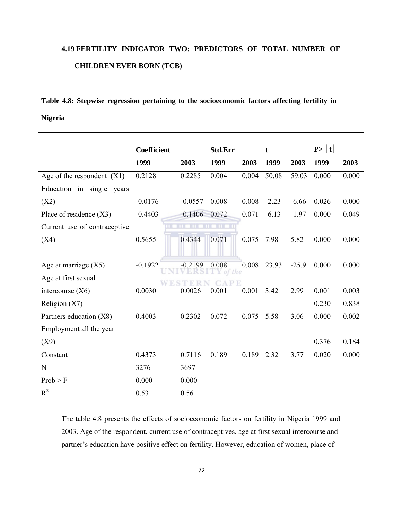## **4.19 FERTILITY INDICATOR TWO: PREDICTORS OF TOTAL NUMBER OF CHILDREN EVER BORN (TCB)**

## **Table 4.8: Stepwise regression pertaining to the socioeconomic factors affecting fertility in Nigeria**

|                              | Coefficient |                        | Std.Err      |       | t       |         | P >  t |       |
|------------------------------|-------------|------------------------|--------------|-------|---------|---------|--------|-------|
|                              | 1999        | 2003                   | 1999         | 2003  | 1999    | 2003    | 1999   | 2003  |
| Age of the respondent $(X1)$ | 0.2128      | 0.2285                 | 0.004        | 0.004 | 50.08   | 59.03   | 0.000  | 0.000 |
| Education in single<br>years |             |                        |              |       |         |         |        |       |
| (X2)                         | $-0.0176$   | $-0.0557$              | 0.008        | 0.008 | $-2.23$ | $-6.66$ | 0.026  | 0.000 |
| Place of residence $(X3)$    | $-0.4403$   | $-0.1406$              | 0.072        | 0.071 | $-6.13$ | $-1.97$ | 0.000  | 0.049 |
| Current use of contraceptive |             | тm<br><b>TIT</b><br>шT | <b>THEFT</b> |       |         |         |        |       |
| (X4)                         | 0.5655      | 0.4344                 | 0.071        | 0.075 | 7.98    | 5.82    | 0.000  | 0.000 |
|                              |             |                        |              |       |         |         |        |       |
| Age at marriage $(X5)$       | $-0.1922$   | $-0.2199$              | 0.008        | 0.008 | 23.93   | $-25.9$ | 0.000  | 0.000 |
| Age at first sexual          |             |                        | of the       |       |         |         |        |       |
| intercourse $(X6)$           | 0.0030      | 0.0026                 | 0.001        | 0.001 | 3.42    | 2.99    | 0.001  | 0.003 |
| Religion $(X7)$              |             |                        |              |       |         |         | 0.230  | 0.838 |
| Partners education (X8)      | 0.4003      | 0.2302                 | 0.072        | 0.075 | 5.58    | 3.06    | 0.000  | 0.002 |
| Employment all the year      |             |                        |              |       |         |         |        |       |
| (X9)                         |             |                        |              |       |         |         | 0.376  | 0.184 |
| Constant                     | 0.4373      | 0.7116                 | 0.189        | 0.189 | 2.32    | 3.77    | 0.020  | 0.000 |
| $\mathbf N$                  | 3276        | 3697                   |              |       |         |         |        |       |
| Prob > F                     | 0.000       | 0.000                  |              |       |         |         |        |       |
| $R^2$                        | 0.53        | 0.56                   |              |       |         |         |        |       |

The table 4.8 presents the effects of socioeconomic factors on fertility in Nigeria 1999 and 2003. Age of the respondent, current use of contraceptives, age at first sexual intercourse and partner's education have positive effect on fertility. However, education of women, place of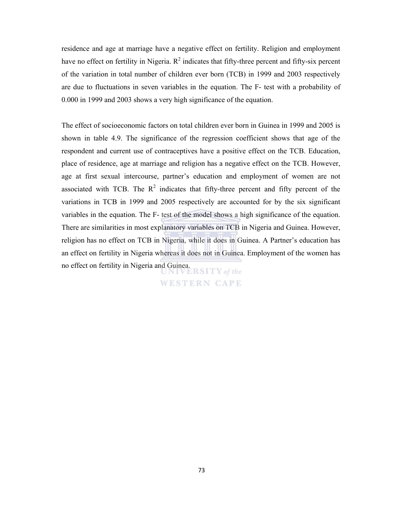residence and age at marriage have a negative effect on fertility. Religion and employment have no effect on fertility in Nigeria.  $R^2$  indicates that fifty-three percent and fifty-six percent of the variation in total number of children ever born (TCB) in 1999 and 2003 respectively are due to fluctuations in seven variables in the equation. The F- test with a probability of 0.000 in 1999 and 2003 shows a very high significance of the equation.

The effect of socioeconomic factors on total children ever born in Guinea in 1999 and 2005 is shown in table 4.9. The significance of the regression coefficient shows that age of the respondent and current use of contraceptives have a positive effect on the TCB. Education, place of residence, age at marriage and religion has a negative effect on the TCB. However, age at first sexual intercourse, partner's education and employment of women are not associated with TCB. The  $R^2$  indicates that fifty-three percent and fifty percent of the variations in TCB in 1999 and 2005 respectively are accounted for by the six significant variables in the equation. The F- test of the model shows a high significance of the equation. There are similarities in most explanatory variables on TCB in Nigeria and Guinea. However, religion has no effect on TCB in Nigeria, while it does in Guinea. A Partner's education has an effect on fertility in Nigeria whereas it does not in Guinea. Employment of the women has no effect on fertility in Nigeria and Guinea.

**WESTERN CAPE**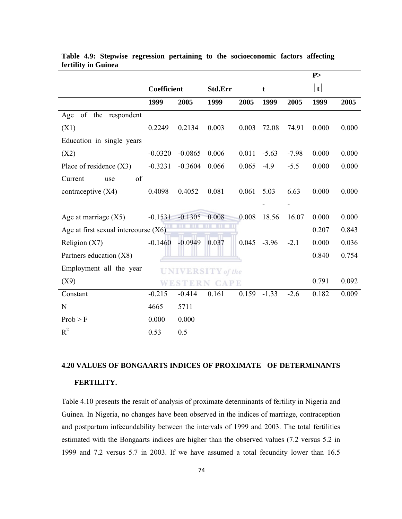|                                        |             |           |                          |       |         |         | P>    |       |
|----------------------------------------|-------------|-----------|--------------------------|-------|---------|---------|-------|-------|
|                                        | Coefficient |           | Std.Err                  |       | t       |         | t     |       |
|                                        | 1999        | 2005      | 1999                     | 2005  | 1999    | 2005    | 1999  | 2005  |
| of the respondent<br>Age               |             |           |                          |       |         |         |       |       |
| (X1)                                   | 0.2249      | 0.2134    | 0.003                    | 0.003 | 72.08   | 74.91   | 0.000 | 0.000 |
| Education in single years              |             |           |                          |       |         |         |       |       |
| (X2)                                   | $-0.0320$   | $-0.0865$ | 0.006                    | 0.011 | $-5.63$ | $-7.98$ | 0.000 | 0.000 |
| Place of residence $(X3)$              | $-0.3231$   | $-0.3604$ | 0.066                    | 0.065 | $-4.9$  | $-5.5$  | 0.000 | 0.000 |
| of<br>Current<br>use                   |             |           |                          |       |         |         |       |       |
| contraceptive $(X4)$                   | 0.4098      | 0.4052    | 0.081                    | 0.061 | 5.03    | 6.63    | 0.000 | 0.000 |
|                                        |             |           |                          |       |         |         |       |       |
| Age at marriage $(X5)$                 | $-0.1531$   | $-0.1305$ | 0.008                    | 0.008 | 18.56   | 16.07   | 0.000 | 0.000 |
| Age at first sexual intercourse $(X6)$ |             |           | m                        |       |         |         | 0.207 | 0.843 |
| Religion $(X7)$                        | $-0.1460$   | $-0.0949$ | 0.037                    | 0.045 | $-3.96$ | $-2.1$  | 0.000 | 0.036 |
| Partners education (X8)                |             |           |                          |       |         |         | 0.840 | 0.754 |
| Employment all the year                |             |           | <b>UNIVERSITY</b> of the |       |         |         |       |       |
| (X9)                                   |             |           | <b>WESTERN CAPE</b>      |       |         |         | 0.791 | 0.092 |
| Constant                               | $-0.215$    | $-0.414$  | 0.161                    | 0.159 | $-1.33$ | $-2.6$  | 0.182 | 0.009 |
| N                                      | 4665        | 5711      |                          |       |         |         |       |       |
| Prob > F                               | 0.000       | 0.000     |                          |       |         |         |       |       |
| $R^2$                                  | 0.53        | 0.5       |                          |       |         |         |       |       |

#### **Table 4.9: Stepwise regression pertaining to the socioeconomic factors affecting fertility in Guinea**

## **4.20 VALUES OF BONGAARTS INDICES OF PROXIMATE OF DETERMINANTS FERTILITY.**

Table 4.10 presents the result of analysis of proximate determinants of fertility in Nigeria and Guinea. In Nigeria, no changes have been observed in the indices of marriage, contraception and postpartum infecundability between the intervals of 1999 and 2003. The total fertilities estimated with the Bongaarts indices are higher than the observed values (7.2 versus 5.2 in 1999 and 7.2 versus 5.7 in 2003. If we have assumed a total fecundity lower than 16.5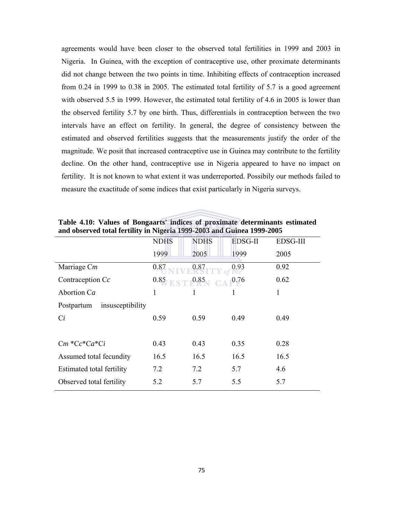agreements would have been closer to the observed total fertilities in 1999 and 2003 in Nigeria. In Guinea, with the exception of contraceptive use, other proximate determinants did not change between the two points in time. Inhibiting effects of contraception increased from 0.24 in 1999 to 0.38 in 2005. The estimated total fertility of 5.7 is a good agreement with observed 5.5 in 1999. However, the estimated total fertility of 4.6 in 2005 is lower than the observed fertility 5.7 by one birth. Thus, differentials in contraception between the two intervals have an effect on fertility. In general, the degree of consistency between the estimated and observed fertilities suggests that the measurements justify the order of the magnitude. We posit that increased contraceptive use in Guinea may contribute to the fertility decline. On the other hand, contraceptive use in Nigeria appeared to have no impact on fertility. It is not known to what extent it was underreported. Possibily our methods failed to measure the exactitude of some indices that exist particularly in Nigeria surveys.

|                                | <b>NDHS</b>             | <b>NDHS</b> | <b>EDSG-II</b> | <b>EDSG-III</b> |
|--------------------------------|-------------------------|-------------|----------------|-----------------|
|                                | 1999                    | 2005        | 1999           | 2005            |
| Marriage Cm                    | 0.87                    | 0.87        | 0.93           | 0.92            |
| Contraception $Cc$             | $E \leq T 0.85$<br>0.85 |             | 0.76           | 0.62            |
| Abortion Ca                    | 1                       |             | 1              | 1               |
| insusceptibility<br>Postpartum |                         |             |                |                 |
| $C_i$                          | 0.59                    | 0.59        | 0.49           | 0.49            |
|                                |                         |             |                |                 |
| $Cm$ * $Cc$ * $Ca$ * $Ci$      | 0.43                    | 0.43        | 0.35           | 0.28            |
| Assumed total fecundity        | 16.5                    | 16.5        | 16.5           | 16.5            |
| Estimated total fertility      | 7.2                     | 7.2         | 5.7            | 4.6             |
| Observed total fertility       | 5.2                     | 5.7         | 5.5            | 5.7             |

**Table 4.10: Values of Bongaarts' indices of proximate determinants estimated and observed total fertility in Nigeria 1999-2003 and Guinea 1999-2005**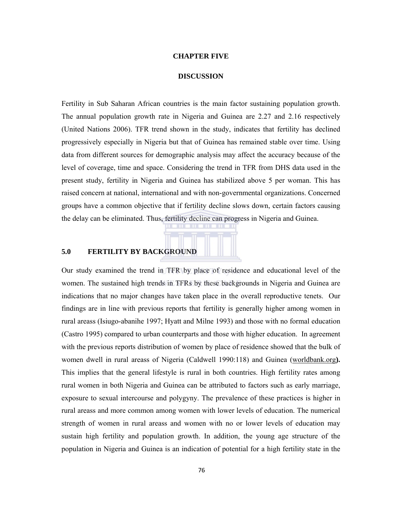#### **CHAPTER FIVE**

#### **DISCUSSION**

Fertility in Sub Saharan African countries is the main factor sustaining population growth. The annual population growth rate in Nigeria and Guinea are 2.27 and 2.16 respectively (United Nations 2006). TFR trend shown in the study, indicates that fertility has declined progressively especially in Nigeria but that of Guinea has remained stable over time. Using data from different sources for demographic analysis may affect the accuracy because of the level of coverage, time and space. Considering the trend in TFR from DHS data used in the present study, fertility in Nigeria and Guinea has stabilized above 5 per woman. This has raised concern at national, international and with non-governmental organizations. Concerned groups have a common objective that if fertility decline slows down, certain factors causing the delay can be eliminated. Thus, fertility decline can progress in Nigeria and Guinea.

#### **5.0 FERTILITY BY BACKGROUND**

Our study examined the trend in TFR by place of residence and educational level of the women. The sustained high trends in TFRs by these backgrounds in Nigeria and Guinea are indications that no major changes have taken place in the overall reproductive tenets. Our findings are in line with previous reports that fertility is generally higher among women in rural areass (Isiugo-abanihe 1997; Hyatt and Milne 1993) and those with no formal education (Castro 1995) compared to urban counterparts and those with higher education. In agreement with the previous reports distribution of women by place of residence showed that the bulk of women dwell in rural areass of Nigeria (Caldwell 1990:118) and Guinea (worldbank.org**).**  This implies that the general lifestyle is rural in both countries. High fertility rates among rural women in both Nigeria and Guinea can be attributed to factors such as early marriage, exposure to sexual intercourse and polygyny. The prevalence of these practices is higher in rural areass and more common among women with lower levels of education. The numerical strength of women in rural areass and women with no or lower levels of education may sustain high fertility and population growth. In addition, the young age structure of the population in Nigeria and Guinea is an indication of potential for a high fertility state in the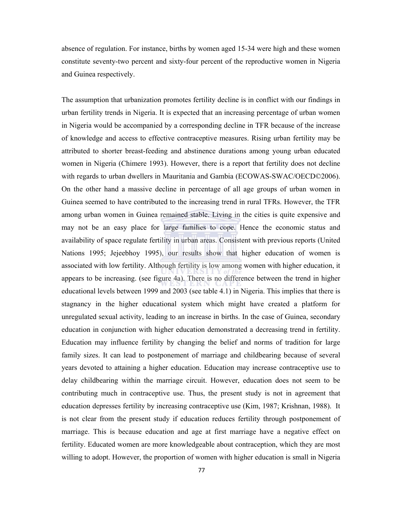absence of regulation. For instance, births by women aged 15-34 were high and these women constitute seventy-two percent and sixty-four percent of the reproductive women in Nigeria and Guinea respectively.

The assumption that urbanization promotes fertility decline is in conflict with our findings in urban fertility trends in Nigeria. It is expected that an increasing percentage of urban women in Nigeria would be accompanied by a corresponding decline in TFR because of the increase of knowledge and access to effective contraceptive measures. Rising urban fertility may be attributed to shorter breast-feeding and abstinence durations among young urban educated women in Nigeria (Chimere 1993). However, there is a report that fertility does not decline with regards to urban dwellers in Mauritania and Gambia (ECOWAS-SWAC/OECD©2006). On the other hand a massive decline in percentage of all age groups of urban women in Guinea seemed to have contributed to the increasing trend in rural TFRs. However, the TFR among urban women in Guinea remained stable. Living in the cities is quite expensive and may not be an easy place for large families to cope. Hence the economic status and availability of space regulate fertility in urban areas. Consistent with previous reports (United Nations 1995; Jejeebhoy 1995), our results show that higher education of women is associated with low fertility. Although fertility is low among women with higher education, it appears to be increasing. (see figure 4a). There is no difference between the trend in higher educational levels between 1999 and 2003 (see table 4.1) in Nigeria. This implies that there is stagnancy in the higher educational system which might have created a platform for unregulated sexual activity, leading to an increase in births. In the case of Guinea, secondary education in conjunction with higher education demonstrated a decreasing trend in fertility. Education may influence fertility by changing the belief and norms of tradition for large family sizes. It can lead to postponement of marriage and childbearing because of several years devoted to attaining a higher education. Education may increase contraceptive use to delay childbearing within the marriage circuit. However, education does not seem to be contributing much in contraceptive use. Thus, the present study is not in agreement that education depresses fertility by increasing contraceptive use (Kim, 1987; Krishnan, 1988). It is not clear from the present study if education reduces fertility through postponement of marriage. This is because education and age at first marriage have a negative effect on fertility. Educated women are more knowledgeable about contraception, which they are most willing to adopt. However, the proportion of women with higher education is small in Nigeria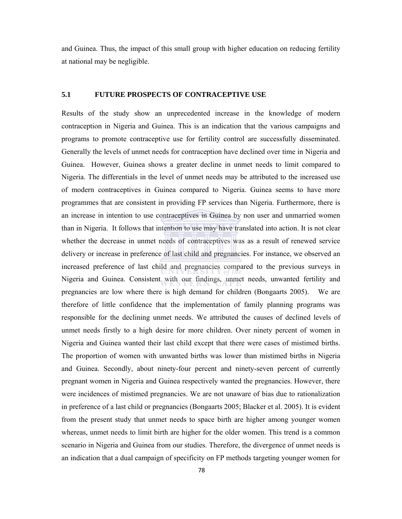and Guinea. Thus, the impact of this small group with higher education on reducing fertility at national may be negligible.

#### **5.1 FUTURE PROSPECTS OF CONTRACEPTIVE USE**

Results of the study show an unprecedented increase in the knowledge of modern contraception in Nigeria and Guinea. This is an indication that the various campaigns and programs to promote contraceptive use for fertility control are successfully disseminated. Generally the levels of unmet needs for contraception have declined over time in Nigeria and Guinea. However, Guinea shows a greater decline in unmet needs to limit compared to Nigeria. The differentials in the level of unmet needs may be attributed to the increased use of modern contraceptives in Guinea compared to Nigeria. Guinea seems to have more programmes that are consistent in providing FP services than Nigeria. Furthermore, there is an increase in intention to use contraceptives in Guinea by non user and unmarried women than in Nigeria. It follows that intention to use may have translated into action. It is not clear whether the decrease in unmet needs of contraceptives was as a result of renewed service delivery or increase in preference of last child and pregnancies. For instance, we observed an increased preference of last child and pregnancies compared to the previous surveys in Nigeria and Guinea. Consistent with our findings, unmet needs, unwanted fertility and pregnancies are low where there is high demand for children (Bongaarts 2005). We are therefore of little confidence that the implementation of family planning programs was responsible for the declining unmet needs. We attributed the causes of declined levels of unmet needs firstly to a high desire for more children. Over ninety percent of women in Nigeria and Guinea wanted their last child except that there were cases of mistimed births. The proportion of women with unwanted births was lower than mistimed births in Nigeria and Guinea. Secondly, about ninety-four percent and ninety-seven percent of currently pregnant women in Nigeria and Guinea respectively wanted the pregnancies. However, there were incidences of mistimed pregnancies. We are not unaware of bias due to rationalization in preference of a last child or pregnancies (Bongaarts 2005; Blacker et al. 2005). It is evident from the present study that unmet needs to space birth are higher among younger women whereas, unmet needs to limit birth are higher for the older women. This trend is a common scenario in Nigeria and Guinea from our studies. Therefore, the divergence of unmet needs is an indication that a dual campaign of specificity on FP methods targeting younger women for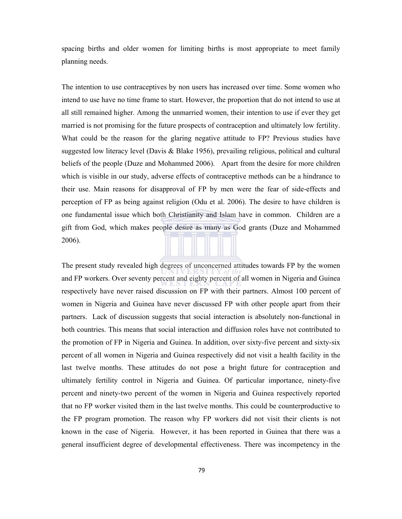spacing births and older women for limiting births is most appropriate to meet family planning needs.

The intention to use contraceptives by non users has increased over time. Some women who intend to use have no time frame to start. However, the proportion that do not intend to use at all still remained higher. Among the unmarried women, their intention to use if ever they get married is not promising for the future prospects of contraception and ultimately low fertility. What could be the reason for the glaring negative attitude to FP? Previous studies have suggested low literacy level (Davis & Blake 1956), prevailing religious, political and cultural beliefs of the people (Duze and Mohammed 2006). Apart from the desire for more children which is visible in our study, adverse effects of contraceptive methods can be a hindrance to their use. Main reasons for disapproval of FP by men were the fear of side-effects and perception of FP as being against religion (Odu et al. 2006). The desire to have children is one fundamental issue which both Christianity and Islam have in common. Children are a gift from God, which makes people desire as many as God grants (Duze and Mohammed 2006).

The present study revealed high degrees of unconcerned attitudes towards FP by the women and FP workers. Over seventy percent and eighty percent of all women in Nigeria and Guinea respectively have never raised discussion on FP with their partners. Almost 100 percent of women in Nigeria and Guinea have never discussed FP with other people apart from their partners. Lack of discussion suggests that social interaction is absolutely non-functional in both countries. This means that social interaction and diffusion roles have not contributed to the promotion of FP in Nigeria and Guinea. In addition, over sixty-five percent and sixty-six percent of all women in Nigeria and Guinea respectively did not visit a health facility in the last twelve months. These attitudes do not pose a bright future for contraception and ultimately fertility control in Nigeria and Guinea. Of particular importance, ninety-five percent and ninety-two percent of the women in Nigeria and Guinea respectively reported that no FP worker visited them in the last twelve months. This could be counterproductive to the FP program promotion. The reason why FP workers did not visit their clients is not known in the case of Nigeria. However, it has been reported in Guinea that there was a general insufficient degree of developmental effectiveness. There was incompetency in the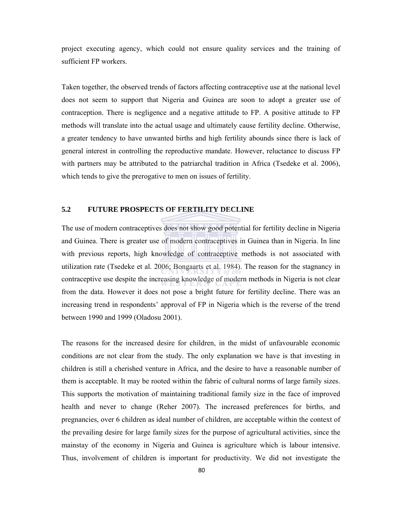project executing agency, which could not ensure quality services and the training of sufficient FP workers.

Taken together, the observed trends of factors affecting contraceptive use at the national level does not seem to support that Nigeria and Guinea are soon to adopt a greater use of contraception. There is negligence and a negative attitude to FP. A positive attitude to FP methods will translate into the actual usage and ultimately cause fertility decline. Otherwise, a greater tendency to have unwanted births and high fertility abounds since there is lack of general interest in controlling the reproductive mandate. However, reluctance to discuss FP with partners may be attributed to the patriarchal tradition in Africa (Tsedeke et al. 2006), which tends to give the prerogative to men on issues of fertility.

#### **5.2 FUTURE PROSPECTS OF FERTILITY DECLINE**

The use of modern contraceptives does not show good potential for fertility decline in Nigeria and Guinea. There is greater use of modern contraceptives in Guinea than in Nigeria. In line with previous reports, high knowledge of contraceptive methods is not associated with utilization rate (Tsedeke et al. 2006; Bongaarts et al. 1984). The reason for the stagnancy in contraceptive use despite the increasing knowledge of modern methods in Nigeria is not clear from the data. However it does not pose a bright future for fertility decline. There was an increasing trend in respondents' approval of FP in Nigeria which is the reverse of the trend between 1990 and 1999 (Oladosu 2001).

The reasons for the increased desire for children, in the midst of unfavourable economic conditions are not clear from the study. The only explanation we have is that investing in children is still a cherished venture in Africa, and the desire to have a reasonable number of them is acceptable. It may be rooted within the fabric of cultural norms of large family sizes. This supports the motivation of maintaining traditional family size in the face of improved health and never to change (Reher 2007). The increased preferences for births, and pregnancies, over 6 children as ideal number of children, are acceptable within the context of the prevailing desire for large family sizes for the purpose of agricultural activities, since the mainstay of the economy in Nigeria and Guinea is agriculture which is labour intensive. Thus, involvement of children is important for productivity. We did not investigate the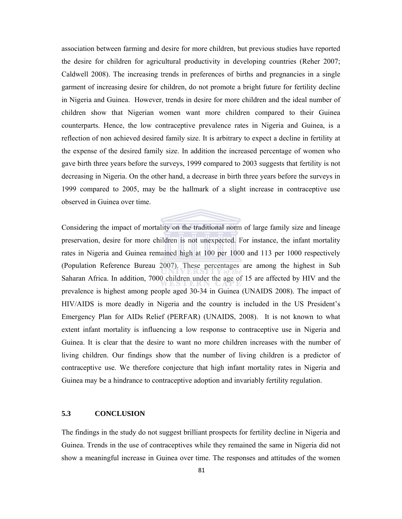association between farming and desire for more children, but previous studies have reported the desire for children for agricultural productivity in developing countries (Reher 2007; Caldwell 2008). The increasing trends in preferences of births and pregnancies in a single garment of increasing desire for children, do not promote a bright future for fertility decline in Nigeria and Guinea. However, trends in desire for more children and the ideal number of children show that Nigerian women want more children compared to their Guinea counterparts. Hence, the low contraceptive prevalence rates in Nigeria and Guinea, is a reflection of non achieved desired family size. It is arbitrary to expect a decline in fertility at the expense of the desired family size. In addition the increased percentage of women who gave birth three years before the surveys, 1999 compared to 2003 suggests that fertility is not decreasing in Nigeria. On the other hand, a decrease in birth three years before the surveys in 1999 compared to 2005, may be the hallmark of a slight increase in contraceptive use observed in Guinea over time.

Considering the impact of mortality on the traditional norm of large family size and lineage preservation, desire for more children is not unexpected. For instance, the infant mortality rates in Nigeria and Guinea remained high at 100 per 1000 and 113 per 1000 respectively (Population Reference Bureau 2007). These percentages are among the highest in Sub Saharan Africa. In addition, 7000 children under the age of 15 are affected by HIV and the prevalence is highest among people aged 30-34 in Guinea (UNAIDS 2008). The impact of HIV/AIDS is more deadly in Nigeria and the country is included in the US President's Emergency Plan for AIDs Relief (PERFAR) (UNAIDS, 2008). It is not known to what extent infant mortality is influencing a low response to contraceptive use in Nigeria and Guinea. It is clear that the desire to want no more children increases with the number of living children. Our findings show that the number of living children is a predictor of contraceptive use. We therefore conjecture that high infant mortality rates in Nigeria and Guinea may be a hindrance to contraceptive adoption and invariably fertility regulation.

#### **5.3 CONCLUSION**

The findings in the study do not suggest brilliant prospects for fertility decline in Nigeria and Guinea. Trends in the use of contraceptives while they remained the same in Nigeria did not show a meaningful increase in Guinea over time. The responses and attitudes of the women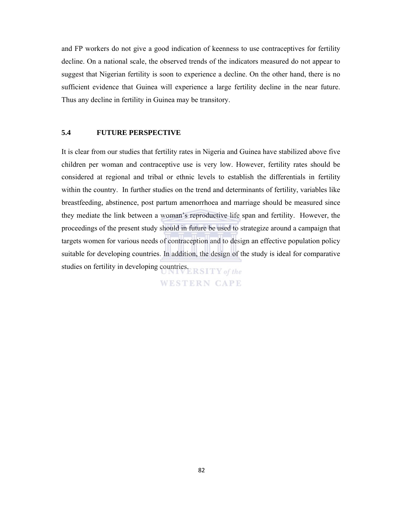and FP workers do not give a good indication of keenness to use contraceptives for fertility decline. On a national scale, the observed trends of the indicators measured do not appear to suggest that Nigerian fertility is soon to experience a decline. On the other hand, there is no sufficient evidence that Guinea will experience a large fertility decline in the near future. Thus any decline in fertility in Guinea may be transitory.

#### **5.4 FUTURE PERSPECTIVE**

It is clear from our studies that fertility rates in Nigeria and Guinea have stabilized above five children per woman and contraceptive use is very low. However, fertility rates should be considered at regional and tribal or ethnic levels to establish the differentials in fertility within the country. In further studies on the trend and determinants of fertility, variables like breastfeeding, abstinence, post partum amenorrhoea and marriage should be measured since they mediate the link between a woman's reproductive life span and fertility. However, the proceedings of the present study should in future be used to strategize around a campaign that targets women for various needs of contraception and to design an effective population policy suitable for developing countries. In addition, the design of the study is ideal for comparative studies on fertility in developing countries. RSITY of the

**WESTERN CAPE**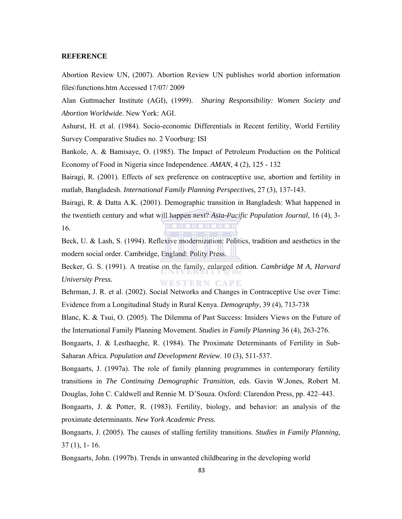#### **REFERENCE**

Abortion Review UN, (2007). Abortion Review UN publishes world abortion information files\functions.htm Accessed 17/07/ 2009

Alan Guttmacher Institute (AGI), (1999). *Sharing Responsibility: Women Society and Abortion Worldwide*. New York: AGI.

Ashurst, H. et al. (1984). Socio-economic Differentials in Recent fertility, World Fertility Survey Comparative Studies no. 2 Voorburg: ISI

Bankole, A. & Bamisaye, O. (1985). The Impact of Petroleum Production on the Political Economy of Food in Nigeria since Independence. *AMAN*, 4 (2), 125 - 132

Bairagi, R. (2001). Effects of sex preference on contraceptive use, abortion and fertility in matlab, Bangladesh. *International Family Planning Perspectives,* 27 (3), 137-143.

Bairagi, R. & Datta A.K. (2001). Demographic transition in Bangladesh: What happened in the twentieth century and what will happen next? *Asia-Pacific Population Journal,* 16 (4), 3- 16.

Beck, U. & Lash, S. (1994). Reflexive modernization: Politics, tradition and aesthetics in the modern social order. Cambridge, England: Polity Press.

Becker, G. S. (1991). A treatise on the family, enlarged edition. *Cambridge M A, Harvard University Press.*  WESTERN CAPE

Behrman, J. R. et al. (2002). Social Networks and Changes in Contraceptive Use over Time: Evidence from a Longitudinal Study in Rural Kenya. *Demography*, 39 (4), 713-738

Blanc, K. & Tsui, O. (2005). The Dilemma of Past Success: Insiders Views on the Future of the International Family Planning Movement. *Studies in Family Planning* 36 (4), 263-276.

Bongaarts, J. & Lesthaeghe, R. (1984). The Proximate Determinants of Fertility in Sub-Saharan Africa. *Population and Development Review*. 10 (3), 511-537.

Bongaarts, J. (1997a). The role of family planning programmes in contemporary fertility transitions in *The Continuing Demographic Transition*, eds. Gavin W.Jones, Robert M. Douglas, John C. Caldwell and Rennie M. D'Souza. Oxford: Clarendon Press, pp. 422–443.

Bongaarts, J. & Potter, R. (1983). Fertility, biology, and behavior: an analysis of the proximate determinants. *New York Academic Press.* 

Bongaarts, J. (2005). The causes of stalling fertility transitions. *Studies in Family Planning,*  37 (1), 1- 16.

Bongaarts, John. (1997b). Trends in unwanted childbearing in the developing world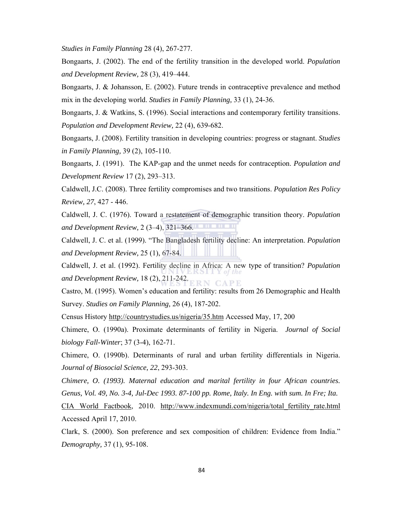*Studies in Family Planning* 28 (4), 267-277.

Bongaarts, J. (2002). The end of the fertility transition in the developed world. *Population and Development Review,* 28 (3), 419–444.

Bongaarts, J. & Johansson, E. (2002). Future trends in contraceptive prevalence and method mix in the developing world. *Studies in Family Planning,* 33 (1), 24-36.

Bongaarts, J. & Watkins, S. (1996). Social interactions and contemporary fertility transitions. *Population and Development Review,* 22 (4), 639-682.

Bongaarts, J. (2008). Fertility transition in developing countries: progress or stagnant. *Studies in Family Planning,* 39 (2), 105-110.

Bongaarts, J. (1991). The KAP-gap and the unmet needs for contraception. *Population and Development Review* 17 (2), 293–313.

Caldwell, J.C. (2008). Three fertility compromises and two transitions. *Population Res Policy Review, 27*, 427 - 446.

Caldwell, J. C. (1976). Toward a restatement of demographic transition theory. *Population and Development Review,* 2 (3–4), 321–366.

Caldwell, J. C. et al. (1999). "The Bangladesh fertility decline: An interpretation. *Population and Development Review,* 25 (1), 67-84.

Caldwell, J. et al. (1992). Fertility decline in Africa: A new type of transition? *Population and Development Review,* 18 (2), 211-242. RN CAPE

Castro, M. (1995). Women's education and fertility: results from 26 Demographic and Health Survey. *Studies on Family Planning,* 26 (4), 187-202.

Census History http://countrystudies.us/nigeria/35.htm Accessed May, 17, 200

Chimere, O. (1990a). Proximate determinants of fertility in Nigeria. *Journal of Social biology Fall-Winter*; 37 (3-4), 162-71.

Chimere, O. (1990b). Determinants of rural and urban fertility differentials in Nigeria. *Journal of Biosocial Science, 22*, 293-303.

*Chimere, O. (1993). Maternal education and marital fertility in four African countries. Genus, Vol. 49, No. 3-4, Jul-Dec 1993. 87-100 pp. Rome, Italy. In Eng. with sum. In Fre; Ita.* 

CIA World Factbook, 2010. http://www.indexmundi.com/nigeria/total\_fertility\_rate.html Accessed April 17, 2010.

Clark, S. (2000). Son preference and sex composition of children: Evidence from India." *Demography,* 37 (1), 95-108.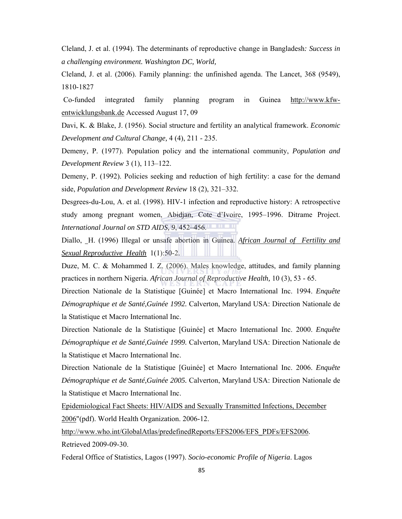Cleland, J. et al. (1994). The determinants of reproductive change in Bangladesh*: Success in a challenging environment. Washington DC, World,* 

Cleland, J. et al. (2006). Family planning: the unfinished agenda. The Lancet, 368 (9549), 1810-1827

Co-funded integrated family planning program in Guinea http://www.kfwentwicklungsbank.de Accessed August 17, 09

Davi, K. & Blake, J. (1956). Social structure and fertility an analytical framework. *Economic Development and Cultural Change,* 4 (4), 211 - 235.

Demeny, P. (1977). Population policy and the international community, *Population and Development Review* 3 (1), 113–122.

Demeny, P. (1992). Policies seeking and reduction of high fertility: a case for the demand side, *Population and Development Review* 18 (2), 321–332.

Desgrees-du-Lou, A. et al. (1998). HIV-1 infection and reproductive history: A retrospective study among pregnant women, Abidjan, Cote d'Ivoire, 1995–1996. Ditrame Project. *International Journal on STD AIDS, 9*, 452–456.

Diallo, H. (1996) Illegal or unsafe abortion in Guinea. *African Journal of Fertility and Sexual Reproductive Health* 1(1):50-2.

Duze, M. C. & Mohammed I. Z. (2006). Males knowledge, attitudes, and family planning practices in northern Nigeria. *African Journal of Reproductive Health,* 10 (3), 53 - 65.

Direction Nationale de la Statistique [Guinée] et Macro International Inc. 1994. *Enquête Démographique et de Santé,Guinée 1992.* Calverton, Maryland USA: Direction Nationale de la Statistique et Macro International Inc.

Direction Nationale de la Statistique [Guinée] et Macro International Inc. 2000. *Enquête Démographique et de Santé,Guinée 1999.* Calverton, Maryland USA: Direction Nationale de la Statistique et Macro International Inc.

Direction Nationale de la Statistique [Guinée] et Macro International Inc. 2006. *Enquête Démographique et de Santé,Guinée 2005.* Calverton, Maryland USA: Direction Nationale de la Statistique et Macro International Inc.

Epidemiological Fact Sheets: HIV/AIDS and Sexually Transmitted Infections, December 2006"(pdf). World Health Organization. 2006-12.

http://www.who.int/GlobalAtlas/predefinedReports/EFS2006/EFS\_PDFs/EFS2006. Retrieved 2009-09-30.

Federal Office of Statistics, Lagos (1997). *Socio-economic Profile of Nigeria*. Lagos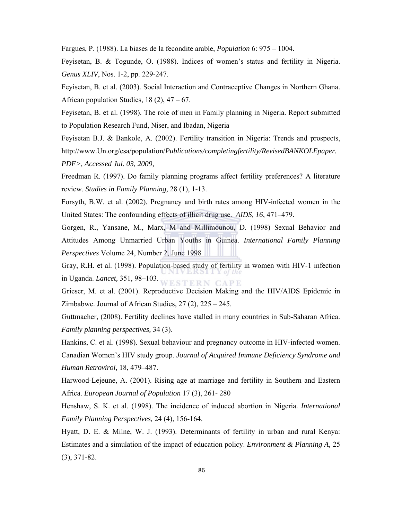Fargues, P. (1988). La biases de la fecondite arable, *Population* 6: 975 – 1004.

Feyisetan, B. & Togunde, O. (1988). Indices of women's status and fertility in Nigeria. *Genus XLIV*, Nos. 1-2, pp. 229-247.

Feyisetan, B. et al. (2003). Social Interaction and Contraceptive Changes in Northern Ghana. African population Studies,  $18(2)$ ,  $47 - 67$ .

Feyisetan, B. et al. (1998). The role of men in Family planning in Nigeria. Report submitted to Population Research Fund, Niser, and Ibadan, Nigeria

Feyisetan B.J. & Bankole, A. (2002). Fertility transition in Nigeria: Trends and prospects, http://www.Un.org/esa/population/*Publications/completingfertility/RevisedBANKOLEpaper. PDF>, Accessed Jul. 03, 2009,* 

Freedman R. (1997). Do family planning programs affect fertility preferences? A literature review. *Studies in Family Planning,* 28 (1), 1-13.

Forsyth, B.W. et al. (2002). Pregnancy and birth rates among HIV-infected women in the United States: The confounding effects of illicit drug use. *AIDS, 16*, 471–479.

Gorgen, R., Yansane, M., Marx, M and Millimounou, D. (1998) Sexual Behavior and Attitudes Among Unmarried Urban Youths in Guinea. *International Family Planning Perspectives* Volume 24, Number 2, June 1998

Gray, R.H. et al. (1998). Population-based study of fertility in women with HIV-1 infection in Uganda. *Lancet,* 351, 98–103. **STERN CAPE** 

Grieser, M. et al. (2001). Reproductive Decision Making and the HIV/AIDS Epidemic in Zimbabwe. Journal of African Studies,  $27(2)$ ,  $225 - 245$ .

Guttmacher, (2008). Fertility declines have stalled in many countries in Sub-Saharan Africa. *Family planning perspectives,* 34 (3).

Hankins, C. et al. (1998). Sexual behaviour and pregnancy outcome in HIV-infected women. Canadian Women's HIV study group. *Journal of Acquired Immune Deficiency Syndrome and Human Retrovirol,* 18, 479–487.

Harwood-Lejeune, A. (2001). Rising age at marriage and fertility in Southern and Eastern Africa. *European Journal of Population* 17 (3), 261- 280

Henshaw, S. K. et al. (1998). The incidence of induced abortion in Nigeria. *International Family Planning Perspectives,* 24 (4), 156-164.

Hyatt, D. E. & Milne, W. J. (1993). Determinants of fertility in urban and rural Kenya: Estimates and a simulation of the impact of education policy. *Environment & Planning A,* 25 (3), 371-82.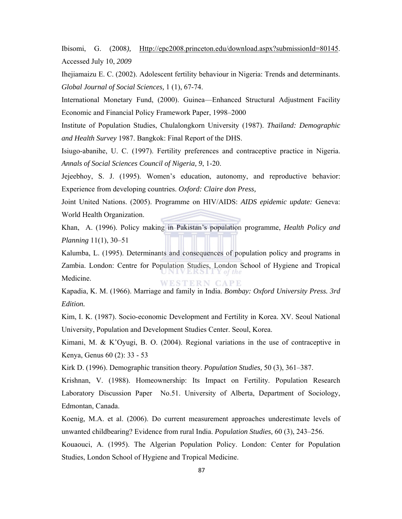Ibisomi, G. (2008*),* Http://epc2008.princeton.edu/download.aspx?submissionId=80145. Accessed July 10, *2009* 

Ihejiamaizu E. C. (2002). Adolescent fertility behaviour in Nigeria: Trends and determinants. *Global Journal of Social Sciences,* 1 (1), 67-74.

International Monetary Fund, (2000). Guinea—Enhanced Structural Adjustment Facility Economic and Financial Policy Framework Paper, 1998–2000

Institute of Population Studies, Chulalongkorn University (1987). *Thailand: Demographic and Health Survey* 1987. Bangkok: Final Report of the DHS.

Isiugo-abanihe, U. C. (1997). Fertility preferences and contraceptive practice in Nigeria. *Annals of Social Sciences Council of Nigeria, 9*, 1-20.

Jejeebhoy, S. J. (1995). Women's education, autonomy, and reproductive behavior: Experience from developing countries. *Oxford: Claire don Press,* 

Joint United Nations. (2005). Programme on HIV/AIDS: *AIDS epidemic update:* Geneva: World Health Organization.

Khan, A. (1996). Policy making in Pakistan's population programme, *Health Policy and Planning* 11(1), 30–51

Kalumba, L. (1995). Determinants and consequences of population policy and programs in Zambia. London: Centre for Population Studies, London School of Hygiene and Tropical Medicine. WESTERN CAPE

Kapadia, K. M. (1966). Marriage and family in India. *Bombay: Oxford University Press. 3rd Edition.* 

Kim, I. K. (1987). Socio-economic Development and Fertility in Korea. XV. Seoul National University, Population and Development Studies Center. Seoul, Korea.

Kimani, M. & K'Oyugi, B. O. (2004). Regional variations in the use of contraceptive in Kenya, Genus 60 (2): 33 - 53

Kirk D. (1996). Demographic transition theory. *Population Studies,* 50 (3), 361–387.

Krishnan, V. (1988). Homeownership: Its Impact on Fertility. Population Research Laboratory Discussion Paper No.51. University of Alberta, Department of Sociology, Edmontan, Canada.

Koenig, M.A. et al. (2006). Do current measurement approaches underestimate levels of unwanted childbearing? Evidence from rural India. *Population Studies,* 60 (3), 243–256.

Kouaouci, A. (1995). The Algerian Population Policy. London: Center for Population Studies, London School of Hygiene and Tropical Medicine.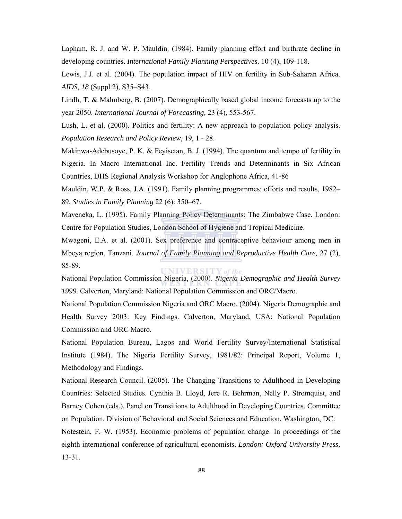Lapham, R. J. and W. P. Mauldin. (1984). Family planning effort and birthrate decline in developing countries. *International Family Planning Perspectives,* 10 (4), 109-118.

Lewis, J.J. et al. (2004). The population impact of HIV on fertility in Sub-Saharan Africa. *AIDS, 18* (Suppl 2), S35–S43.

Lindh, T. & Malmberg, B. (2007). Demographically based global income forecasts up to the year 2050. *International Journal of Forecasting,* 23 (4), 553-567.

Lush, L. et al. (2000). Politics and fertility: A new approach to population policy analysis. *Population Research and Policy Review,* 19, 1 - 28.

Makinwa-Adebusoye, P. K. & Feyisetan, B. J. (1994). The quantum and tempo of fertility in Nigeria. In Macro International Inc. Fertility Trends and Determinants in Six African Countries, DHS Regional Analysis Workshop for Anglophone Africa, 41-86

Mauldin, W.P. & Ross, J.A. (1991). Family planning programmes: efforts and results, 1982– 89, *Studies in Family Planning* 22 (6): 350–67.

Maveneka, L. (1995). Family Planning Policy Determinants: The Zimbabwe Case. London: Centre for Population Studies, London School of Hygiene and Tropical Medicine.

Mwageni, E.A. et al. (2001). Sex preference and contraceptive behaviour among men in Mbeya region, Tanzani. *Journal of Family Planning and Reproductive Health Care,* 27 (2), 85-89. **UNIVERSITY** of the

National Population Commission Nigeria, (2000). *Nigeria Demographic and Health Survey 1999.* Calverton, Maryland: National Population Commission and ORC/Macro.

National Population Commission Nigeria and ORC Macro. (2004). Nigeria Demographic and Health Survey 2003: Key Findings. Calverton, Maryland, USA: National Population Commission and ORC Macro.

National Population Bureau, Lagos and World Fertility Survey/International Statistical Institute (1984). The Nigeria Fertility Survey, 1981/82: Principal Report, Volume 1, Methodology and Findings.

National Research Council. (2005). The Changing Transitions to Adulthood in Developing Countries: Selected Studies. Cynthia B. Lloyd, Jere R. Behrman, Nelly P. Stromquist, and Barney Cohen (eds.). Panel on Transitions to Adulthood in Developing Countries. Committee on Population. Division of Behavioral and Social Sciences and Education. Washington, DC:

Notestein, F. W. (1953). Economic problems of population change. In proceedings of the eighth international conference of agricultural economists. *London: Oxford University Press,* 13-31.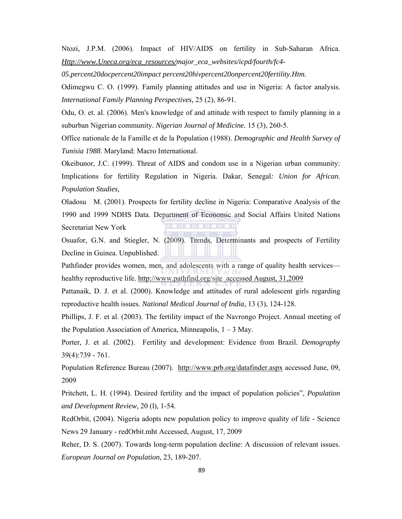Ntozi, J.P.M. (2006). Impact of HIV/AIDS on fertility in Sub-Saharan Africa. *Http://www.Uneca.org/eca\_resources/major\_eca\_websites/icpd/fourth/fc4-*

*05.percent20docpercent20impact percent20hivpercent20onpercent20fertility.Htm.* 

Odimegwu C. O. (1999). Family planning attitudes and use in Nigeria: A factor analysis. *International Family Planning Perspectives,* 25 (2), 86-91.

Odu, O. et. al. (2006). Men's knowledge of and attitude with respect to family planning in a suburban Nigerian community. *Nigerian Journal of Medicine.* 15 (3), 260-5.

Office nationale de la Famille et de la Population (1988). *Demographic and Health Survey of Tunisia 1988*. Maryland: Macro International.

Okeibunor, J.C. (1999). Threat of AIDS and condom use in a Nigerian urban community: Implications for fertility Regulation in Nigeria. Dakar, Senegal*: Union for African*. *Population Studies,* 

Oladosu M. (2001). Prospects for fertility decline in Nigeria: Comparative Analysis of the 1990 and 1999 NDHS Data. Department of Economic and Social Affairs United Nations Secretariat New York

Osuafor, G.N. and Stiegler, N. (2009). Trends, Determinants and prospects of Fertility Decline in Guinea. Unpublished.

Pathfinder provides women, men, and adolescents with a range of quality health services healthy reproductive life. http://www.pathfind.org/site accessed August, 31,2009

Pattanaik, D. J. et al. (2000). Knowledge and attitudes of rural adolescent girls regarding reproductive health issues. *National Medical Journal of India,* 13 (3), 124-128.

Phillips, J. F. et al. (2003). The fertility impact of the Navrongo Project. Annual meeting of the Population Association of America, Minneapolis,  $1 - 3$  May.

Porter, J. et al. (2002). Fertility and development: Evidence from Brazil. *Demography*  39(4):739 - 761.

Population Reference Bureau (2007). http://www.prb.org/datafinder.aspx accessed June, 09, 2009

Pritchett, L. H. (1994). Desired fertility and the impact of population policies", *Population and Development Review,* 20 (l), 1-54.

RedOrbit, (2004). Nigeria adopts new population policy to improve quality of life - Science News 29 January - redOrbit.mht Accessed, August, 17, 2009

Reher, D. S. (2007). Towards long-term population decline: A discussion of relevant issues. *European Journal on Population,* 23, 189-207.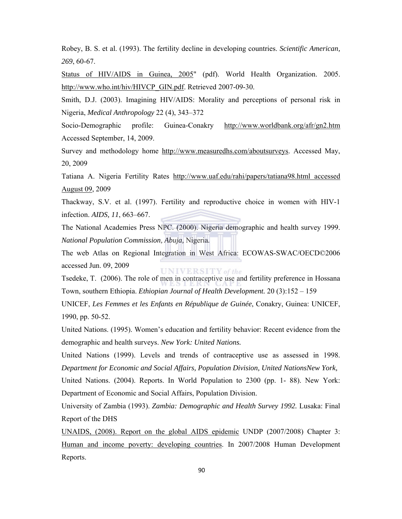Robey, B. S. et al. (1993). The fertility decline in developing countries. *Scientific American, 269*, 60-67.

Status of **HIV/AIDS** in Guinea, 2005" (pdf). World Health Organization. 2005. http://www.who.int/hiv/HIVCP\_GIN.pdf. Retrieved 2007-09-30.

Smith, D.J. (2003). Imagining HIV/AIDS: Morality and perceptions of personal risk in Nigeria, *Medical Anthropology* 22 (4), 343–372

Socio-Demographic profile: Guinea-Conakry http://www.worldbank.org/afr/gn2.htm Accessed September, 14, 2009.

Survey and methodology home http://www.measuredhs.com/aboutsurveys. Accessed May, 20, 2009

Tatiana A. Nigeria Fertility Rates http://www.uaf.edu/rahi/papers/tatiana98.html accessed August 09, 2009

Thackway, S.V. et al. (1997). Fertility and reproductive choice in women with HIV-1 infection. *AIDS, 11*, 663–667.

The National Academies Press NPC. (2000). Nigeria demographic and health survey 1999. *National Population Commission, Abuja,* Nigeria*.* 

The web Atlas on Regional Integration in West Africa: ECOWAS-SWAC/OECD©2006 accessed Jun. 09, 2009 **UNIVERSITY** of the

Tsedeke, T. (2006). The role of men in contraceptive use and fertility preference in Hossana Town, southern Ethiopia. *Ethiopian Journal of Health Development.* 20 (3):152 – 159

UNICEF, *Les Femmes et les Enfants en République de Guinée*, Conakry, Guinea: UNICEF, 1990, pp. 50-52.

United Nations. (1995). Women's education and fertility behavior: Recent evidence from the demographic and health surveys. *New York: United Nations.* 

United Nations (1999). Levels and trends of contraceptive use as assessed in 1998. *Department for Economic and Social Affairs, Population Division, United NationsNew York,* 

United Nations. (2004). Reports. In World Population to 2300 (pp. 1- 88). New York: Department of Economic and Social Affairs, Population Division.

University of Zambia (1993). *Zambia: Demographic and Health Survey 1992.* Lusaka: Final Report of the DHS

UNAIDS, (2008). Report on the global AIDS epidemic UNDP (2007/2008) Chapter 3: Human and income poverty: developing countries. In 2007/2008 Human Development Reports.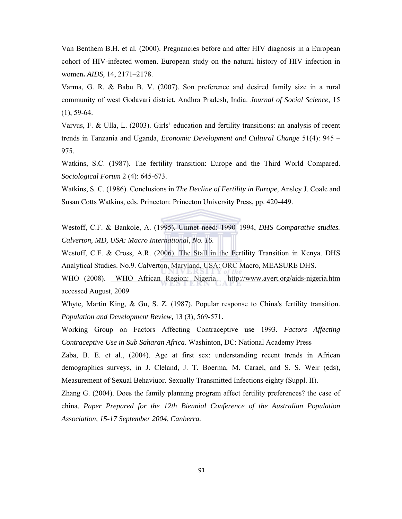Van Benthem B.H. et al. (2000). Pregnancies before and after HIV diagnosis in a European cohort of HIV-infected women. European study on the natural history of HIV infection in women**.** *AIDS,* 14, 2171–2178.

Varma, G. R. & Babu B. V. (2007). Son preference and desired family size in a rural community of west Godavari district, Andhra Pradesh, India. *Journal of Social Science,* 15 (1), 59-64.

Varvus, F. & Ulla, L. (2003). Girls' education and fertility transitions: an analysis of recent trends in Tanzania and Uganda, *Economic Development and Cultural Change* 51(4): 945 – 975.

Watkins, S.C. (1987). The fertility transition: Europe and the Third World Compared. *Sociological Forum* 2 (4): 645-673.

Watkins, S. C. (1986). Conclusions in *The Decline of Fertility in Europe,* Ansley J. Coale and Susan Cotts Watkins, eds. Princeton: Princeton University Press, pp. 420-449.

Westoff, C.F. & Bankole, A. (1995). Unmet need: 1990–1994, *DHS Comparative studies. Calverton, MD, USA: Macro International, No. 16.*

Westoff, C.F. & Cross, A.R. (2006). The Stall in the Fertility Transition in Kenya. DHS Analytical Studies. No.9. Calverton, Maryland, USA: ORC Macro, MEASURE DHS.

WHO (2008). WHO African Region: Nigeria. http://www.avert.org/aids-nigeria.htm accessed August, 2009

Whyte, Martin King, & Gu, S. Z. (1987). Popular response to China's fertility transition. *Population and Development Review,* 13 (3), 569-571.

Working Group on Factors Affecting Contraceptive use 1993. *Factors Affecting Contraceptive Use in Sub Saharan Africa*. Washinton, DC: National Academy Press

Zaba, B. E. et al., (2004). Age at first sex: understanding recent trends in African demographics surveys, in J. Cleland, J. T. Boerma, M. Carael, and S. S. Weir (eds), Measurement of Sexual Behaviuor. Sexually Transmitted Infections eighty (Suppl. II).

Zhang G. (2004). Does the family planning program affect fertility preferences? the case of china. *Paper Prepared for the 12th Biennial Conference of the Australian Population Association, 15-17 September 2004, Canberra.*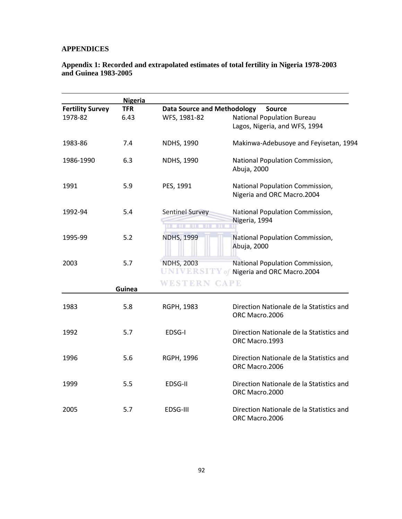### **APPENDICES**

#### **Appendix 1: Recorded and extrapolated estimates of total fertility in Nigeria 1978-2003 and Guinea 1983-2005**

|                         | <b>Nigeria</b> |                                    |                                                                                |
|-------------------------|----------------|------------------------------------|--------------------------------------------------------------------------------|
| <b>Fertility Survey</b> | <b>TFR</b>     | <b>Data Source and Methodology</b> | <b>Source</b>                                                                  |
| 1978-82                 | 6.43           | WFS, 1981-82                       | <b>National Population Bureau</b>                                              |
|                         |                |                                    | Lagos, Nigeria, and WFS, 1994                                                  |
| 1983-86                 | 7.4            | <b>NDHS, 1990</b>                  | Makinwa-Adebusoye and Feyisetan, 1994                                          |
| 1986-1990               | 6.3            | <b>NDHS, 1990</b>                  | National Population Commission,<br>Abuja, 2000                                 |
| 1991                    | 5.9            | PES, 1991                          | National Population Commission,<br>Nigeria and ORC Macro.2004                  |
| 1992-94                 | 5.4            | Sentinel Survey                    | National Population Commission,<br>Nigeria, 1994                               |
| 1995-99                 | 5.2            | <b>NDHS, 1999</b>                  | National Population Commission,<br>Abuja, 2000                                 |
| 2003                    | 5.7            | <b>NDHS, 2003</b><br>UNIVERSIT     | National Population Commission,<br>$\mathbb {Y}$ of Nigeria and ORC Macro.2004 |
|                         | Guinea         | WESTERN                            | <b>CAPE</b>                                                                    |
| 1983                    | 5.8            | RGPH, 1983                         | Direction Nationale de la Statistics and<br>ORC Macro.2006                     |
| 1992                    | 5.7            | EDSG-I                             | Direction Nationale de la Statistics and<br>ORC Macro.1993                     |
| 1996                    | 5.6            | RGPH, 1996                         | Direction Nationale de la Statistics and<br>ORC Macro.2006                     |
| 1999                    | 5.5            | EDSG-II                            | Direction Nationale de la Statistics and<br>ORC Macro.2000                     |
| 2005                    | 5.7            | EDSG-III                           | Direction Nationale de la Statistics and<br>ORC Macro.2006                     |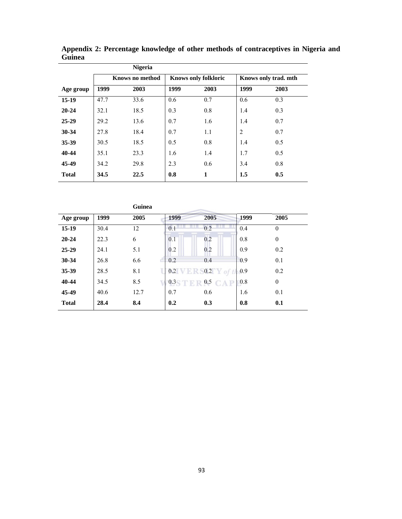|              |                 | <b>Nigeria</b> |                             |              |                      |      |
|--------------|-----------------|----------------|-----------------------------|--------------|----------------------|------|
|              | Knows no method |                | <b>Knows only folkloric</b> |              | Knows only trad. mth |      |
| Age group    | 1999            | 2003           | 1999                        | 2003         | 1999                 | 2003 |
| $15-19$      | 47.7            | 33.6           | 0.6                         | 0.7          | 0.6                  | 0.3  |
| $20 - 24$    | 32.1            | 18.5           | 0.3                         | 0.8          | 1.4                  | 0.3  |
| $25 - 29$    | 29.2            | 13.6           | 0.7                         | 1.6          | 1.4                  | 0.7  |
| 30-34        | 27.8            | 18.4           | 0.7                         | 1.1          | $\overline{2}$       | 0.7  |
| 35-39        | 30.5            | 18.5           | 0.5                         | 0.8          | 1.4                  | 0.5  |
| 40-44        | 35.1            | 23.3           | 1.6                         | 1.4          | 1.7                  | 0.5  |
| 45-49        | 34.2            | 29.8           | 2.3                         | 0.6          | 3.4                  | 0.8  |
| <b>Total</b> | 34.5            | 22.5           | 0.8                         | $\mathbf{1}$ | 1.5                  | 0.5  |

**Appendix 2: Percentage knowledge of other methods of contraceptives in Nigeria and Guinea** 

|              |      | <b>Guinea</b> |      |                   |             |              |  |
|--------------|------|---------------|------|-------------------|-------------|--------------|--|
| Age group    | 1999 | 2005          | 1999 | 2005              | 1999        | 2005         |  |
| $15-19$      | 30.4 | 12            | 0.1  | 0.2               | 0.4         | $\theta$     |  |
| $20 - 24$    | 22.3 | 6             | 0.1  | 0.2               | 0.8         | $\mathbf{0}$ |  |
| $25 - 29$    | 24.1 | 5.1           | 0.2  | 0.2               | 0.9         | 0.2          |  |
| 30-34        | 26.8 | 6.6           | 0.2  | 0.4               | 0.9         | 0.1          |  |
| 35-39        | 28.5 | 8.1           | 0.2  | 0.2               | $\big  0.9$ | 0.2          |  |
| 40-44        | 34.5 | 8.5           | 0.3  | 0.5<br><b>CAP</b> | 0.8         | $\theta$     |  |
| 45-49        | 40.6 | 12.7          | 0.7  | 0.6               | 1.6         | 0.1          |  |
| <b>Total</b> | 28.4 | 8.4           | 0.2  | 0.3               | 0.8         | 0.1          |  |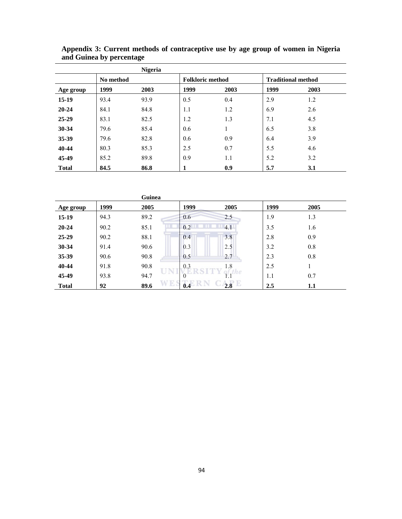|              |           | <b>Nigeria</b> |                         |      |      |                           |  |  |
|--------------|-----------|----------------|-------------------------|------|------|---------------------------|--|--|
|              | No method |                | <b>Folkloric method</b> |      |      | <b>Traditional method</b> |  |  |
| Age group    | 1999      | 2003           | 1999                    | 2003 | 1999 | 2003                      |  |  |
| $15-19$      | 93.4      | 93.9           | 0.5                     | 0.4  | 2.9  | 1.2                       |  |  |
| $20 - 24$    | 84.1      | 84.8           | 1.1                     | 1.2  | 6.9  | 2.6                       |  |  |
| $25 - 29$    | 83.1      | 82.5           | 1.2                     | 1.3  | 7.1  | 4.5                       |  |  |
| 30-34        | 79.6      | 85.4           | 0.6                     |      | 6.5  | 3.8                       |  |  |
| 35-39        | 79.6      | 82.8           | 0.6                     | 0.9  | 6.4  | 3.9                       |  |  |
| 40-44        | 80.3      | 85.3           | 2.5                     | 0.7  | 5.5  | 4.6                       |  |  |
| 45-49        | 85.2      | 89.8           | 0.9                     | 1.1  | 5.2  | 3.2                       |  |  |
| <b>Total</b> | 84.5      | 86.8           |                         | 0.9  | 5.7  | 3.1                       |  |  |

**Appendix 3: Current methods of contraceptive use by age group of women in Nigeria and Guinea by percentage** 

|              |      | Guinea |            |          |      |      |  |
|--------------|------|--------|------------|----------|------|------|--|
| Age group    | 1999 | 2005   | 1999       | 2005     | 1999 | 2005 |  |
| $15-19$      | 94.3 | 89.2   | 0.6        | 2.5      | 1.9  | 1.3  |  |
| $20 - 24$    | 90.2 | 85.1   | 0.2        | 4.1      | 3.5  | 1.6  |  |
| $25-29$      | 90.2 | 88.1   | 0.4        | 3.8      | 2.8  | 0.9  |  |
| 30-34        | 91.4 | 90.6   | 0.3        | 2.5      | 3.2  | 0.8  |  |
| 35-39        | 90.6 | 90.8   | 0.5        | 2.7      | 2.3  | 0.8  |  |
| 40-44        | 91.8 | 90.8   | 0.3        | 1.8      | 2.5  |      |  |
| 45-49        | 93.8 | 94.7   | $\left($ ) |          | 1.1  | 0.7  |  |
| <b>Total</b> | 92   | 89.6   | W R<br>0.4 | Е<br>2.8 | 2.5  | 1.1  |  |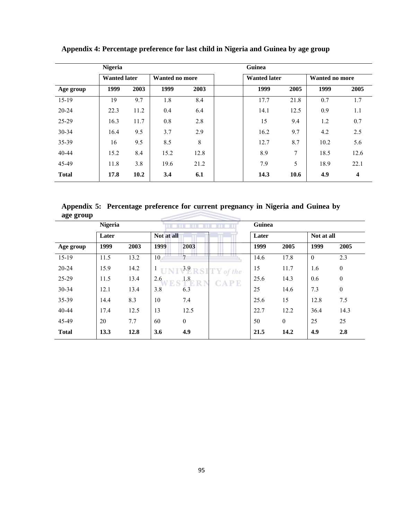| <b>Nigeria</b> |                     |      |                       |      |  | Guinea              |                |      |      |  |  |
|----------------|---------------------|------|-----------------------|------|--|---------------------|----------------|------|------|--|--|
|                | <b>Wanted later</b> |      | <b>Wanted no more</b> |      |  | <b>Wanted later</b> | Wanted no more |      |      |  |  |
| Age group      | 1999                | 2003 | 1999                  | 2003 |  | 1999                | 2005           | 1999 | 2005 |  |  |
| $15-19$        | 19                  | 9.7  | 1.8                   | 8.4  |  | 17.7                | 21.8           | 0.7  | 1.7  |  |  |
| $20 - 24$      | 22.3                | 11.2 | 0.4                   | 6.4  |  | 14.1                | 12.5           | 0.9  | 1.1  |  |  |
| 25-29          | 16.3                | 11.7 | 0.8                   | 2.8  |  | 15                  | 9.4            | 1.2  | 0.7  |  |  |
| $30 - 34$      | 16.4                | 9.5  | 3.7                   | 2.9  |  | 16.2                | 9.7            | 4.2  | 2.5  |  |  |
| 35-39          | 16                  | 9.5  | 8.5                   | 8    |  | 12.7                | 8.7            | 10.2 | 5.6  |  |  |
| 40-44          | 15.2                | 8.4  | 15.2                  | 12.8 |  | 8.9                 | 7              | 18.5 | 12.6 |  |  |
| 45-49          | 11.8                | 3.8  | 19.6                  | 21.2 |  | 7.9                 | 5              | 18.9 | 22.1 |  |  |
| <b>Total</b>   | 17.8                | 10.2 | 3.4                   | 6.1  |  | 14.3                | 10.6           | 4.9  | 4    |  |  |

**Appendix 4: Percentage preference for last child in Nigeria and Guinea by age group** 

**Appendix 5: Percentage preference for current pregnancy in Nigeria and Guinea by age group** 

|              | <b>Nigeria</b> |      |            |              |             | Guinea |              |            |              |  |
|--------------|----------------|------|------------|--------------|-------------|--------|--------------|------------|--------------|--|
|              | Later          |      | Not at all |              |             | Later  |              | Not at all |              |  |
| Age group    | 1999           | 2003 | 1999       | 2003         |             | 1999   | 2005         | 1999       | 2005         |  |
| $15-19$      | 11.5           | 13.2 | 10         |              |             | 14.6   | 17.8         | $\theta$   | 2.3          |  |
| $20 - 24$    | 15.9           | 14.2 |            | 3.9          | $TY$ of the | 15     | 11.7         | 1.6        | $\mathbf{0}$ |  |
| 25-29        | 11.5           | 13.4 | 2.6        | 1.8          | <b>CAPE</b> | 25.6   | 14.3         | 0.6        | $\mathbf{0}$ |  |
| 30-34        | 12.1           | 13.4 | 3.8        | 6.3          |             | 25     | 14.6         | 7.3        | $\mathbf{0}$ |  |
| 35-39        | 14.4           | 8.3  | 10         | 7.4          |             | 25.6   | 15           | 12.8       | 7.5          |  |
| 40-44        | 17.4           | 12.5 | 13         | 12.5         |             | 22.7   | 12.2         | 36.4       | 14.3         |  |
| 45-49        | 20             | 7.7  | 60         | $\mathbf{0}$ |             | 50     | $\mathbf{0}$ | 25         | 25           |  |
| <b>Total</b> | 13.3           | 12.8 | 3.6        | 4.9          |             | 21.5   | 14.2         | 4.9        | 2.8          |  |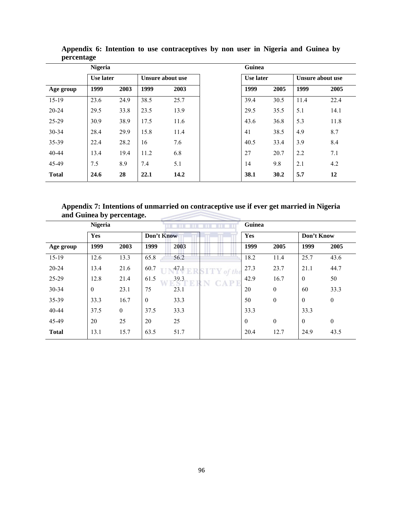|              | <b>Nigeria</b> |      |      |                  | Guinea           |      |                  |      |  |  |
|--------------|----------------|------|------|------------------|------------------|------|------------------|------|--|--|
| Use later    |                |      |      | Unsure about use | <b>Use later</b> |      | Unsure about use |      |  |  |
| Age group    | 1999           | 2003 | 1999 | 2003             | 1999             | 2005 | 1999             | 2005 |  |  |
| 15-19        | 23.6           | 24.9 | 38.5 | 25.7             | 39.4             | 30.5 | 11.4             | 22.4 |  |  |
| $20 - 24$    | 29.5           | 33.8 | 23.5 | 13.9             | 29.5             | 35.5 | 5.1              | 14.1 |  |  |
| 25-29        | 30.9           | 38.9 | 17.5 | 11.6             | 43.6             | 36.8 | 5.3              | 11.8 |  |  |
| $30 - 34$    | 28.4           | 29.9 | 15.8 | 11.4             | 41               | 38.5 | 4.9              | 8.7  |  |  |
| 35-39        | 22.4           | 28.2 | 16   | 7.6              | 40.5             | 33.4 | 3.9              | 8.4  |  |  |
| $40 - 44$    | 13.4           | 19.4 | 11.2 | 6.8              | 27               | 20.7 | 2.2              | 7.1  |  |  |
| 45-49        | 7.5            | 8.9  | 7.4  | 5.1              | 14               | 9.8  | 2.1              | 4.2  |  |  |
| <b>Total</b> | 24.6           | 28   | 22.1 | 14.2             | 38.1             | 30.2 | 5.7              | 12   |  |  |

**Appendix 6: Intention to use contraceptives by non user in Nigeria and Guinea by percentage** 

**Appendix 7: Intentions of unmarried on contraceptive use if ever get married in Nigeria and Guinea by percentage.** 

| <b>Nigeria</b> |              |              |              |      | Guinea        |              |              |                |              |
|----------------|--------------|--------------|--------------|------|---------------|--------------|--------------|----------------|--------------|
|                | Yes          |              | Don't Know   |      |               | Yes          |              | Don't Know     |              |
| Age group      | 1999         | 2003         | 1999         | 2003 |               | 1999         | 2005         | 1999           | 2005         |
| $15-19$        | 12.6         | 13.3         | 65.8         | 56.2 |               | 18.2         | 11.4         | 25.7           | 43.6         |
| $20 - 24$      | 13.4         | 21.6         | 60.7         | 47.1 | $SITY$ of the | 27.3         | 23.7         | 21.1           | 44.7         |
| 25-29          | 12.8         | 21.4         | 61.5         | 39.3 | CAP           | 42.9         | 16.7         | $\overline{0}$ | 50           |
| $30 - 34$      | $\mathbf{0}$ | 23.1         | 75           | 23.1 |               | 20           | $\mathbf{0}$ | 60             | 33.3         |
| 35-39          | 33.3         | 16.7         | $\mathbf{0}$ | 33.3 |               | 50           | $\mathbf{0}$ | $\overline{0}$ | $\mathbf{0}$ |
| $40 - 44$      | 37.5         | $\mathbf{0}$ | 37.5         | 33.3 |               | 33.3         |              | 33.3           |              |
| 45-49          | 20           | 25           | 20           | 25   |               | $\mathbf{0}$ | $\mathbf{0}$ | $\overline{0}$ | $\mathbf{0}$ |
| <b>Total</b>   | 13.1         | 15.7         | 63.5         | 51.7 |               | 20.4         | 12.7         | 24.9           | 43.5         |